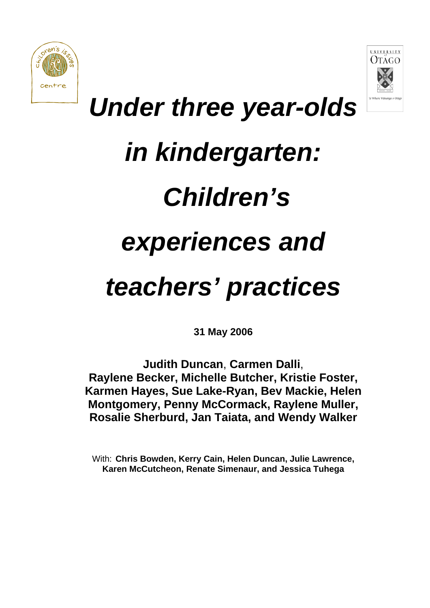



# *Under three year-olds*

# *in kindergarten:*

# *Children's*

# *experiences and*

# *teachers' practices*

**31 May 2006** 

**Judith Duncan**, **Carmen Dalli**, **Raylene Becker, Michelle Butcher, Kristie Foster, Karmen Hayes, Sue Lake-Ryan, Bev Mackie, Helen Montgomery, Penny McCormack, Raylene Muller, Rosalie Sherburd, Jan Taiata, and Wendy Walker** 

With: **Chris Bowden, Kerry Cain, Helen Duncan, Julie Lawrence, Karen McCutcheon, Renate Simenaur, and Jessica Tuhega**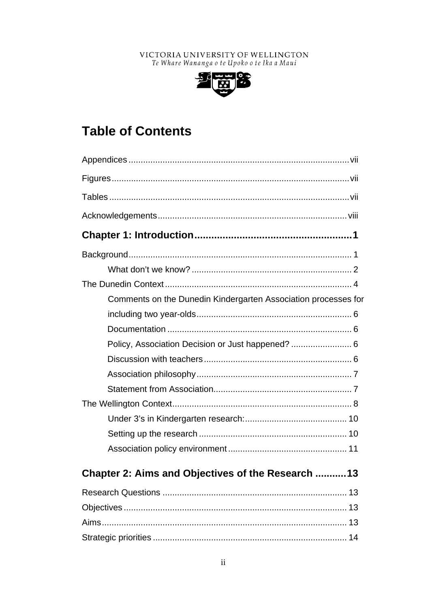### VICTORIA UNIVERSITY OF WELLINGTON Te Whare Wananga o te Upoko o te Ika a Maui



# **Table of Contents**

# Chapter 2: Aims and Objectives of the Research ........... 13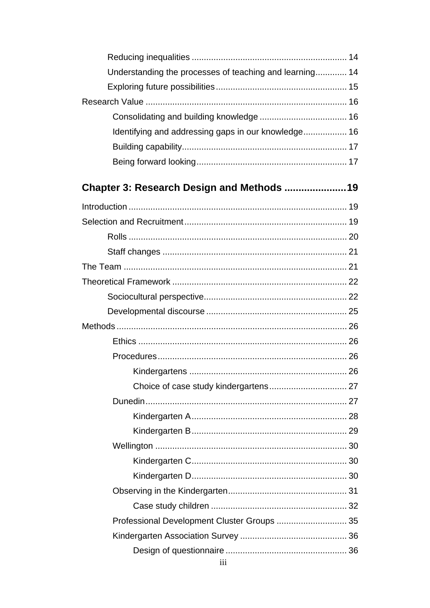| Understanding the processes of teaching and learning 14 |  |
|---------------------------------------------------------|--|
|                                                         |  |
|                                                         |  |
|                                                         |  |
| Identifying and addressing gaps in our knowledge 16     |  |
|                                                         |  |
|                                                         |  |
| Chapter 3: Research Design and Methods 19               |  |
|                                                         |  |
|                                                         |  |
|                                                         |  |
|                                                         |  |
|                                                         |  |
|                                                         |  |
|                                                         |  |
|                                                         |  |
|                                                         |  |
|                                                         |  |
|                                                         |  |
|                                                         |  |
|                                                         |  |
|                                                         |  |
|                                                         |  |
|                                                         |  |
|                                                         |  |
|                                                         |  |
|                                                         |  |
|                                                         |  |
|                                                         |  |
| Professional Development Cluster Groups  35             |  |
|                                                         |  |
|                                                         |  |
| 111                                                     |  |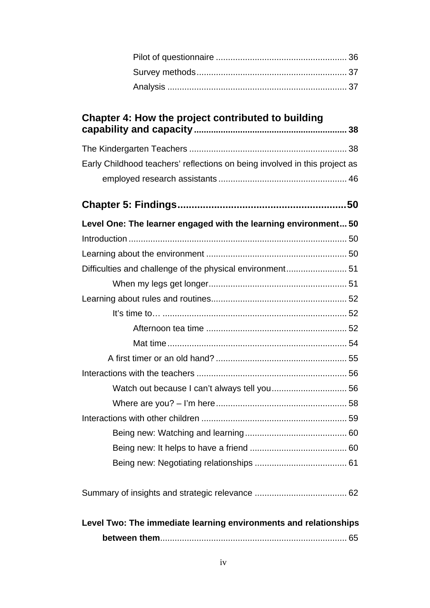| Chapter 4: How the project contributed to building                         |
|----------------------------------------------------------------------------|
|                                                                            |
| Early Childhood teachers' reflections on being involved in this project as |
|                                                                            |
|                                                                            |
| Level One: The learner engaged with the learning environment 50            |
|                                                                            |
|                                                                            |
| Difficulties and challenge of the physical environment 51                  |
|                                                                            |
|                                                                            |
|                                                                            |
|                                                                            |
|                                                                            |
|                                                                            |
|                                                                            |
| Watch out because I can't always tell you 56                               |
|                                                                            |
|                                                                            |
|                                                                            |
|                                                                            |
|                                                                            |
|                                                                            |
| Level Two: The immediate learning environments and relationships           |
|                                                                            |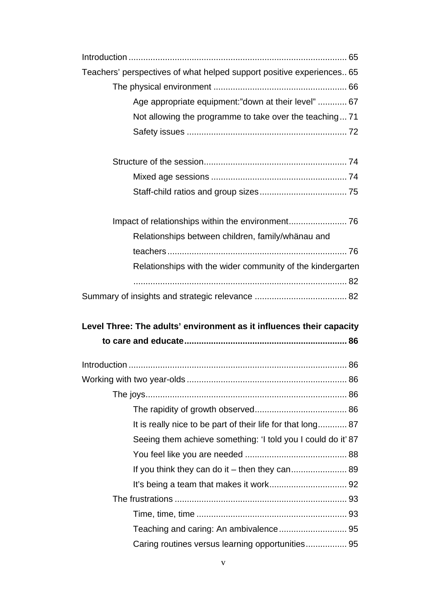| Teachers' perspectives of what helped support positive experiences 65 |  |
|-----------------------------------------------------------------------|--|
|                                                                       |  |
| Age appropriate equipment:"down at their level"  67                   |  |
| Not allowing the programme to take over the teaching 71               |  |
|                                                                       |  |
|                                                                       |  |
|                                                                       |  |
|                                                                       |  |
|                                                                       |  |
| Relationships between children, family/whänau and                     |  |
|                                                                       |  |
| Relationships with the wider community of the kindergarten            |  |
|                                                                       |  |
|                                                                       |  |
|                                                                       |  |
| Level Three: The adults' environment as it influences their capacity  |  |
|                                                                       |  |
|                                                                       |  |
|                                                                       |  |
|                                                                       |  |
|                                                                       |  |
| It is really nice to be part of their life for that long 87           |  |
| Seeing them achieve something: 'I told you I could do it' 87          |  |
|                                                                       |  |
| If you think they can do it - then they can 89                        |  |
|                                                                       |  |
|                                                                       |  |
|                                                                       |  |
| Caring routines versus learning opportunities 95                      |  |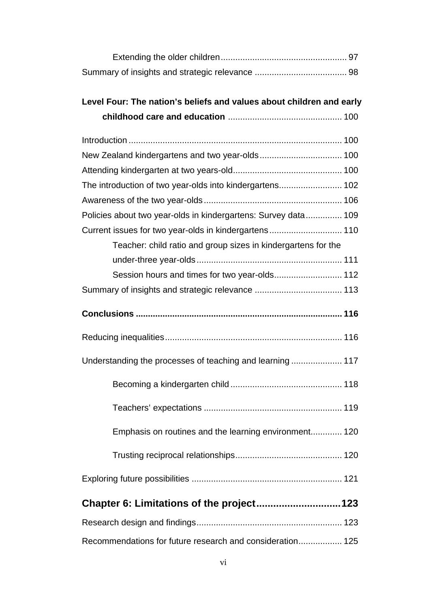## **Level Four: The nation's beliefs and values about children and early childhood care and education** ............................................... 100

| The introduction of two year-olds into kindergartens 102       |  |
|----------------------------------------------------------------|--|
|                                                                |  |
| Policies about two year-olds in kindergartens: Survey data 109 |  |
| Current issues for two year-olds in kindergartens 110          |  |
| Teacher: child ratio and group sizes in kindergartens for the  |  |
|                                                                |  |
| Session hours and times for two year-olds 112                  |  |
|                                                                |  |
|                                                                |  |
|                                                                |  |
|                                                                |  |
| Understanding the processes of teaching and learning 117       |  |
|                                                                |  |
|                                                                |  |
| Emphasis on routines and the learning environment 120          |  |
|                                                                |  |
|                                                                |  |
|                                                                |  |
|                                                                |  |
| Recommendations for future research and consideration 125      |  |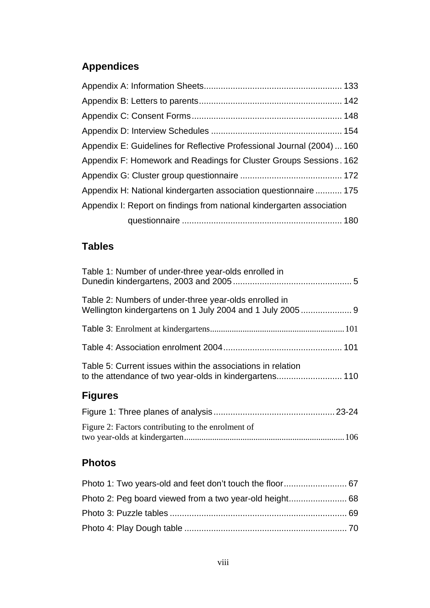# **Appendices**

| Appendix E: Guidelines for Reflective Professional Journal (2004)  160 |
|------------------------------------------------------------------------|
| Appendix F: Homework and Readings for Cluster Groups Sessions. 162     |
|                                                                        |
| Appendix H: National kindergarten association questionnaire  175       |
| Appendix I: Report on findings from national kindergarten association  |
|                                                                        |

# **Tables**

| Table 1: Number of under-three year-olds enrolled in        |  |
|-------------------------------------------------------------|--|
| Table 2: Numbers of under-three year-olds enrolled in       |  |
|                                                             |  |
|                                                             |  |
| Table 5: Current issues within the associations in relation |  |

# **Figures**

| Figure 2: Factors contributing to the enrolment of |  |
|----------------------------------------------------|--|
|                                                    |  |

## **Photos**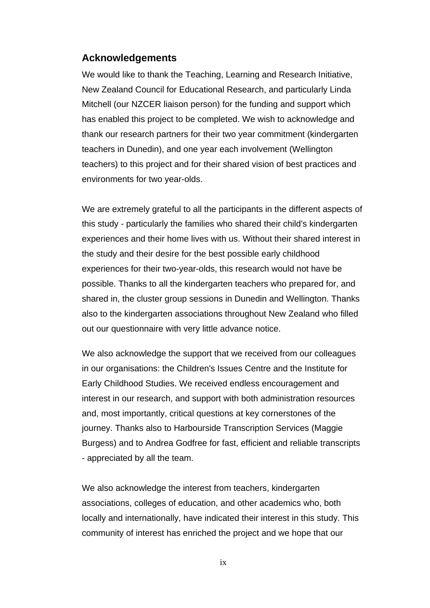### **Acknowledgements**

We would like to thank the Teaching, Learning and Research Initiative, New Zealand Council for Educational Research, and particularly Linda Mitchell (our NZCER liaison person) for the funding and support which has enabled this project to be completed. We wish to acknowledge and thank our research partners for their two year commitment (kindergarten teachers in Dunedin), and one year each involvement (Wellington teachers) to this project and for their shared vision of best practices and environments for two year-olds.

We are extremely grateful to all the participants in the different aspects of this study - particularly the families who shared their child's kindergarten experiences and their home lives with us. Without their shared interest in the study and their desire for the best possible early childhood experiences for their two-year-olds, this research would not have be possible. Thanks to all the kindergarten teachers who prepared for, and shared in, the cluster group sessions in Dunedin and Wellington. Thanks also to the kindergarten associations throughout New Zealand who filled out our questionnaire with very little advance notice.

We also acknowledge the support that we received from our colleagues in our organisations: the Children's Issues Centre and the Institute for Early Childhood Studies. We received endless encouragement and interest in our research, and support with both administration resources and, most importantly, critical questions at key cornerstones of the journey. Thanks also to Harbourside Transcription Services (Maggie Burgess) and to Andrea Godfree for fast, efficient and reliable transcripts - appreciated by all the team.

We also acknowledge the interest from teachers, kindergarten associations, colleges of education, and other academics who, both locally and internationally, have indicated their interest in this study. This community of interest has enriched the project and we hope that our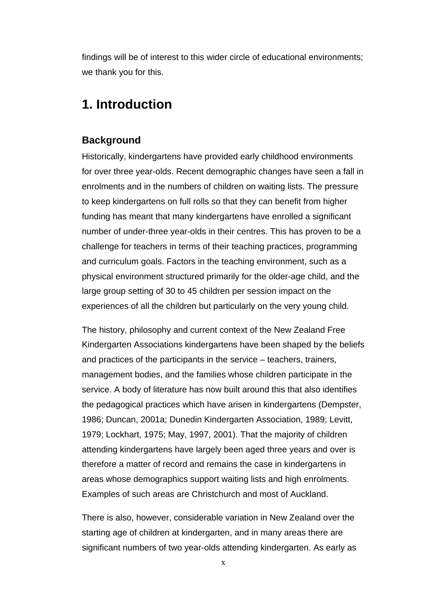findings will be of interest to this wider circle of educational environments; we thank you for this.

## **1. Introduction**

### **Background**

Historically, kindergartens have provided early childhood environments for over three year-olds. Recent demographic changes have seen a fall in enrolments and in the numbers of children on waiting lists. The pressure to keep kindergartens on full rolls so that they can benefit from higher funding has meant that many kindergartens have enrolled a significant number of under-three year-olds in their centres. This has proven to be a challenge for teachers in terms of their teaching practices, programming and curriculum goals. Factors in the teaching environment, such as a physical environment structured primarily for the older-age child, and the large group setting of 30 to 45 children per session impact on the experiences of all the children but particularly on the very young child.

The history, philosophy and current context of the New Zealand Free Kindergarten Associations kindergartens have been shaped by the beliefs and practices of the participants in the service – teachers, trainers, management bodies, and the families whose children participate in the service. A body of literature has now built around this that also identifies the pedagogical practices which have arisen in kindergartens (Dempster, 1986; Duncan, 2001a; Dunedin Kindergarten Association, 1989; Levitt, 1979; Lockhart, 1975; May, 1997, 2001). That the majority of children attending kindergartens have largely been aged three years and over is therefore a matter of record and remains the case in kindergartens in areas whose demographics support waiting lists and high enrolments. Examples of such areas are Christchurch and most of Auckland.

There is also, however, considerable variation in New Zealand over the starting age of children at kindergarten, and in many areas there are significant numbers of two year-olds attending kindergarten. As early as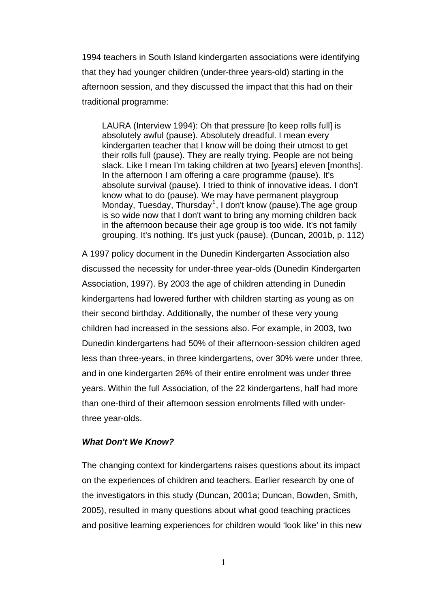1994 teachers in South Island kindergarten associations were identifying that they had younger children (under-three years-old) starting in the afternoon session, and they discussed the impact that this had on their traditional programme:

LAURA (Interview 1994): Oh that pressure [to keep rolls full] is absolutely awful (pause). Absolutely dreadful. I mean every kindergarten teacher that I know will be doing their utmost to get their rolls full (pause). They are really trying. People are not being slack. Like I mean I'm taking children at two [years] eleven [months]. In the afternoon I am offering a care programme (pause). It's absolute survival (pause). I tried to think of innovative ideas. I don't know what to do (pause). We may have permanent playgroup Monday, Tuesday, Thursday<sup>[1](#page-10-0)</sup>, I don't know (pause). The age group is so wide now that I don't want to bring any morning children back in the afternoon because their age group is too wide. It's not family grouping. It's nothing. It's just yuck (pause). (Duncan, 2001b, p. 112)

A 1997 policy document in the Dunedin Kindergarten Association also discussed the necessity for under-three year-olds (Dunedin Kindergarten Association, 1997). By 2003 the age of children attending in Dunedin kindergartens had lowered further with children starting as young as on their second birthday. Additionally, the number of these very young children had increased in the sessions also. For example, in 2003, two Dunedin kindergartens had 50% of their afternoon-session children aged less than three-years, in three kindergartens, over 30% were under three, and in one kindergarten 26% of their entire enrolment was under three years. Within the full Association, of the 22 kindergartens, half had more than one-third of their afternoon session enrolments filled with underthree year-olds.

### *What Don't We Know?*

<span id="page-10-0"></span>The changing context for kindergartens raises questions about its impact on the experiences of children and teachers. Earlier research by one of the investigators in this study (Duncan, 2001a; Duncan, Bowden, Smith, 2005), resulted in many questions about what good teaching practices and positive learning experiences for children would 'look like' in this new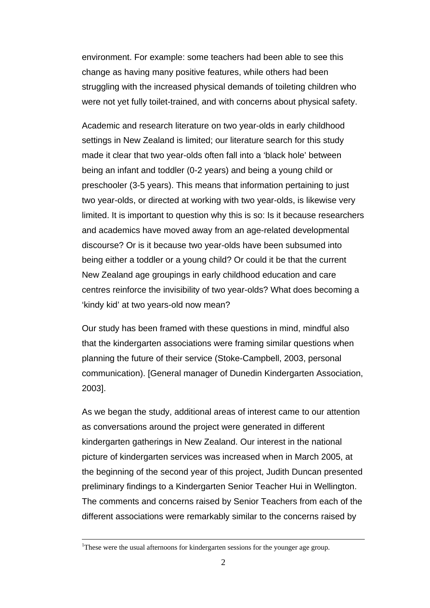environment. For example: some teachers had been able to see this change as having many positive features, while others had been struggling with the increased physical demands of toileting children who were not yet fully toilet-trained, and with concerns about physical safety.

Academic and research literature on two year-olds in early childhood settings in New Zealand is limited; our literature search for this study made it clear that two year-olds often fall into a 'black hole' between being an infant and toddler (0-2 years) and being a young child or preschooler (3-5 years). This means that information pertaining to just two year-olds, or directed at working with two year-olds, is likewise very limited. It is important to question why this is so: Is it because researchers and academics have moved away from an age-related developmental discourse? Or is it because two year-olds have been subsumed into being either a toddler or a young child? Or could it be that the current New Zealand age groupings in early childhood education and care centres reinforce the invisibility of two year-olds? What does becoming a 'kindy kid' at two years-old now mean?

Our study has been framed with these questions in mind, mindful also that the kindergarten associations were framing similar questions when planning the future of their service (Stoke-Campbell, 2003, personal communication). [General manager of Dunedin Kindergarten Association, 2003].

As we began the study, additional areas of interest came to our attention as conversations around the project were generated in different kindergarten gatherings in New Zealand. Our interest in the national picture of kindergarten services was increased when in March 2005, at the beginning of the second year of this project, Judith Duncan presented preliminary findings to a Kindergarten Senior Teacher Hui in Wellington. The comments and concerns raised by Senior Teachers from each of the different associations were remarkably similar to the concerns raised by

 $\frac{1}{1}$ <sup>1</sup>These were the usual afternoons for kindergarten sessions for the younger age group.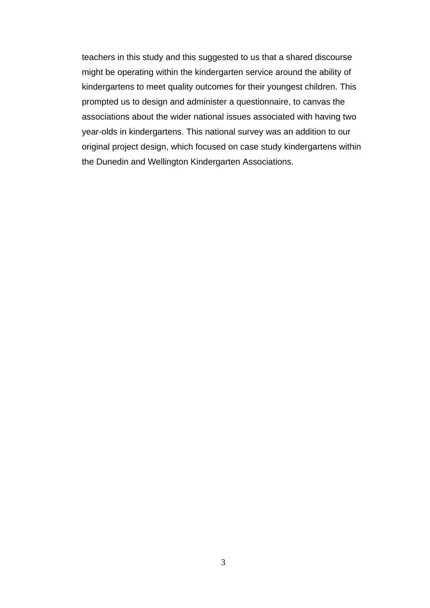teachers in this study and this suggested to us that a shared discourse might be operating within the kindergarten service around the ability of kindergartens to meet quality outcomes for their youngest children. This prompted us to design and administer a questionnaire, to canvas the associations about the wider national issues associated with having two year-olds in kindergartens. This national survey was an addition to our original project design, which focused on case study kindergartens within the Dunedin and Wellington Kindergarten Associations.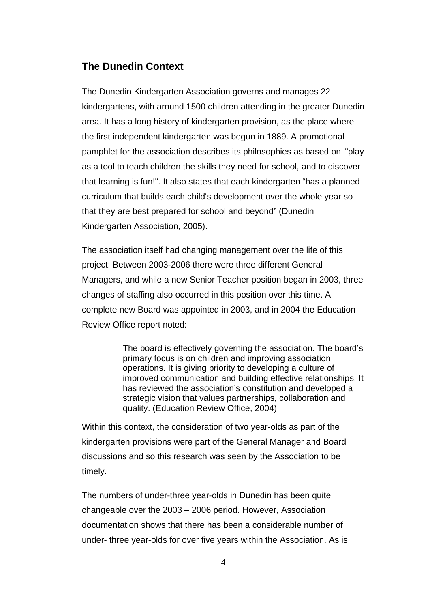### **The Dunedin Context**

The Dunedin Kindergarten Association governs and manages 22 kindergartens, with around 1500 children attending in the greater Dunedin area. It has a long history of kindergarten provision, as the place where the first independent kindergarten was begun in 1889. A promotional pamphlet for the association describes its philosophies as based on '"play as a tool to teach children the skills they need for school, and to discover that learning is fun!". It also states that each kindergarten "has a planned curriculum that builds each child's development over the whole year so that they are best prepared for school and beyond" (Dunedin Kindergarten Association, 2005).

The association itself had changing management over the life of this project: Between 2003-2006 there were three different General Managers, and while a new Senior Teacher position began in 2003, three changes of staffing also occurred in this position over this time. A complete new Board was appointed in 2003, and in 2004 the Education Review Office report noted:

> The board is effectively governing the association. The board's primary focus is on children and improving association operations. It is giving priority to developing a culture of improved communication and building effective relationships. It has reviewed the association's constitution and developed a strategic vision that values partnerships, collaboration and quality. (Education Review Office, 2004)

Within this context, the consideration of two year-olds as part of the kindergarten provisions were part of the General Manager and Board discussions and so this research was seen by the Association to be timely.

The numbers of under-three year-olds in Dunedin has been quite changeable over the 2003 – 2006 period. However, Association documentation shows that there has been a considerable number of under- three year-olds for over five years within the Association. As is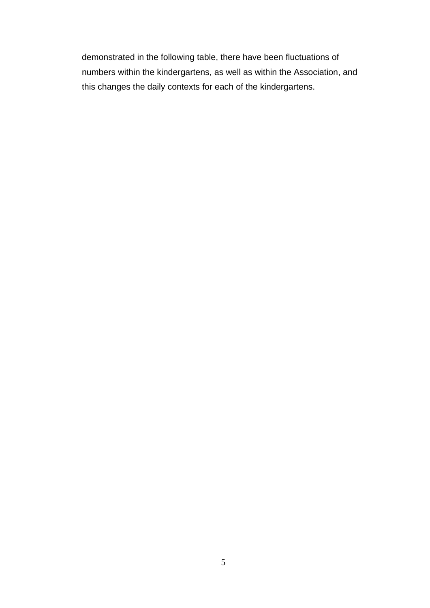demonstrated in the following table, there have been fluctuations of numbers within the kindergartens, as well as within the Association, and this changes the daily contexts for each of the kindergartens.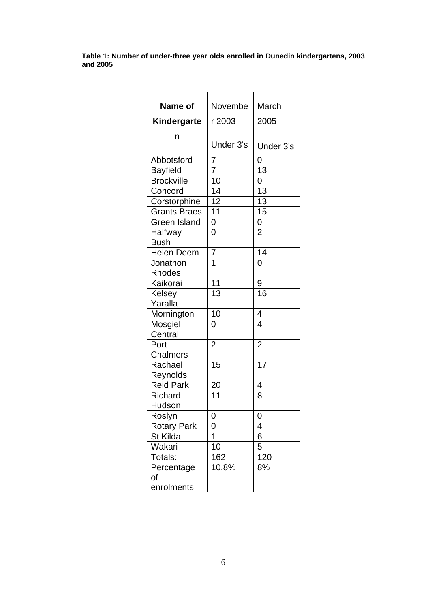**Table 1: Number of under-three year olds enrolled in Dunedin kindergartens, 2003 and 2005** 

| Name of             | Novembe         | March           |
|---------------------|-----------------|-----------------|
| Kindergarte         | r 2003          | 2005            |
| n                   |                 |                 |
|                     | Under 3's       | Under 3's       |
| Abbotsford          | 7               | 0               |
| <b>Bayfield</b>     | 7               | 13              |
| <b>Brockville</b>   | 10              | 0               |
| Concord             | 14              | 13              |
| Corstorphine        | 12              | $\overline{13}$ |
| <b>Grants Braes</b> | 11              | 15              |
| <b>Green Island</b> | 0               | 0               |
| Halfway             | 0               | $\overline{2}$  |
| <b>Bush</b>         |                 |                 |
| <b>Helen Deem</b>   | 7               | 14              |
| Jonathon            | 1               | 0               |
| Rhodes              |                 |                 |
| Kaikorai            | 11              | 9               |
| Kelsey              | $\overline{13}$ | 16              |
| Yaralla             |                 |                 |
| Mornington          | 10              | 4               |
| Mosgiel             | 0               | 4               |
| Central             |                 |                 |
| Port                | $\overline{2}$  | $\overline{2}$  |
| Chalmers            |                 |                 |
| Rachael             | $\overline{15}$ | 17              |
| Reynolds            |                 |                 |
| <b>Reid Park</b>    | 20              | 4               |
| <b>Richard</b>      | 11              | 8               |
| Hudson              |                 |                 |
| Roslyn              | 0               | 0               |
| <b>Rotary Park</b>  | 0               | 4               |
| St Kilda            | 1               | 6               |
| Wakari              | 10              | 5               |
| Totals:             | 162             | 120             |
| Percentage          | 10.8%           | 8%              |
| оf                  |                 |                 |
| enrolments          |                 |                 |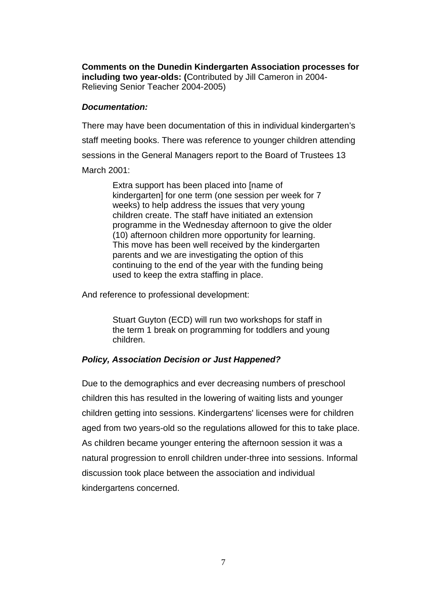**Comments on the Dunedin Kindergarten Association processes for including two year-olds: (**Contributed by Jill Cameron in 2004- Relieving Senior Teacher 2004-2005)

### *Documentation:*

There may have been documentation of this in individual kindergarten's staff meeting books. There was reference to younger children attending sessions in the General Managers report to the Board of Trustees 13 March 2001:

> Extra support has been placed into [name of kindergarten] for one term (one session per week for 7 weeks) to help address the issues that very young children create. The staff have initiated an extension programme in the Wednesday afternoon to give the older (10) afternoon children more opportunity for learning. This move has been well received by the kindergarten parents and we are investigating the option of this continuing to the end of the year with the funding being used to keep the extra staffing in place.

And reference to professional development:

Stuart Guyton (ECD) will run two workshops for staff in the term 1 break on programming for toddlers and young children.

### *Policy, Association Decision or Just Happened?*

Due to the demographics and ever decreasing numbers of preschool children this has resulted in the lowering of waiting lists and younger children getting into sessions. Kindergartens' licenses were for children aged from two years-old so the regulations allowed for this to take place. As children became younger entering the afternoon session it was a natural progression to enroll children under-three into sessions. Informal discussion took place between the association and individual kindergartens concerned.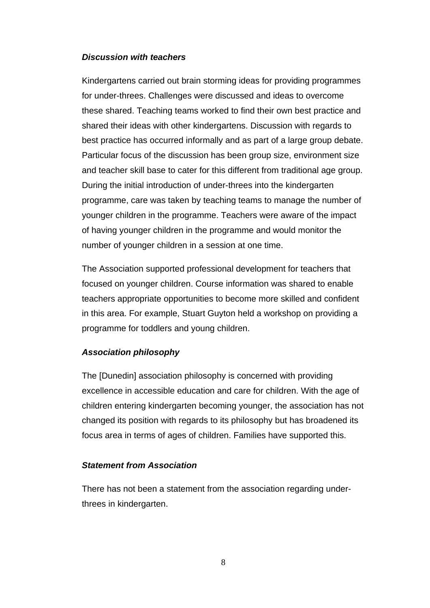### *Discussion with teachers*

Kindergartens carried out brain storming ideas for providing programmes for under-threes. Challenges were discussed and ideas to overcome these shared. Teaching teams worked to find their own best practice and shared their ideas with other kindergartens. Discussion with regards to best practice has occurred informally and as part of a large group debate. Particular focus of the discussion has been group size, environment size and teacher skill base to cater for this different from traditional age group. During the initial introduction of under-threes into the kindergarten programme, care was taken by teaching teams to manage the number of younger children in the programme. Teachers were aware of the impact of having younger children in the programme and would monitor the number of younger children in a session at one time.

The Association supported professional development for teachers that focused on younger children. Course information was shared to enable teachers appropriate opportunities to become more skilled and confident in this area. For example, Stuart Guyton held a workshop on providing a programme for toddlers and young children.

### *Association philosophy*

The [Dunedin] association philosophy is concerned with providing excellence in accessible education and care for children. With the age of children entering kindergarten becoming younger, the association has not changed its position with regards to its philosophy but has broadened its focus area in terms of ages of children. Families have supported this.

### *Statement from Association*

There has not been a statement from the association regarding underthrees in kindergarten.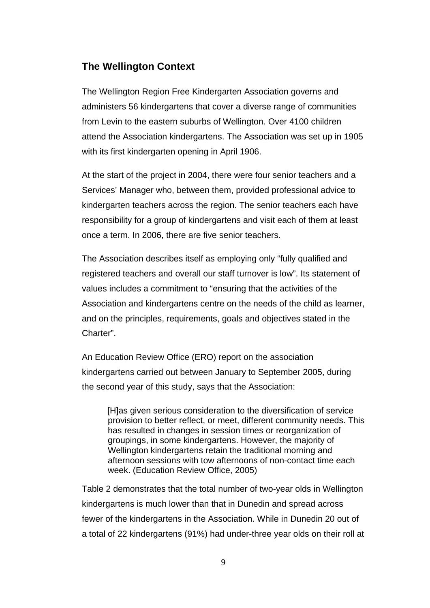### **The Wellington Context**

The Wellington Region Free Kindergarten Association governs and administers 56 kindergartens that cover a diverse range of communities from Levin to the eastern suburbs of Wellington. Over 4100 children attend the Association kindergartens. The Association was set up in 1905 with its first kindergarten opening in April 1906.

At the start of the project in 2004, there were four senior teachers and a Services' Manager who, between them, provided professional advice to kindergarten teachers across the region. The senior teachers each have responsibility for a group of kindergartens and visit each of them at least once a term. In 2006, there are five senior teachers.

The Association describes itself as employing only "fully qualified and registered teachers and overall our staff turnover is low". Its statement of values includes a commitment to "ensuring that the activities of the Association and kindergartens centre on the needs of the child as learner, and on the principles, requirements, goals and objectives stated in the Charter".

An Education Review Office (ERO) report on the association kindergartens carried out between January to September 2005, during the second year of this study, says that the Association:

[H]as given serious consideration to the diversification of service provision to better reflect, or meet, different community needs. This has resulted in changes in session times or reorganization of groupings, in some kindergartens. However, the majority of Wellington kindergartens retain the traditional morning and afternoon sessions with tow afternoons of non-contact time each week. (Education Review Office, 2005)

Table 2 demonstrates that the total number of two-year olds in Wellington kindergartens is much lower than that in Dunedin and spread across fewer of the kindergartens in the Association. While in Dunedin 20 out of a total of 22 kindergartens (91%) had under-three year olds on their roll at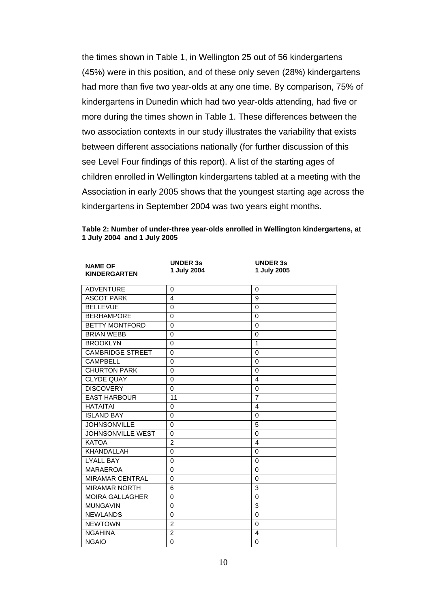the times shown in Table 1, in Wellington 25 out of 56 kindergartens (45%) were in this position, and of these only seven (28%) kindergartens had more than five two year-olds at any one time. By comparison, 75% of kindergartens in Dunedin which had two year-olds attending, had five or more during the times shown in Table 1. These differences between the two association contexts in our study illustrates the variability that exists between different associations nationally (for further discussion of this see Level Four findings of this report). A list of the starting ages of children enrolled in Wellington kindergartens tabled at a meeting with the Association in early 2005 shows that the youngest starting age across the kindergartens in September 2004 was two years eight months.

| <b>NAME OF</b><br><b>KINDERGARTEN</b> | <b>UNDER 3s</b><br>1 July 2004 | <b>UNDER 3s</b><br>1 July 2005 |  |
|---------------------------------------|--------------------------------|--------------------------------|--|
| <b>ADVENTURE</b>                      | $\Omega$                       | 0                              |  |
| <b>ASCOT PARK</b>                     | $\overline{4}$                 | 9                              |  |
| <b>BELLEVUE</b>                       | 0                              | $\Omega$                       |  |
| <b>BERHAMPORE</b>                     | $\Omega$                       | $\Omega$                       |  |
| <b>BETTY MONTFORD</b>                 | $\Omega$                       | 0                              |  |
| <b>BRIAN WEBB</b>                     | $\Omega$                       | $\Omega$                       |  |
| <b>BROOKLYN</b>                       | $\Omega$                       | 1                              |  |
| <b>CAMBRIDGE STREET</b>               | $\Omega$                       | $\Omega$                       |  |
| <b>CAMPBELL</b>                       | $\Omega$                       | $\Omega$                       |  |
| <b>CHURTON PARK</b>                   | $\Omega$                       | $\Omega$                       |  |
| <b>CLYDE QUAY</b>                     | $\overline{0}$                 | $\overline{4}$                 |  |
| <b>DISCOVERY</b>                      | 0                              | 0                              |  |
| <b>EAST HARBOUR</b>                   | 11                             | $\overline{7}$                 |  |
| <b>HATAITAI</b>                       | $\Omega$                       | 4                              |  |
| <b>ISLAND BAY</b>                     | $\Omega$                       | $\Omega$                       |  |
| <b>JOHNSONVILLE</b>                   | $\Omega$                       | 5                              |  |
| <b>JOHNSONVILLE WEST</b>              | $\Omega$                       | $\Omega$                       |  |
| <b>KATOA</b>                          | 2                              | $\overline{4}$                 |  |
| KHANDALLAH                            | $\Omega$                       | $\Omega$                       |  |
| <b>LYALL BAY</b>                      | 0                              | $\Omega$                       |  |
| <b>MARAEROA</b>                       | $\Omega$                       | $\Omega$                       |  |
| <b>MIRAMAR CENTRAL</b>                | $\Omega$                       | $\Omega$                       |  |
| <b>MIRAMAR NORTH</b>                  | 6                              | 3                              |  |
| <b>MOIRA GALLAGHER</b>                | $\Omega$                       | $\Omega$                       |  |
| <b>MUNGAVIN</b>                       | $\Omega$                       | 3                              |  |
| <b>NEWLANDS</b>                       | $\mathbf 0$                    | $\Omega$                       |  |
| <b>NEWTOWN</b>                        | $\overline{2}$                 | $\Omega$                       |  |
| <b>NGAHINA</b>                        | $\overline{2}$                 | 4                              |  |
| <b>NGAIO</b>                          | $\Omega$                       | $\Omega$                       |  |
|                                       |                                |                                |  |

**Table 2: Number of under-three year-olds enrolled in Wellington kindergartens, at 1 July 2004 and 1 July 2005**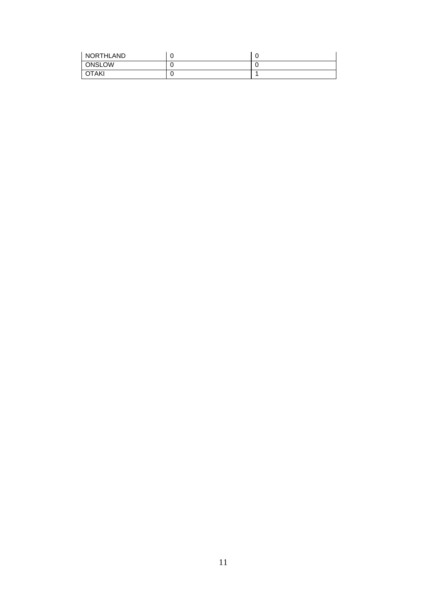| NORTHLAND     |  |
|---------------|--|
| <b>ONSLOW</b> |  |
| OTAKI         |  |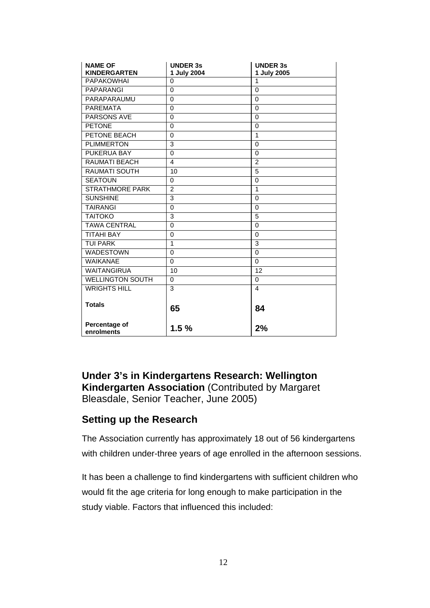| <b>NAME OF</b><br><b>KINDERGARTEN</b> | <b>UNDER 3s</b><br>1 July 2004 | <b>UNDER 3s</b><br>1 July 2005 |
|---------------------------------------|--------------------------------|--------------------------------|
| <b>PAPAKOWHAI</b>                     | $\Omega$                       | 1                              |
| <b>PAPARANGI</b>                      | 0                              | $\mathbf 0$                    |
| PARAPARAUMU                           | $\Omega$                       | $\Omega$                       |
| <b>PAREMATA</b>                       | $\Omega$                       | $\Omega$                       |
| <b>PARSONS AVE</b>                    | 0                              | $\Omega$                       |
| <b>PETONE</b>                         | $\Omega$                       | $\Omega$                       |
| PETONE BEACH                          | $\Omega$                       | 1                              |
| <b>PLIMMERTON</b>                     | 3                              | $\mathbf 0$                    |
| PUKERUA BAY                           | 0                              | $\Omega$                       |
| RAUMATI BEACH                         | 4                              | $\overline{2}$                 |
| <b>RAUMATI SOUTH</b>                  | 10                             | 5                              |
| <b>SEATOUN</b>                        | $\Omega$                       | $\Omega$                       |
| <b>STRATHMORE PARK</b>                | $\overline{2}$                 | $\mathbf{1}$                   |
| <b>SUNSHINE</b>                       | 3                              | $\Omega$                       |
| <b>TAIRANGI</b>                       | $\mathbf 0$                    | $\Omega$                       |
| <b>TAITOKO</b>                        | 3                              | 5                              |
| <b>TAWA CENTRAL</b>                   | 0                              | $\Omega$                       |
| <b>TITAHI BAY</b>                     | $\Omega$                       | $\Omega$                       |
| <b>TUI PARK</b>                       | $\mathbf{1}$                   | 3                              |
| <b>WADESTOWN</b>                      | 0                              | $\mathbf 0$                    |
| <b>WAIKANAE</b>                       | $\Omega$                       | $\Omega$                       |
| <b>WAITANGIRUA</b>                    | 10                             | 12                             |
| <b>WELLINGTON SOUTH</b>               | $\Omega$                       | 0                              |
| <b>WRIGHTS HILL</b>                   | 3                              | 4                              |
| <b>Totals</b>                         | 65                             | 84                             |
| Percentage of<br>enrolments           | 1.5%                           | 2%                             |

**Under 3's in Kindergartens Research: Wellington Kindergarten Association** (Contributed by Margaret Bleasdale, Senior Teacher, June 2005)

### **Setting up the Research**

The Association currently has approximately 18 out of 56 kindergartens with children under-three years of age enrolled in the afternoon sessions.

It has been a challenge to find kindergartens with sufficient children who would fit the age criteria for long enough to make participation in the study viable. Factors that influenced this included: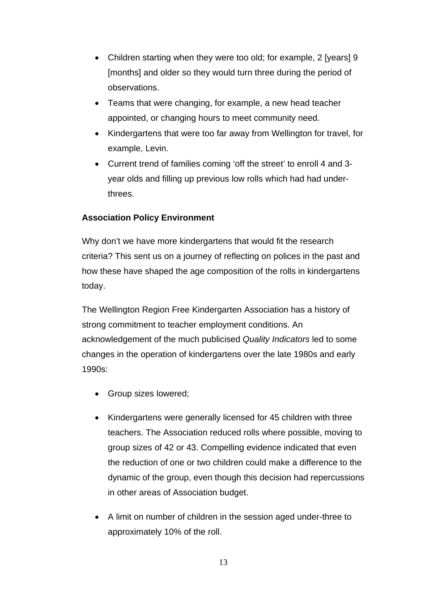- Children starting when they were too old; for example, 2 [years] 9 [months] and older so they would turn three during the period of observations.
- Teams that were changing, for example, a new head teacher appointed, or changing hours to meet community need.
- Kindergartens that were too far away from Wellington for travel, for example, Levin.
- Current trend of families coming 'off the street' to enroll 4 and 3 year olds and filling up previous low rolls which had had underthrees.

### **Association Policy Environment**

Why don't we have more kindergartens that would fit the research criteria? This sent us on a journey of reflecting on polices in the past and how these have shaped the age composition of the rolls in kindergartens today.

The Wellington Region Free Kindergarten Association has a history of strong commitment to teacher employment conditions. An acknowledgement of the much publicised *Quality Indicators* led to some changes in the operation of kindergartens over the late 1980s and early 1990s:

- Group sizes lowered:
- Kindergartens were generally licensed for 45 children with three teachers. The Association reduced rolls where possible, moving to group sizes of 42 or 43. Compelling evidence indicated that even the reduction of one or two children could make a difference to the dynamic of the group, even though this decision had repercussions in other areas of Association budget.
- A limit on number of children in the session aged under-three to approximately 10% of the roll.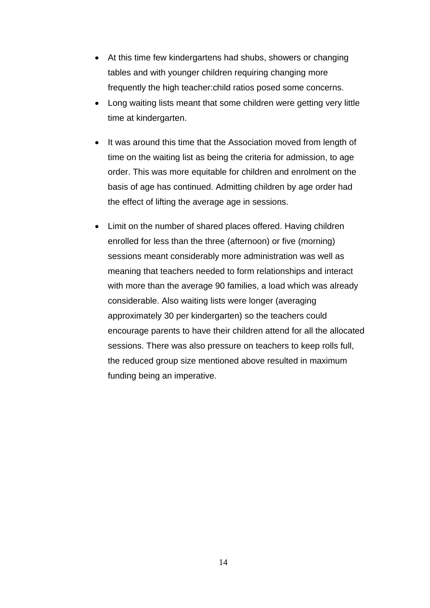- At this time few kindergartens had shubs, showers or changing tables and with younger children requiring changing more frequently the high teacher:child ratios posed some concerns.
- Long waiting lists meant that some children were getting very little time at kindergarten.
- It was around this time that the Association moved from length of time on the waiting list as being the criteria for admission, to age order. This was more equitable for children and enrolment on the basis of age has continued. Admitting children by age order had the effect of lifting the average age in sessions.
- Limit on the number of shared places offered. Having children enrolled for less than the three (afternoon) or five (morning) sessions meant considerably more administration was well as meaning that teachers needed to form relationships and interact with more than the average 90 families, a load which was already considerable. Also waiting lists were longer (averaging approximately 30 per kindergarten) so the teachers could encourage parents to have their children attend for all the allocated sessions. There was also pressure on teachers to keep rolls full, the reduced group size mentioned above resulted in maximum funding being an imperative.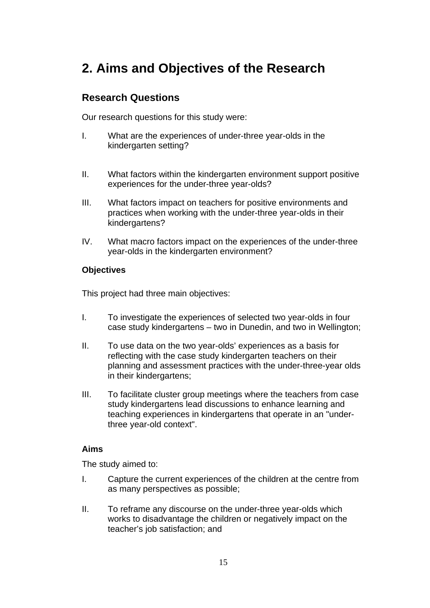# **2. Aims and Objectives of the Research**

### **Research Questions**

Our research questions for this study were:

- I. What are the experiences of under-three year-olds in the kindergarten setting?
- II. What factors within the kindergarten environment support positive experiences for the under-three year-olds?
- III. What factors impact on teachers for positive environments and practices when working with the under-three year-olds in their kindergartens?
- IV. What macro factors impact on the experiences of the under-three year-olds in the kindergarten environment?

### **Objectives**

This project had three main objectives:

- I. To investigate the experiences of selected two year-olds in four case study kindergartens – two in Dunedin, and two in Wellington;
- II. To use data on the two year-olds' experiences as a basis for reflecting with the case study kindergarten teachers on their planning and assessment practices with the under-three-year olds in their kindergartens;
- III. To facilitate cluster group meetings where the teachers from case study kindergartens lead discussions to enhance learning and teaching experiences in kindergartens that operate in an "underthree year-old context".

### **Aims**

The study aimed to:

- I. Capture the current experiences of the children at the centre from as many perspectives as possible;
- II. To reframe any discourse on the under-three year-olds which works to disadvantage the children or negatively impact on the teacher's job satisfaction; and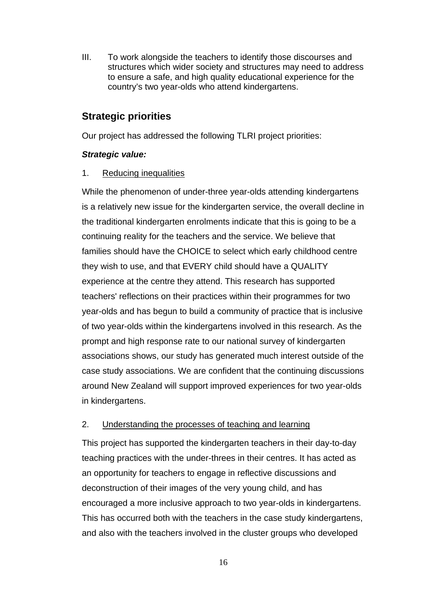III. To work alongside the teachers to identify those discourses and structures which wider society and structures may need to address to ensure a safe, and high quality educational experience for the country's two year-olds who attend kindergartens.

## **Strategic priorities**

Our project has addressed the following TLRI project priorities:

### *Strategic value:*

### 1. Reducing inequalities

While the phenomenon of under-three year-olds attending kindergartens is a relatively new issue for the kindergarten service, the overall decline in the traditional kindergarten enrolments indicate that this is going to be a continuing reality for the teachers and the service. We believe that families should have the CHOICE to select which early childhood centre they wish to use, and that EVERY child should have a QUALITY experience at the centre they attend. This research has supported teachers' reflections on their practices within their programmes for two year-olds and has begun to build a community of practice that is inclusive of two year-olds within the kindergartens involved in this research. As the prompt and high response rate to our national survey of kindergarten associations shows, our study has generated much interest outside of the case study associations. We are confident that the continuing discussions around New Zealand will support improved experiences for two year-olds in kindergartens.

### 2. Understanding the processes of teaching and learning

This project has supported the kindergarten teachers in their day-to-day teaching practices with the under-threes in their centres. It has acted as an opportunity for teachers to engage in reflective discussions and deconstruction of their images of the very young child, and has encouraged a more inclusive approach to two year-olds in kindergartens. This has occurred both with the teachers in the case study kindergartens, and also with the teachers involved in the cluster groups who developed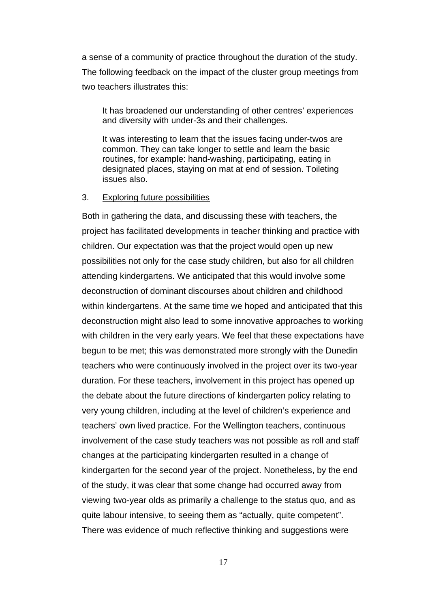a sense of a community of practice throughout the duration of the study. The following feedback on the impact of the cluster group meetings from two teachers illustrates this:

It has broadened our understanding of other centres' experiences and diversity with under-3s and their challenges.

It was interesting to learn that the issues facing under-twos are common. They can take longer to settle and learn the basic routines, for example: hand-washing, participating, eating in designated places, staying on mat at end of session. Toileting issues also.

#### 3. Exploring future possibilities

Both in gathering the data, and discussing these with teachers, the project has facilitated developments in teacher thinking and practice with children. Our expectation was that the project would open up new possibilities not only for the case study children, but also for all children attending kindergartens. We anticipated that this would involve some deconstruction of dominant discourses about children and childhood within kindergartens. At the same time we hoped and anticipated that this deconstruction might also lead to some innovative approaches to working with children in the very early years. We feel that these expectations have begun to be met; this was demonstrated more strongly with the Dunedin teachers who were continuously involved in the project over its two-year duration. For these teachers, involvement in this project has opened up the debate about the future directions of kindergarten policy relating to very young children, including at the level of children's experience and teachers' own lived practice. For the Wellington teachers, continuous involvement of the case study teachers was not possible as roll and staff changes at the participating kindergarten resulted in a change of kindergarten for the second year of the project. Nonetheless, by the end of the study, it was clear that some change had occurred away from viewing two-year olds as primarily a challenge to the status quo, and as quite labour intensive, to seeing them as "actually, quite competent". There was evidence of much reflective thinking and suggestions were

17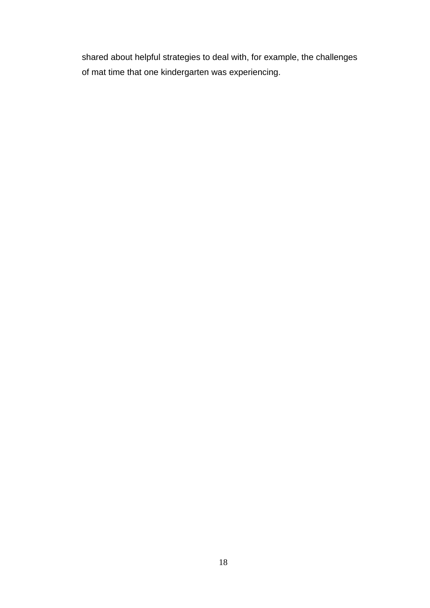shared about helpful strategies to deal with, for example, the challenges of mat time that one kindergarten was experiencing.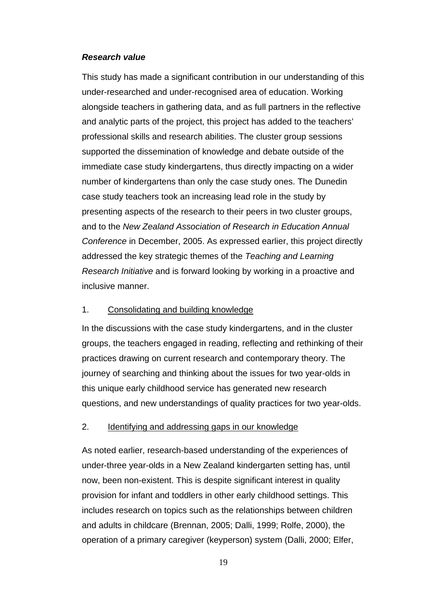### *Research value*

This study has made a significant contribution in our understanding of this under-researched and under-recognised area of education. Working alongside teachers in gathering data, and as full partners in the reflective and analytic parts of the project, this project has added to the teachers' professional skills and research abilities. The cluster group sessions supported the dissemination of knowledge and debate outside of the immediate case study kindergartens, thus directly impacting on a wider number of kindergartens than only the case study ones. The Dunedin case study teachers took an increasing lead role in the study by presenting aspects of the research to their peers in two cluster groups, and to the *New Zealand Association of Research in Education Annual Conference* in December, 2005. As expressed earlier, this project directly addressed the key strategic themes of the *Teaching and Learning Research Initiative* and is forward looking by working in a proactive and inclusive manner.

### 1. Consolidating and building knowledge

In the discussions with the case study kindergartens, and in the cluster groups, the teachers engaged in reading, reflecting and rethinking of their practices drawing on current research and contemporary theory. The journey of searching and thinking about the issues for two year-olds in this unique early childhood service has generated new research questions, and new understandings of quality practices for two year-olds.

### 2. Identifying and addressing gaps in our knowledge

As noted earlier, research-based understanding of the experiences of under-three year-olds in a New Zealand kindergarten setting has, until now, been non-existent. This is despite significant interest in quality provision for infant and toddlers in other early childhood settings. This includes research on topics such as the relationships between children and adults in childcare (Brennan, 2005; Dalli, 1999; Rolfe, 2000), the operation of a primary caregiver (keyperson) system (Dalli, 2000; Elfer,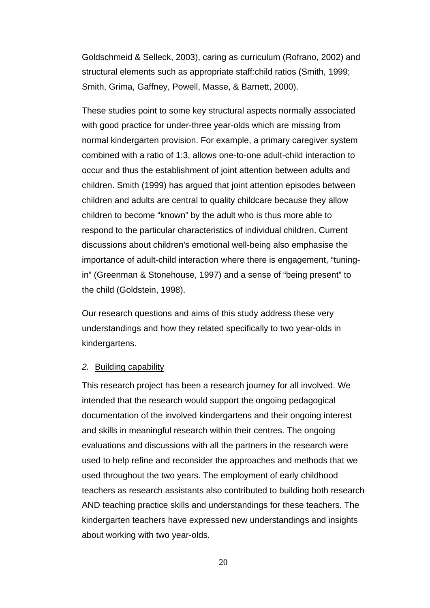Goldschmeid & Selleck, 2003), caring as curriculum (Rofrano, 2002) and structural elements such as appropriate staff:child ratios (Smith, 1999; Smith, Grima, Gaffney, Powell, Masse, & Barnett, 2000).

These studies point to some key structural aspects normally associated with good practice for under-three year-olds which are missing from normal kindergarten provision. For example, a primary caregiver system combined with a ratio of 1:3, allows one-to-one adult-child interaction to occur and thus the establishment of joint attention between adults and children. Smith (1999) has argued that joint attention episodes between children and adults are central to quality childcare because they allow children to become "known" by the adult who is thus more able to respond to the particular characteristics of individual children. Current discussions about children's emotional well-being also emphasise the importance of adult-child interaction where there is engagement, "tuningin" (Greenman & Stonehouse, 1997) and a sense of "being present" to the child (Goldstein, 1998).

Our research questions and aims of this study address these very understandings and how they related specifically to two year-olds in kindergartens.

#### *2.* Building capability

This research project has been a research journey for all involved. We intended that the research would support the ongoing pedagogical documentation of the involved kindergartens and their ongoing interest and skills in meaningful research within their centres. The ongoing evaluations and discussions with all the partners in the research were used to help refine and reconsider the approaches and methods that we used throughout the two years. The employment of early childhood teachers as research assistants also contributed to building both research AND teaching practice skills and understandings for these teachers. The kindergarten teachers have expressed new understandings and insights about working with two year-olds.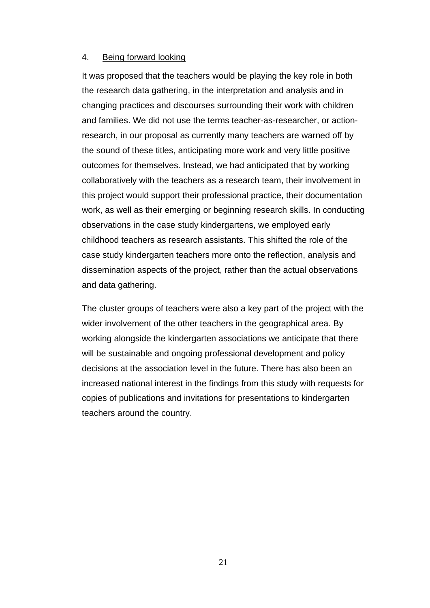### 4. Being forward looking

It was proposed that the teachers would be playing the key role in both the research data gathering, in the interpretation and analysis and in changing practices and discourses surrounding their work with children and families. We did not use the terms teacher-as-researcher, or actionresearch, in our proposal as currently many teachers are warned off by the sound of these titles, anticipating more work and very little positive outcomes for themselves. Instead, we had anticipated that by working collaboratively with the teachers as a research team, their involvement in this project would support their professional practice, their documentation work, as well as their emerging or beginning research skills. In conducting observations in the case study kindergartens, we employed early childhood teachers as research assistants. This shifted the role of the case study kindergarten teachers more onto the reflection, analysis and dissemination aspects of the project, rather than the actual observations and data gathering.

The cluster groups of teachers were also a key part of the project with the wider involvement of the other teachers in the geographical area. By working alongside the kindergarten associations we anticipate that there will be sustainable and ongoing professional development and policy decisions at the association level in the future. There has also been an increased national interest in the findings from this study with requests for copies of publications and invitations for presentations to kindergarten teachers around the country.

21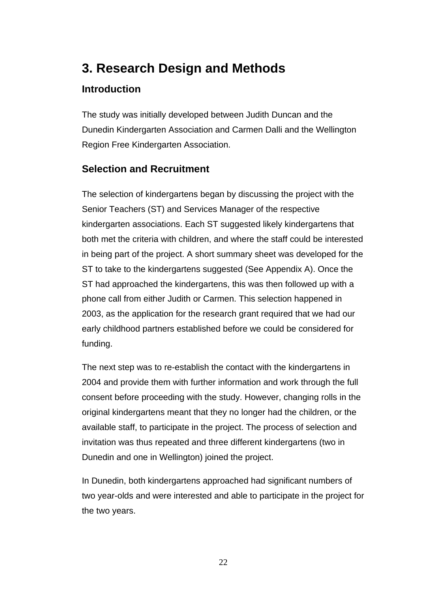# **3. Research Design and Methods**

## **Introduction**

The study was initially developed between Judith Duncan and the Dunedin Kindergarten Association and Carmen Dalli and the Wellington Region Free Kindergarten Association.

### **Selection and Recruitment**

The selection of kindergartens began by discussing the project with the Senior Teachers (ST) and Services Manager of the respective kindergarten associations. Each ST suggested likely kindergartens that both met the criteria with children, and where the staff could be interested in being part of the project. A short summary sheet was developed for the ST to take to the kindergartens suggested (See Appendix A). Once the ST had approached the kindergartens, this was then followed up with a phone call from either Judith or Carmen. This selection happened in 2003, as the application for the research grant required that we had our early childhood partners established before we could be considered for funding.

The next step was to re-establish the contact with the kindergartens in 2004 and provide them with further information and work through the full consent before proceeding with the study. However, changing rolls in the original kindergartens meant that they no longer had the children, or the available staff, to participate in the project. The process of selection and invitation was thus repeated and three different kindergartens (two in Dunedin and one in Wellington) joined the project.

In Dunedin, both kindergartens approached had significant numbers of two year-olds and were interested and able to participate in the project for the two years.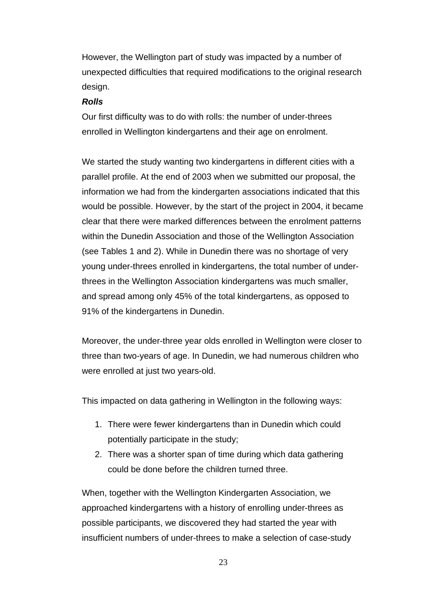However, the Wellington part of study was impacted by a number of unexpected difficulties that required modifications to the original research design.

### *Rolls*

Our first difficulty was to do with rolls: the number of under-threes enrolled in Wellington kindergartens and their age on enrolment.

We started the study wanting two kindergartens in different cities with a parallel profile. At the end of 2003 when we submitted our proposal, the information we had from the kindergarten associations indicated that this would be possible. However, by the start of the project in 2004, it became clear that there were marked differences between the enrolment patterns within the Dunedin Association and those of the Wellington Association (see Tables 1 and 2). While in Dunedin there was no shortage of very young under-threes enrolled in kindergartens, the total number of underthrees in the Wellington Association kindergartens was much smaller, and spread among only 45% of the total kindergartens, as opposed to 91% of the kindergartens in Dunedin.

Moreover, the under-three year olds enrolled in Wellington were closer to three than two-years of age. In Dunedin, we had numerous children who were enrolled at just two years-old.

This impacted on data gathering in Wellington in the following ways:

- 1. There were fewer kindergartens than in Dunedin which could potentially participate in the study;
- 2. There was a shorter span of time during which data gathering could be done before the children turned three.

When, together with the Wellington Kindergarten Association, we approached kindergartens with a history of enrolling under-threes as possible participants, we discovered they had started the year with insufficient numbers of under-threes to make a selection of case-study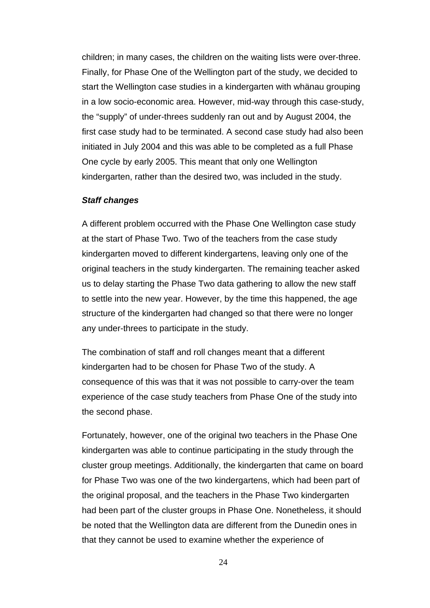children; in many cases, the children on the waiting lists were over-three. Finally, for Phase One of the Wellington part of the study, we decided to start the Wellington case studies in a kindergarten with whänau grouping in a low socio-economic area. However, mid-way through this case-study, the "supply" of under-threes suddenly ran out and by August 2004, the first case study had to be terminated. A second case study had also been initiated in July 2004 and this was able to be completed as a full Phase One cycle by early 2005. This meant that only one Wellington kindergarten, rather than the desired two, was included in the study.

### *Staff changes*

A different problem occurred with the Phase One Wellington case study at the start of Phase Two. Two of the teachers from the case study kindergarten moved to different kindergartens, leaving only one of the original teachers in the study kindergarten. The remaining teacher asked us to delay starting the Phase Two data gathering to allow the new staff to settle into the new year. However, by the time this happened, the age structure of the kindergarten had changed so that there were no longer any under-threes to participate in the study.

The combination of staff and roll changes meant that a different kindergarten had to be chosen for Phase Two of the study. A consequence of this was that it was not possible to carry-over the team experience of the case study teachers from Phase One of the study into the second phase.

Fortunately, however, one of the original two teachers in the Phase One kindergarten was able to continue participating in the study through the cluster group meetings. Additionally, the kindergarten that came on board for Phase Two was one of the two kindergartens, which had been part of the original proposal, and the teachers in the Phase Two kindergarten had been part of the cluster groups in Phase One. Nonetheless, it should be noted that the Wellington data are different from the Dunedin ones in that they cannot be used to examine whether the experience of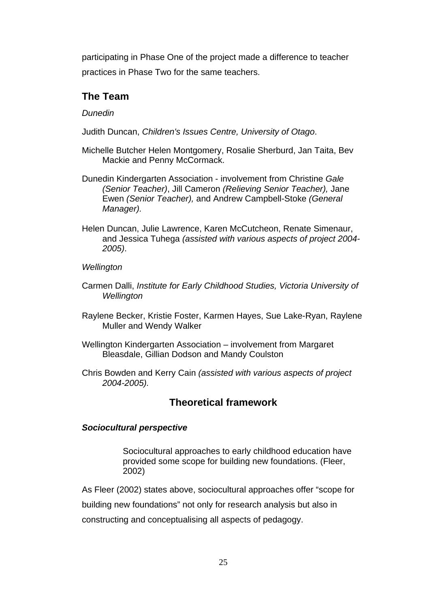participating in Phase One of the project made a difference to teacher practices in Phase Two for the same teachers.

## **The Team**

*Dunedin* 

- Judith Duncan, *Children's Issues Centre, University of Otago*.
- Michelle Butcher Helen Montgomery, Rosalie Sherburd, Jan Taita, Bev Mackie and Penny McCormack.
- Dunedin Kindergarten Association involvement from Christine *Gale (Senior Teacher)*, Jill Cameron *(Relieving Senior Teacher),* Jane Ewen *(Senior Teacher),* and Andrew Campbell-Stoke *(General Manager).*
- Helen Duncan, Julie Lawrence, Karen McCutcheon, Renate Simenaur, and Jessica Tuhega *(assisted with various aspects of project 2004- 2005)*.

### *Wellington*

- Carmen Dalli, *Institute for Early Childhood Studies, Victoria University of Wellington*
- Raylene Becker, Kristie Foster, Karmen Hayes, Sue Lake-Ryan, Raylene Muller and Wendy Walker
- Wellington Kindergarten Association involvement from Margaret Bleasdale, Gillian Dodson and Mandy Coulston
- Chris Bowden and Kerry Cain *(assisted with various aspects of project 2004-2005).*

### **Theoretical framework**

### *Sociocultural perspective*

Sociocultural approaches to early childhood education have provided some scope for building new foundations. (Fleer, 2002)

As Fleer (2002) states above, sociocultural approaches offer "scope for

building new foundations" not only for research analysis but also in

constructing and conceptualising all aspects of pedagogy.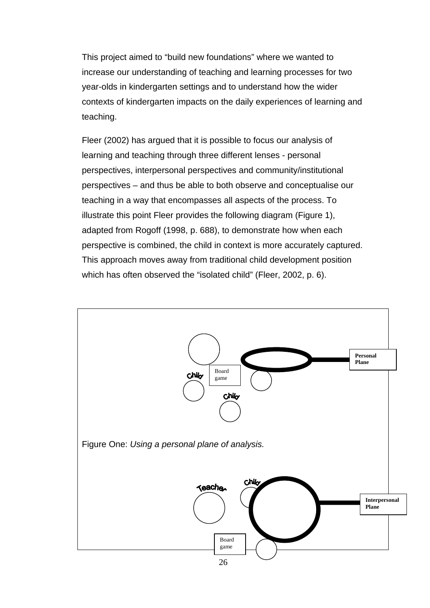This project aimed to "build new foundations" where we wanted to increase our understanding of teaching and learning processes for two year-olds in kindergarten settings and to understand how the wider contexts of kindergarten impacts on the daily experiences of learning and teaching.

Fleer (2002) has argued that it is possible to focus our analysis of learning and teaching through three different lenses - personal perspectives, interpersonal perspectives and community/institutional perspectives – and thus be able to both observe and conceptualise our teaching in a way that encompasses all aspects of the process. To illustrate this point Fleer provides the following diagram (Figure 1), adapted from Rogoff (1998, p. 688), to demonstrate how when each perspective is combined, the child in context is more accurately captured. This approach moves away from traditional child development position which has often observed the "isolated child" (Fleer, 2002, p. 6).

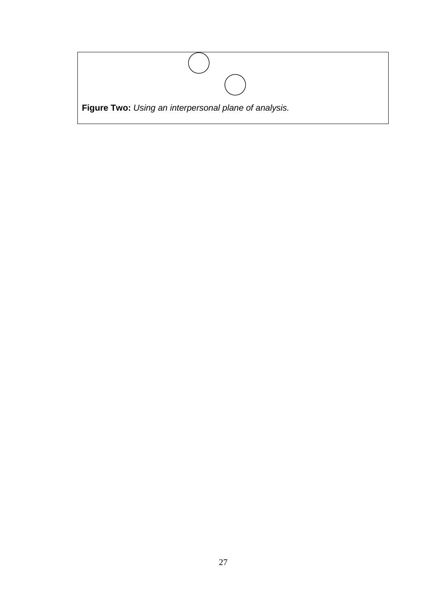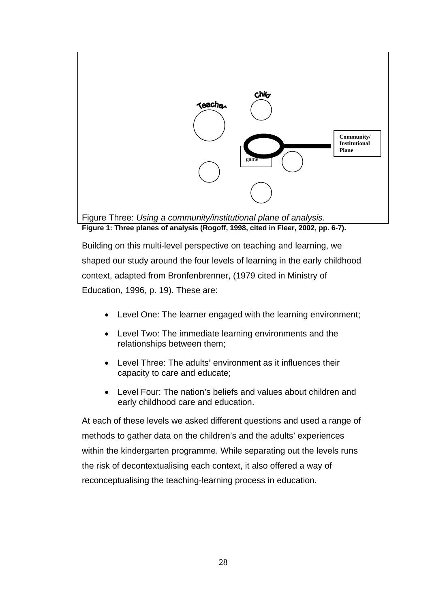

Building on this multi-level perspective on teaching and learning, we shaped our study around the four levels of learning in the early childhood context, adapted from Bronfenbrenner, (1979 cited in Ministry of Education, 1996, p. 19). These are:

- Level One: The learner engaged with the learning environment;
- Level Two: The immediate learning environments and the relationships between them;
- Level Three: The adults' environment as it influences their capacity to care and educate;
- Level Four: The nation's beliefs and values about children and early childhood care and education.

At each of these levels we asked different questions and used a range of methods to gather data on the children's and the adults' experiences within the kindergarten programme. While separating out the levels runs the risk of decontextualising each context, it also offered a way of reconceptualising the teaching-learning process in education.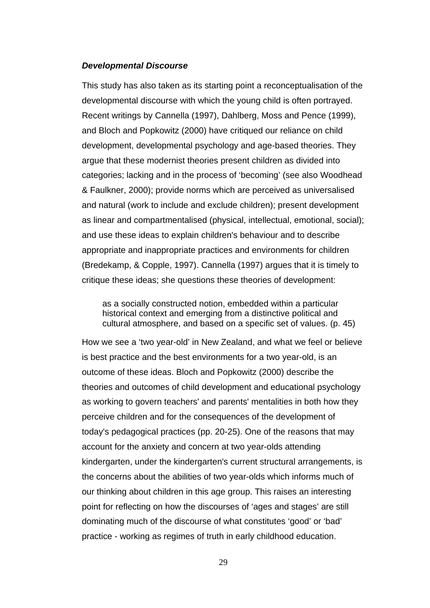#### *Developmental Discourse*

This study has also taken as its starting point a reconceptualisation of the developmental discourse with which the young child is often portrayed. Recent writings by Cannella (1997), Dahlberg, Moss and Pence (1999), and Bloch and Popkowitz (2000) have critiqued our reliance on child development, developmental psychology and age-based theories. They argue that these modernist theories present children as divided into categories; lacking and in the process of 'becoming' (see also Woodhead & Faulkner, 2000); provide norms which are perceived as universalised and natural (work to include and exclude children); present development as linear and compartmentalised (physical, intellectual, emotional, social); and use these ideas to explain children's behaviour and to describe appropriate and inappropriate practices and environments for children (Bredekamp, & Copple, 1997). Cannella (1997) argues that it is timely to critique these ideas; she questions these theories of development:

as a socially constructed notion, embedded within a particular historical context and emerging from a distinctive political and cultural atmosphere, and based on a specific set of values. (p. 45)

How we see a 'two year-old' in New Zealand, and what we feel or believe is best practice and the best environments for a two year-old, is an outcome of these ideas. Bloch and Popkowitz (2000) describe the theories and outcomes of child development and educational psychology as working to govern teachers' and parents' mentalities in both how they perceive children and for the consequences of the development of today's pedagogical practices (pp. 20-25). One of the reasons that may account for the anxiety and concern at two year-olds attending kindergarten, under the kindergarten's current structural arrangements, is the concerns about the abilities of two year-olds which informs much of our thinking about children in this age group. This raises an interesting point for reflecting on how the discourses of 'ages and stages' are still dominating much of the discourse of what constitutes 'good' or 'bad' practice - working as regimes of truth in early childhood education.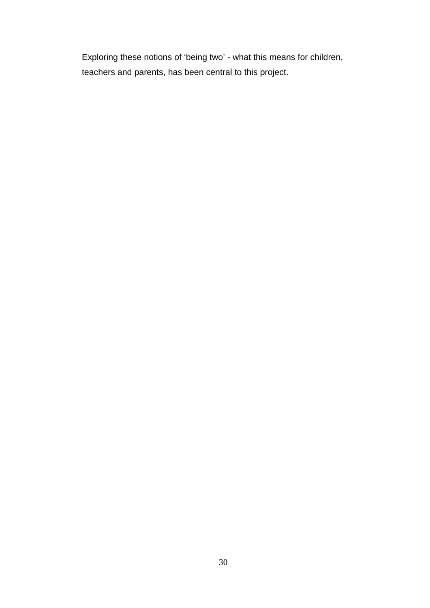Exploring these notions of 'being two' - what this means for children, teachers and parents, has been central to this project.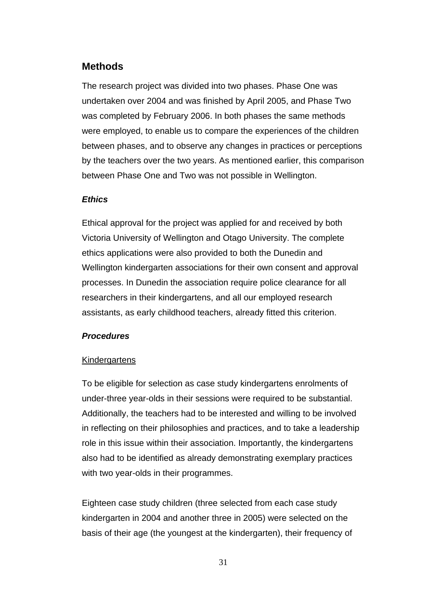## **Methods**

The research project was divided into two phases. Phase One was undertaken over 2004 and was finished by April 2005, and Phase Two was completed by February 2006. In both phases the same methods were employed, to enable us to compare the experiences of the children between phases, and to observe any changes in practices or perceptions by the teachers over the two years. As mentioned earlier, this comparison between Phase One and Two was not possible in Wellington.

### *Ethics*

Ethical approval for the project was applied for and received by both Victoria University of Wellington and Otago University. The complete ethics applications were also provided to both the Dunedin and Wellington kindergarten associations for their own consent and approval processes. In Dunedin the association require police clearance for all researchers in their kindergartens, and all our employed research assistants, as early childhood teachers, already fitted this criterion.

### *Procedures*

#### **Kindergartens**

To be eligible for selection as case study kindergartens enrolments of under-three year-olds in their sessions were required to be substantial. Additionally, the teachers had to be interested and willing to be involved in reflecting on their philosophies and practices, and to take a leadership role in this issue within their association. Importantly, the kindergartens also had to be identified as already demonstrating exemplary practices with two year-olds in their programmes.

Eighteen case study children (three selected from each case study kindergarten in 2004 and another three in 2005) were selected on the basis of their age (the youngest at the kindergarten), their frequency of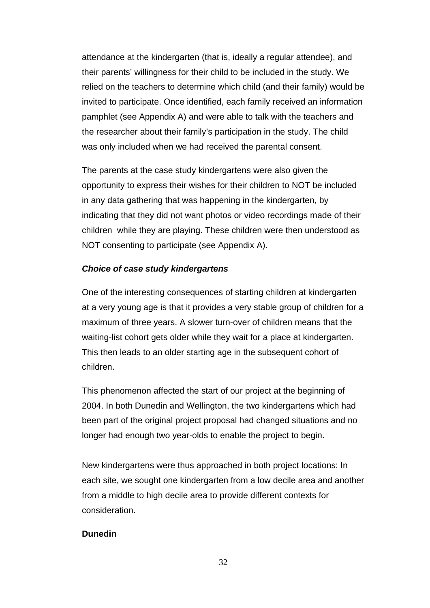attendance at the kindergarten (that is, ideally a regular attendee), and their parents' willingness for their child to be included in the study. We relied on the teachers to determine which child (and their family) would be invited to participate. Once identified, each family received an information pamphlet (see Appendix A) and were able to talk with the teachers and the researcher about their family's participation in the study. The child was only included when we had received the parental consent.

The parents at the case study kindergartens were also given the opportunity to express their wishes for their children to NOT be included in any data gathering that was happening in the kindergarten, by indicating that they did not want photos or video recordings made of their children while they are playing. These children were then understood as NOT consenting to participate (see Appendix A).

#### *Choice of case study kindergartens*

One of the interesting consequences of starting children at kindergarten at a very young age is that it provides a very stable group of children for a maximum of three years. A slower turn-over of children means that the waiting-list cohort gets older while they wait for a place at kindergarten. This then leads to an older starting age in the subsequent cohort of children.

This phenomenon affected the start of our project at the beginning of 2004. In both Dunedin and Wellington, the two kindergartens which had been part of the original project proposal had changed situations and no longer had enough two year-olds to enable the project to begin.

New kindergartens were thus approached in both project locations: In each site, we sought one kindergarten from a low decile area and another from a middle to high decile area to provide different contexts for consideration.

#### **Dunedin**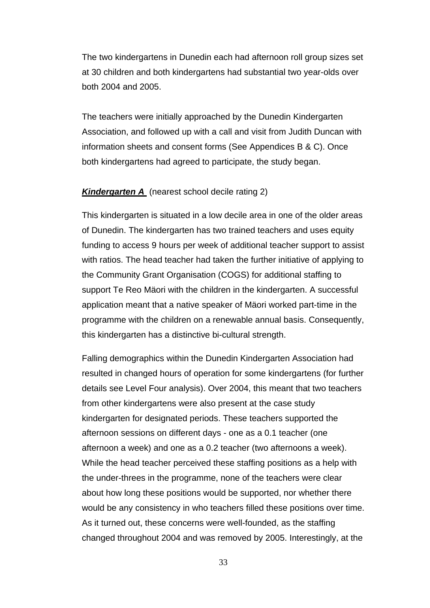The two kindergartens in Dunedin each had afternoon roll group sizes set at 30 children and both kindergartens had substantial two year-olds over both 2004 and 2005.

The teachers were initially approached by the Dunedin Kindergarten Association, and followed up with a call and visit from Judith Duncan with information sheets and consent forms (See Appendices B & C). Once both kindergartens had agreed to participate, the study began.

#### *Kindergarten A* (nearest school decile rating 2)

This kindergarten is situated in a low decile area in one of the older areas of Dunedin. The kindergarten has two trained teachers and uses equity funding to access 9 hours per week of additional teacher support to assist with ratios. The head teacher had taken the further initiative of applying to the Community Grant Organisation (COGS) for additional staffing to support Te Reo Mäori with the children in the kindergarten. A successful application meant that a native speaker of Mäori worked part-time in the programme with the children on a renewable annual basis. Consequently, this kindergarten has a distinctive bi-cultural strength.

Falling demographics within the Dunedin Kindergarten Association had resulted in changed hours of operation for some kindergartens (for further details see Level Four analysis). Over 2004, this meant that two teachers from other kindergartens were also present at the case study kindergarten for designated periods. These teachers supported the afternoon sessions on different days - one as a 0.1 teacher (one afternoon a week) and one as a 0.2 teacher (two afternoons a week). While the head teacher perceived these staffing positions as a help with the under-threes in the programme, none of the teachers were clear about how long these positions would be supported, nor whether there would be any consistency in who teachers filled these positions over time. As it turned out, these concerns were well-founded, as the staffing changed throughout 2004 and was removed by 2005. Interestingly, at the

33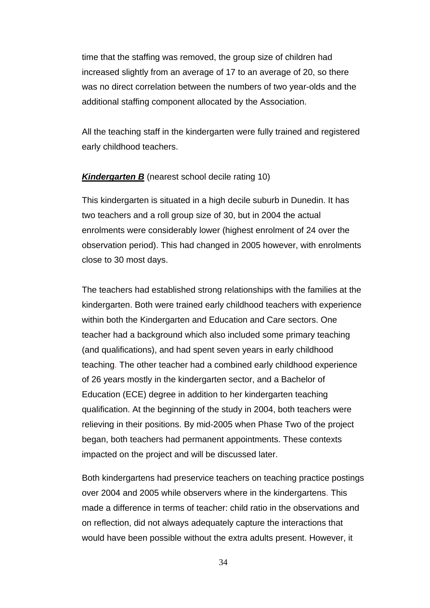time that the staffing was removed, the group size of children had increased slightly from an average of 17 to an average of 20, so there was no direct correlation between the numbers of two year-olds and the additional staffing component allocated by the Association.

All the teaching staff in the kindergarten were fully trained and registered early childhood teachers.

#### **Kindergarten B** (nearest school decile rating 10)

This kindergarten is situated in a high decile suburb in Dunedin. It has two teachers and a roll group size of 30, but in 2004 the actual enrolments were considerably lower (highest enrolment of 24 over the observation period). This had changed in 2005 however, with enrolments close to 30 most days.

The teachers had established strong relationships with the families at the kindergarten. Both were trained early childhood teachers with experience within both the Kindergarten and Education and Care sectors. One teacher had a background which also included some primary teaching (and qualifications), and had spent seven years in early childhood teaching. The other teacher had a combined early childhood experience of 26 years mostly in the kindergarten sector, and a Bachelor of Education (ECE) degree in addition to her kindergarten teaching qualification. At the beginning of the study in 2004, both teachers were relieving in their positions. By mid-2005 when Phase Two of the project began, both teachers had permanent appointments. These contexts impacted on the project and will be discussed later.

Both kindergartens had preservice teachers on teaching practice postings over 2004 and 2005 while observers where in the kindergartens. This made a difference in terms of teacher: child ratio in the observations and on reflection, did not always adequately capture the interactions that would have been possible without the extra adults present. However, it

34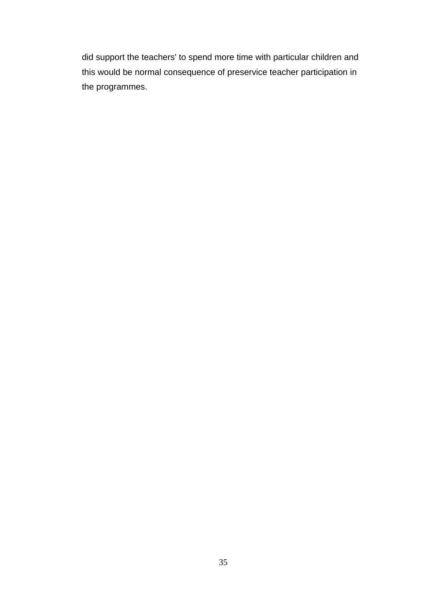did support the teachers' to spend more time with particular children and this would be normal consequence of preservice teacher participation in the programmes.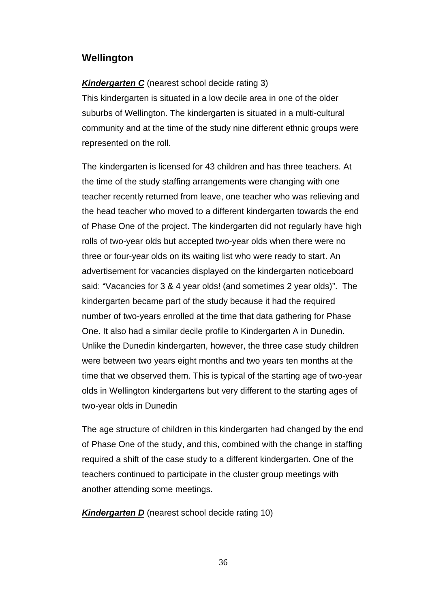## **Wellington**

### *Kindergarten C* (nearest school decide rating 3)

This kindergarten is situated in a low decile area in one of the older suburbs of Wellington. The kindergarten is situated in a multi-cultural community and at the time of the study nine different ethnic groups were represented on the roll.

The kindergarten is licensed for 43 children and has three teachers. At the time of the study staffing arrangements were changing with one teacher recently returned from leave, one teacher who was relieving and the head teacher who moved to a different kindergarten towards the end of Phase One of the project. The kindergarten did not regularly have high rolls of two-year olds but accepted two-year olds when there were no three or four-year olds on its waiting list who were ready to start. An advertisement for vacancies displayed on the kindergarten noticeboard said: "Vacancies for 3 & 4 year olds! (and sometimes 2 year olds)". The kindergarten became part of the study because it had the required number of two-years enrolled at the time that data gathering for Phase One. It also had a similar decile profile to Kindergarten A in Dunedin. Unlike the Dunedin kindergarten, however, the three case study children were between two years eight months and two years ten months at the time that we observed them. This is typical of the starting age of two-year olds in Wellington kindergartens but very different to the starting ages of two-year olds in Dunedin

The age structure of children in this kindergarten had changed by the end of Phase One of the study, and this, combined with the change in staffing required a shift of the case study to a different kindergarten. One of the teachers continued to participate in the cluster group meetings with another attending some meetings.

**Kindergarten D** (nearest school decide rating 10)

36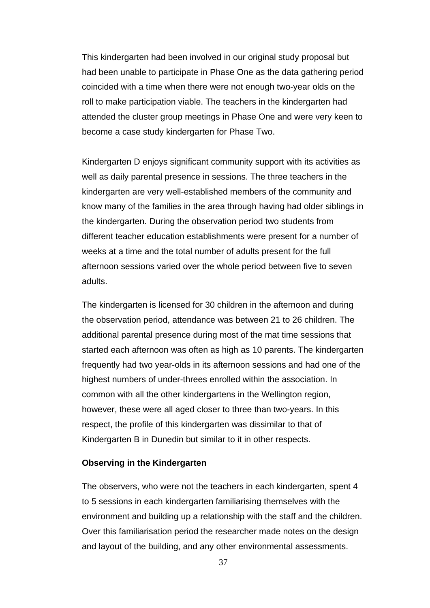This kindergarten had been involved in our original study proposal but had been unable to participate in Phase One as the data gathering period coincided with a time when there were not enough two-year olds on the roll to make participation viable. The teachers in the kindergarten had attended the cluster group meetings in Phase One and were very keen to become a case study kindergarten for Phase Two.

Kindergarten D enjoys significant community support with its activities as well as daily parental presence in sessions. The three teachers in the kindergarten are very well-established members of the community and know many of the families in the area through having had older siblings in the kindergarten. During the observation period two students from different teacher education establishments were present for a number of weeks at a time and the total number of adults present for the full afternoon sessions varied over the whole period between five to seven adults.

The kindergarten is licensed for 30 children in the afternoon and during the observation period, attendance was between 21 to 26 children. The additional parental presence during most of the mat time sessions that started each afternoon was often as high as 10 parents. The kindergarten frequently had two year-olds in its afternoon sessions and had one of the highest numbers of under-threes enrolled within the association. In common with all the other kindergartens in the Wellington region, however, these were all aged closer to three than two-years. In this respect, the profile of this kindergarten was dissimilar to that of Kindergarten B in Dunedin but similar to it in other respects.

### **Observing in the Kindergarten**

The observers, who were not the teachers in each kindergarten, spent 4 to 5 sessions in each kindergarten familiarising themselves with the environment and building up a relationship with the staff and the children. Over this familiarisation period the researcher made notes on the design and layout of the building, and any other environmental assessments.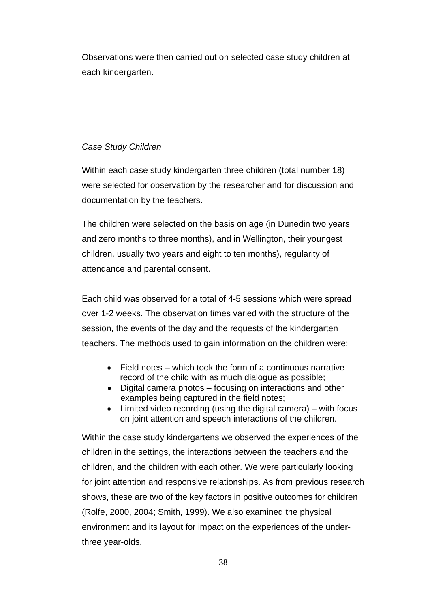Observations were then carried out on selected case study children at each kindergarten.

## *Case Study Children*

Within each case study kindergarten three children (total number 18) were selected for observation by the researcher and for discussion and documentation by the teachers.

The children were selected on the basis on age (in Dunedin two years and zero months to three months), and in Wellington, their youngest children, usually two years and eight to ten months), regularity of attendance and parental consent.

Each child was observed for a total of 4-5 sessions which were spread over 1-2 weeks. The observation times varied with the structure of the session, the events of the day and the requests of the kindergarten teachers. The methods used to gain information on the children were:

- Field notes which took the form of a continuous narrative record of the child with as much dialogue as possible;
- Digital camera photos focusing on interactions and other examples being captured in the field notes;
- Limited video recording (using the digital camera) with focus on joint attention and speech interactions of the children.

Within the case study kindergartens we observed the experiences of the children in the settings, the interactions between the teachers and the children, and the children with each other. We were particularly looking for joint attention and responsive relationships. As from previous research shows, these are two of the key factors in positive outcomes for children (Rolfe, 2000, 2004; Smith, 1999). We also examined the physical environment and its layout for impact on the experiences of the underthree year-olds.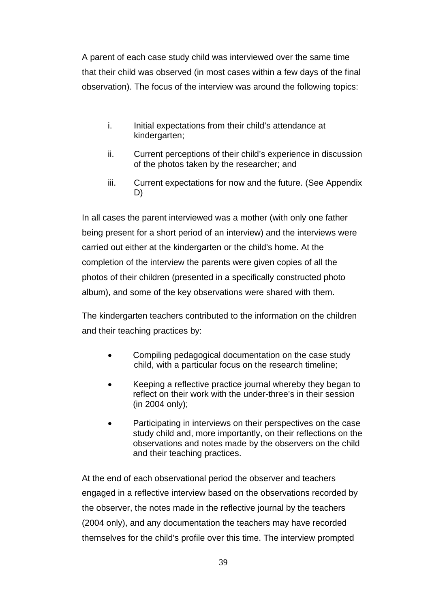A parent of each case study child was interviewed over the same time that their child was observed (in most cases within a few days of the final observation). The focus of the interview was around the following topics:

- i. Initial expectations from their child's attendance at kindergarten;
- ii. Current perceptions of their child's experience in discussion of the photos taken by the researcher; and
- iii. Current expectations for now and the future. (See Appendix D)

In all cases the parent interviewed was a mother (with only one father being present for a short period of an interview) and the interviews were carried out either at the kindergarten or the child's home. At the completion of the interview the parents were given copies of all the photos of their children (presented in a specifically constructed photo album), and some of the key observations were shared with them.

The kindergarten teachers contributed to the information on the children and their teaching practices by:

- Compiling pedagogical documentation on the case study child, with a particular focus on the research timeline;
- Keeping a reflective practice journal whereby they began to reflect on their work with the under-three's in their session (in 2004 only);
- Participating in interviews on their perspectives on the case study child and, more importantly, on their reflections on the observations and notes made by the observers on the child and their teaching practices.

At the end of each observational period the observer and teachers engaged in a reflective interview based on the observations recorded by the observer, the notes made in the reflective journal by the teachers (2004 only), and any documentation the teachers may have recorded themselves for the child's profile over this time. The interview prompted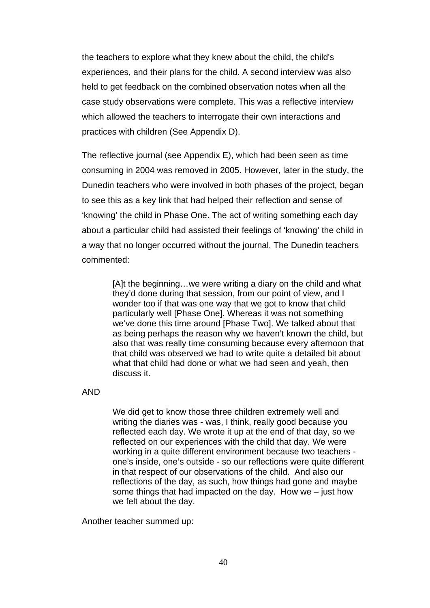the teachers to explore what they knew about the child, the child's experiences, and their plans for the child. A second interview was also held to get feedback on the combined observation notes when all the case study observations were complete. This was a reflective interview which allowed the teachers to interrogate their own interactions and practices with children (See Appendix D).

The reflective journal (see Appendix E), which had been seen as time consuming in 2004 was removed in 2005. However, later in the study, the Dunedin teachers who were involved in both phases of the project, began to see this as a key link that had helped their reflection and sense of 'knowing' the child in Phase One. The act of writing something each day about a particular child had assisted their feelings of 'knowing' the child in a way that no longer occurred without the journal. The Dunedin teachers commented:

> [A]t the beginning…we were writing a diary on the child and what they'd done during that session, from our point of view, and I wonder too if that was one way that we got to know that child particularly well [Phase One]. Whereas it was not something we've done this time around [Phase Two]. We talked about that as being perhaps the reason why we haven't known the child, but also that was really time consuming because every afternoon that that child was observed we had to write quite a detailed bit about what that child had done or what we had seen and yeah, then discuss it.

AND

We did get to know those three children extremely well and writing the diaries was - was, I think, really good because you reflected each day. We wrote it up at the end of that day, so we reflected on our experiences with the child that day. We were working in a quite different environment because two teachers one's inside, one's outside - so our reflections were quite different in that respect of our observations of the child. And also our reflections of the day, as such, how things had gone and maybe some things that had impacted on the day. How we – just how we felt about the day.

Another teacher summed up: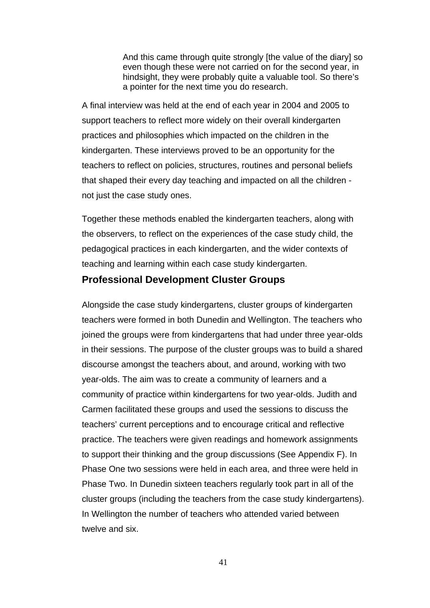And this came through quite strongly [the value of the diary] so even though these were not carried on for the second year, in hindsight, they were probably quite a valuable tool. So there's a pointer for the next time you do research.

A final interview was held at the end of each year in 2004 and 2005 to support teachers to reflect more widely on their overall kindergarten practices and philosophies which impacted on the children in the kindergarten. These interviews proved to be an opportunity for the teachers to reflect on policies, structures, routines and personal beliefs that shaped their every day teaching and impacted on all the children not just the case study ones.

Together these methods enabled the kindergarten teachers, along with the observers, to reflect on the experiences of the case study child, the pedagogical practices in each kindergarten, and the wider contexts of teaching and learning within each case study kindergarten.

## **Professional Development Cluster Groups**

Alongside the case study kindergartens, cluster groups of kindergarten teachers were formed in both Dunedin and Wellington. The teachers who joined the groups were from kindergartens that had under three year-olds in their sessions. The purpose of the cluster groups was to build a shared discourse amongst the teachers about, and around, working with two year-olds. The aim was to create a community of learners and a community of practice within kindergartens for two year-olds. Judith and Carmen facilitated these groups and used the sessions to discuss the teachers' current perceptions and to encourage critical and reflective practice. The teachers were given readings and homework assignments to support their thinking and the group discussions (See Appendix F). In Phase One two sessions were held in each area, and three were held in Phase Two. In Dunedin sixteen teachers regularly took part in all of the cluster groups (including the teachers from the case study kindergartens). In Wellington the number of teachers who attended varied between twelve and six.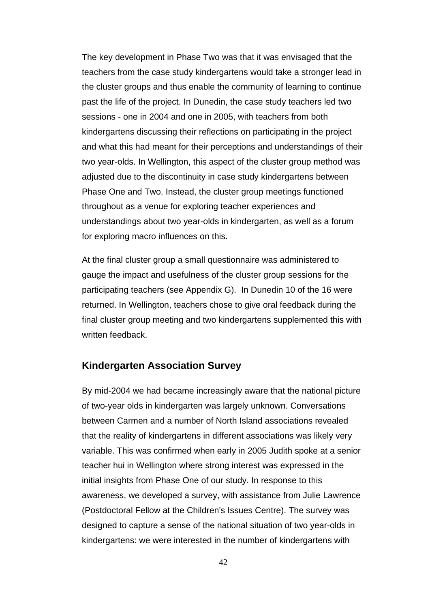The key development in Phase Two was that it was envisaged that the teachers from the case study kindergartens would take a stronger lead in the cluster groups and thus enable the community of learning to continue past the life of the project. In Dunedin, the case study teachers led two sessions - one in 2004 and one in 2005, with teachers from both kindergartens discussing their reflections on participating in the project and what this had meant for their perceptions and understandings of their two year-olds. In Wellington, this aspect of the cluster group method was adjusted due to the discontinuity in case study kindergartens between Phase One and Two. Instead, the cluster group meetings functioned throughout as a venue for exploring teacher experiences and understandings about two year-olds in kindergarten, as well as a forum for exploring macro influences on this.

At the final cluster group a small questionnaire was administered to gauge the impact and usefulness of the cluster group sessions for the participating teachers (see Appendix G). In Dunedin 10 of the 16 were returned. In Wellington, teachers chose to give oral feedback during the final cluster group meeting and two kindergartens supplemented this with written feedback.

## **Kindergarten Association Survey**

By mid-2004 we had became increasingly aware that the national picture of two-year olds in kindergarten was largely unknown. Conversations between Carmen and a number of North Island associations revealed that the reality of kindergartens in different associations was likely very variable. This was confirmed when early in 2005 Judith spoke at a senior teacher hui in Wellington where strong interest was expressed in the initial insights from Phase One of our study. In response to this awareness, we developed a survey, with assistance from Julie Lawrence (Postdoctoral Fellow at the Children's Issues Centre). The survey was designed to capture a sense of the national situation of two year-olds in kindergartens: we were interested in the number of kindergartens with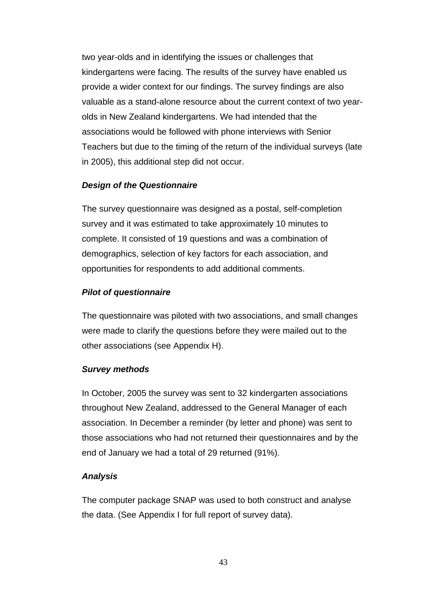two year-olds and in identifying the issues or challenges that kindergartens were facing. The results of the survey have enabled us provide a wider context for our findings. The survey findings are also valuable as a stand-alone resource about the current context of two yearolds in New Zealand kindergartens. We had intended that the associations would be followed with phone interviews with Senior Teachers but due to the timing of the return of the individual surveys (late in 2005), this additional step did not occur.

### *Design of the Questionnaire*

The survey questionnaire was designed as a postal, self-completion survey and it was estimated to take approximately 10 minutes to complete. It consisted of 19 questions and was a combination of demographics, selection of key factors for each association, and opportunities for respondents to add additional comments.

#### *Pilot of questionnaire*

The questionnaire was piloted with two associations, and small changes were made to clarify the questions before they were mailed out to the other associations (see Appendix H).

#### *Survey methods*

In October, 2005 the survey was sent to 32 kindergarten associations throughout New Zealand, addressed to the General Manager of each association. In December a reminder (by letter and phone) was sent to those associations who had not returned their questionnaires and by the end of January we had a total of 29 returned (91%).

#### *Analysis*

The computer package SNAP was used to both construct and analyse the data. (See Appendix I for full report of survey data).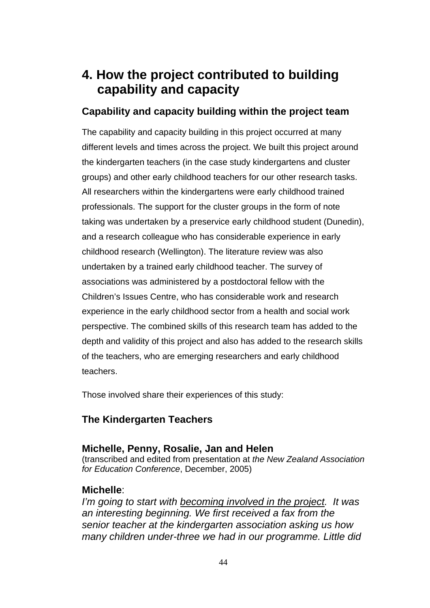# **4. How the project contributed to building capability and capacity**

# **Capability and capacity building within the project team**

The capability and capacity building in this project occurred at many different levels and times across the project. We built this project around the kindergarten teachers (in the case study kindergartens and cluster groups) and other early childhood teachers for our other research tasks. All researchers within the kindergartens were early childhood trained professionals. The support for the cluster groups in the form of note taking was undertaken by a preservice early childhood student (Dunedin), and a research colleague who has considerable experience in early childhood research (Wellington). The literature review was also undertaken by a trained early childhood teacher. The survey of associations was administered by a postdoctoral fellow with the Children's Issues Centre, who has considerable work and research experience in the early childhood sector from a health and social work perspective. The combined skills of this research team has added to the depth and validity of this project and also has added to the research skills of the teachers, who are emerging researchers and early childhood teachers.

Those involved share their experiences of this study:

# **The Kindergarten Teachers**

# **Michelle, Penny, Rosalie, Jan and Helen**

(transcribed and edited from presentation at *the New Zealand Association for Education Conference*, December, 2005)

# **Michelle**:

*I'm going to start with becoming involved in the project. It was an interesting beginning. We first received a fax from the senior teacher at the kindergarten association asking us how many children under-three we had in our programme. Little did*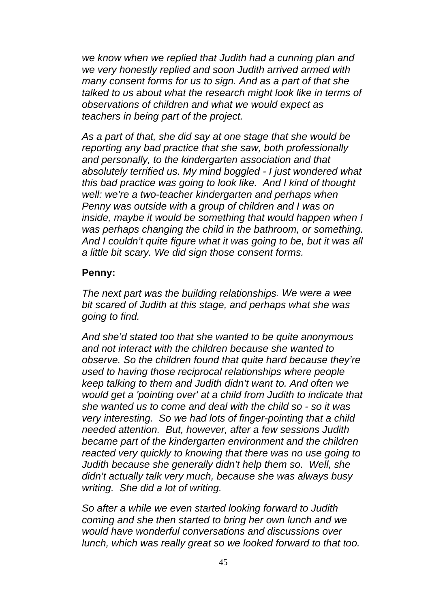*we know when we replied that Judith had a cunning plan and we very honestly replied and soon Judith arrived armed with many consent forms for us to sign. And as a part of that she talked to us about what the research might look like in terms of observations of children and what we would expect as teachers in being part of the project.* 

*As a part of that, she did say at one stage that she would be reporting any bad practice that she saw, both professionally and personally, to the kindergarten association and that absolutely terrified us. My mind boggled - I just wondered what this bad practice was going to look like. And I kind of thought well: we're a two-teacher kindergarten and perhaps when Penny was outside with a group of children and I was on inside, maybe it would be something that would happen when I was perhaps changing the child in the bathroom, or something. And I couldn't quite figure what it was going to be, but it was all a little bit scary. We did sign those consent forms.* 

## **Penny:**

*The next part was the building relationships. We were a wee bit scared of Judith at this stage, and perhaps what she was going to find.* 

*And she'd stated too that she wanted to be quite anonymous and not interact with the children because she wanted to observe. So the children found that quite hard because they're used to having those reciprocal relationships where people keep talking to them and Judith didn't want to. And often we would get a 'pointing over' at a child from Judith to indicate that she wanted us to come and deal with the child so - so it was very interesting. So we had lots of finger-pointing that a child needed attention. But, however, after a few sessions Judith became part of the kindergarten environment and the children reacted very quickly to knowing that there was no use going to Judith because she generally didn't help them so. Well, she didn't actually talk very much, because she was always busy writing. She did a lot of writing.* 

*So after a while we even started looking forward to Judith coming and she then started to bring her own lunch and we would have wonderful conversations and discussions over lunch, which was really great so we looked forward to that too.*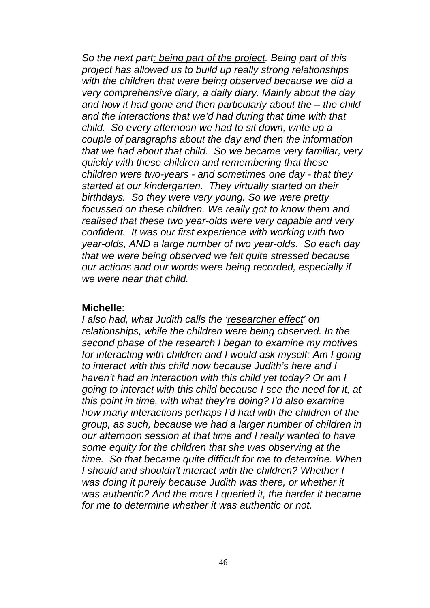*So the next part: being part of the project. Being part of this project has allowed us to build up really strong relationships with the children that were being observed because we did a very comprehensive diary, a daily diary. Mainly about the day and how it had gone and then particularly about the – the child and the interactions that we'd had during that time with that child. So every afternoon we had to sit down, write up a couple of paragraphs about the day and then the information that we had about that child. So we became very familiar, very quickly with these children and remembering that these children were two-years - and sometimes one day - that they started at our kindergarten. They virtually started on their birthdays. So they were very young. So we were pretty focussed on these children. We really got to know them and realised that these two year-olds were very capable and very confident. It was our first experience with working with two year-olds, AND a large number of two year-olds. So each day that we were being observed we felt quite stressed because our actions and our words were being recorded, especially if we were near that child.*

## **Michelle**:

*I also had, what Judith calls the 'researcher effect' on relationships, while the children were being observed. In the second phase of the research I began to examine my motives for interacting with children and I would ask myself: Am I going to interact with this child now because Judith's here and I haven't had an interaction with this child yet today? Or am I going to interact with this child because I see the need for it, at this point in time, with what they're doing? I'd also examine how many interactions perhaps I'd had with the children of the group, as such, because we had a larger number of children in our afternoon session at that time and I really wanted to have some equity for the children that she was observing at the time. So that became quite difficult for me to determine. When I should and shouldn't interact with the children? Whether I was doing it purely because Judith was there, or whether it was authentic? And the more I queried it, the harder it became for me to determine whether it was authentic or not.*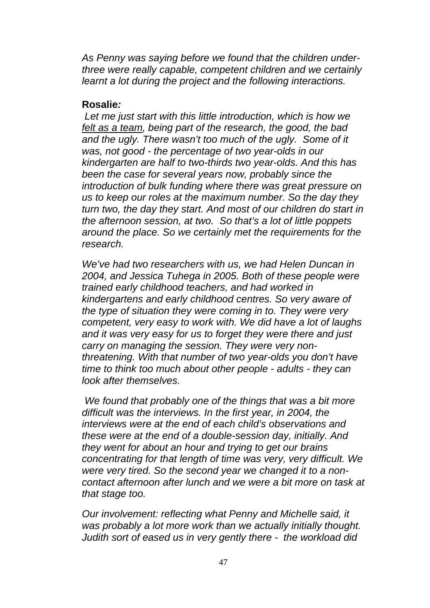*As Penny was saying before we found that the children underthree were really capable, competent children and we certainly learnt a lot during the project and the following interactions.* 

# **Rosalie***:*

 *Let me just start with this little introduction, which is how we felt as a team, being part of the research, the good, the bad and the ugly. There wasn't too much of the ugly. Some of it was, not good - the percentage of two year-olds in our kindergarten are half to two-thirds two year-olds. And this has been the case for several years now, probably since the introduction of bulk funding where there was great pressure on us to keep our roles at the maximum number. So the day they turn two, the day they start. And most of our children do start in the afternoon session, at two. So that's a lot of little poppets around the place. So we certainly met the requirements for the research.* 

*We've had two researchers with us, we had Helen Duncan in 2004, and Jessica Tuhega in 2005. Both of these people were trained early childhood teachers, and had worked in kindergartens and early childhood centres. So very aware of the type of situation they were coming in to. They were very competent, very easy to work with. We did have a lot of laughs and it was very easy for us to forget they were there and just carry on managing the session. They were very nonthreatening. With that number of two year-olds you don't have time to think too much about other people - adults - they can look after themselves.* 

 *We found that probably one of the things that was a bit more difficult was the interviews. In the first year, in 2004, the interviews were at the end of each child's observations and these were at the end of a double-session day, initially. And they went for about an hour and trying to get our brains concentrating for that length of time was very, very difficult. We were very tired. So the second year we changed it to a noncontact afternoon after lunch and we were a bit more on task at that stage too.* 

*Our involvement: reflecting what Penny and Michelle said, it was probably a lot more work than we actually initially thought. Judith sort of eased us in very gently there - the workload did*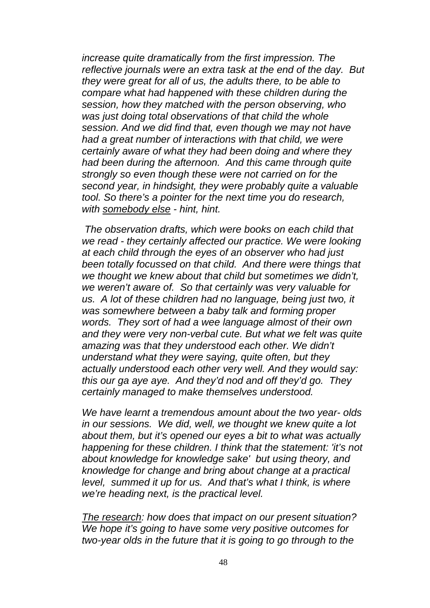*increase quite dramatically from the first impression. The reflective journals were an extra task at the end of the day. But they were great for all of us, the adults there, to be able to compare what had happened with these children during the session, how they matched with the person observing, who was just doing total observations of that child the whole session. And we did find that, even though we may not have had a great number of interactions with that child, we were certainly aware of what they had been doing and where they had been during the afternoon. And this came through quite strongly so even though these were not carried on for the second year, in hindsight, they were probably quite a valuable tool. So there's a pointer for the next time you do research, with somebody else - hint, hint.* 

 *The observation drafts, which were books on each child that we read - they certainly affected our practice. We were looking at each child through the eyes of an observer who had just been totally focussed on that child. And there were things that we thought we knew about that child but sometimes we didn't, we weren't aware of. So that certainly was very valuable for us. A lot of these children had no language, being just two, it was somewhere between a baby talk and forming proper words. They sort of had a wee language almost of their own and they were very non-verbal cute. But what we felt was quite amazing was that they understood each other. We didn't understand what they were saying, quite often, but they actually understood each other very well. And they would say: this our ga aye aye. And they'd nod and off they'd go. They certainly managed to make themselves understood.*

*We have learnt a tremendous amount about the two year- olds in our sessions. We did, well, we thought we knew quite a lot about them, but it's opened our eyes a bit to what was actually happening for these children. I think that the statement: 'it's not about knowledge for knowledge sake' but using theory, and knowledge for change and bring about change at a practical level, summed it up for us. And that's what I think, is where we're heading next, is the practical level.*

*The research: how does that impact on our present situation? We hope it's going to have some very positive outcomes for two-year olds in the future that it is going to go through to the*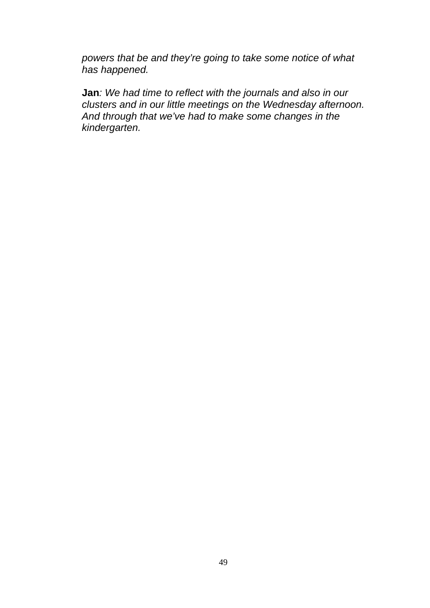*powers that be and they're going to take some notice of what has happened.* 

**Jan***: We had time to reflect with the journals and also in our clusters and in our little meetings on the Wednesday afternoon. And through that we've had to make some changes in the kindergarten.*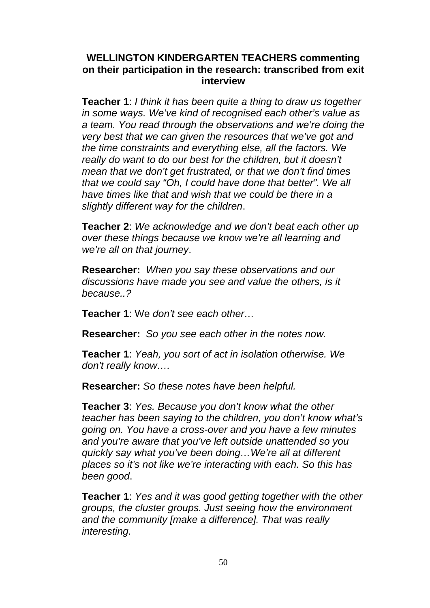# **WELLINGTON KINDERGARTEN TEACHERS commenting on their participation in the research: transcribed from exit interview**

**Teacher 1**: *I think it has been quite a thing to draw us together in some ways. We've kind of recognised each other's value as a team. You read through the observations and we're doing the very best that we can given the resources that we've got and the time constraints and everything else, all the factors. We really do want to do our best for the children, but it doesn't mean that we don't get frustrated, or that we don't find times that we could say "Oh, I could have done that better". We all have times like that and wish that we could be there in a slightly different way for the children*.

**Teacher 2**: *We acknowledge and we don't beat each other up over these things because we know we're all learning and we're all on that journey*.

**Researcher:** *When you say these observations and our discussions have made you see and value the others, is it because..?*

**Teacher 1**: We *don't see each other…*

**Researcher:** *So you see each other in the notes now.*

**Teacher 1**: *Yeah, you sort of act in isolation otherwise. We don't really know….*

**Researcher:** *So these notes have been helpful.* 

**Teacher 3**: *Yes. Because you don't know what the other teacher has been saying to the children, you don't know what's going on. You have a cross-over and you have a few minutes and you're aware that you've left outside unattended so you quickly say what you've been doing…We're all at different places so it's not like we're interacting with each. So this has been good*.

**Teacher 1**: *Yes and it was good getting together with the other groups, the cluster groups. Just seeing how the environment and the community [make a difference]. That was really interesting.*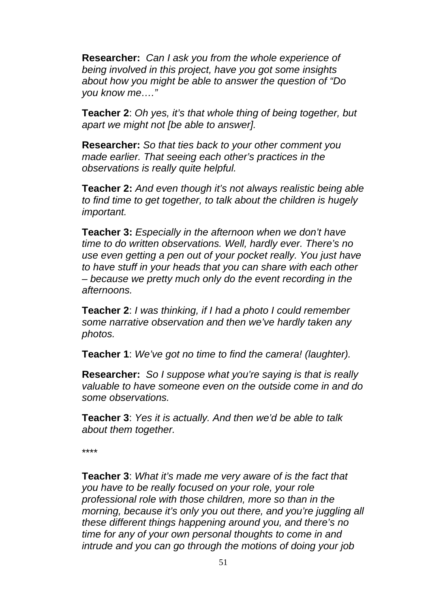**Researcher:** *Can I ask you from the whole experience of being involved in this project, have you got some insights about how you might be able to answer the question of "Do you know me…."*

**Teacher 2**: *Oh yes, it's that whole thing of being together, but apart we might not [be able to answer].*

**Researcher:** *So that ties back to your other comment you made earlier. That seeing each other's practices in the observations is really quite helpful.*

**Teacher 2:** *And even though it's not always realistic being able to find time to get together, to talk about the children is hugely important.*

**Teacher 3:** *Especially in the afternoon when we don't have time to do written observations. Well, hardly ever. There's no use even getting a pen out of your pocket really. You just have to have stuff in your heads that you can share with each other – because we pretty much only do the event recording in the afternoons.* 

**Teacher 2**: *I was thinking, if I had a photo I could remember some narrative observation and then we've hardly taken any photos.* 

**Teacher 1**: *We've got no time to find the camera! (laughter).* 

**Researcher:** *So I suppose what you're saying is that is really valuable to have someone even on the outside come in and do some observations.* 

**Teacher 3**: *Yes it is actually. And then we'd be able to talk about them together.* 

\*\*\*\*

**Teacher 3**: *What it's made me very aware of is the fact that you have to be really focused on your role, your role professional role with those children, more so than in the morning, because it's only you out there, and you're juggling all these different things happening around you, and there's no time for any of your own personal thoughts to come in and intrude and you can go through the motions of doing your job*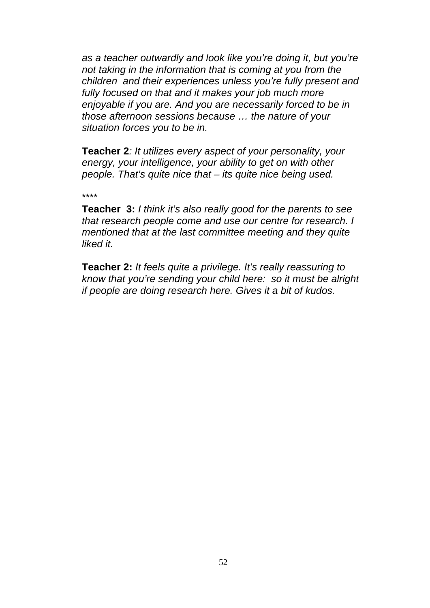*as a teacher outwardly and look like you're doing it, but you're not taking in the information that is coming at you from the children and their experiences unless you're fully present and fully focused on that and it makes your job much more enjoyable if you are. And you are necessarily forced to be in those afternoon sessions because … the nature of your situation forces you to be in.* 

**Teacher 2***: It utilizes every aspect of your personality, your energy, your intelligence, your ability to get on with other people. That's quite nice that – its quite nice being used.*

\*\*\*\*

**Teacher 3:** *I think it's also really good for the parents to see that research people come and use our centre for research. I mentioned that at the last committee meeting and they quite liked it.* 

**Teacher 2:** *It feels quite a privilege. It's really reassuring to know that you're sending your child here: so it must be alright if people are doing research here. Gives it a bit of kudos.*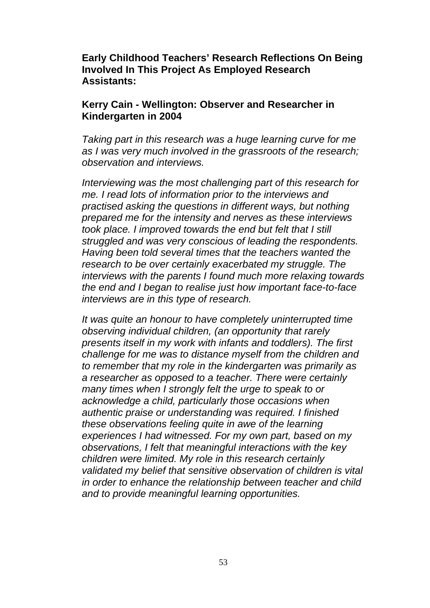**Early Childhood Teachers' Research Reflections On Being Involved In This Project As Employed Research Assistants:** 

## **Kerry Cain - Wellington: Observer and Researcher in Kindergarten in 2004**

*Taking part in this research was a huge learning curve for me as I was very much involved in the grassroots of the research; observation and interviews.* 

*Interviewing was the most challenging part of this research for me. I read lots of information prior to the interviews and practised asking the questions in different ways, but nothing prepared me for the intensity and nerves as these interviews took place. I improved towards the end but felt that I still struggled and was very conscious of leading the respondents. Having been told several times that the teachers wanted the research to be over certainly exacerbated my struggle. The interviews with the parents I found much more relaxing towards the end and I began to realise just how important face-to-face interviews are in this type of research.* 

*It was quite an honour to have completely uninterrupted time observing individual children, (an opportunity that rarely presents itself in my work with infants and toddlers). The first challenge for me was to distance myself from the children and to remember that my role in the kindergarten was primarily as a researcher as opposed to a teacher. There were certainly many times when I strongly felt the urge to speak to or acknowledge a child, particularly those occasions when authentic praise or understanding was required. I finished these observations feeling quite in awe of the learning experiences I had witnessed. For my own part, based on my observations, I felt that meaningful interactions with the key children were limited. My role in this research certainly validated my belief that sensitive observation of children is vital in order to enhance the relationship between teacher and child and to provide meaningful learning opportunities.*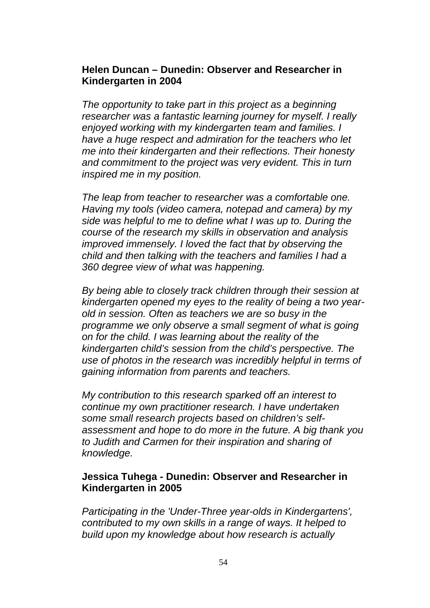## **Helen Duncan – Dunedin: Observer and Researcher in Kindergarten in 2004**

*The opportunity to take part in this project as a beginning researcher was a fantastic learning journey for myself. I really enjoyed working with my kindergarten team and families. I have a huge respect and admiration for the teachers who let me into their kindergarten and their reflections. Their honesty and commitment to the project was very evident. This in turn inspired me in my position.* 

*The leap from teacher to researcher was a comfortable one. Having my tools (video camera, notepad and camera) by my side was helpful to me to define what I was up to. During the course of the research my skills in observation and analysis improved immensely. I loved the fact that by observing the child and then talking with the teachers and families I had a 360 degree view of what was happening.* 

*By being able to closely track children through their session at kindergarten opened my eyes to the reality of being a two yearold in session. Often as teachers we are so busy in the programme we only observe a small segment of what is going on for the child. I was learning about the reality of the kindergarten child's session from the child's perspective. The use of photos in the research was incredibly helpful in terms of gaining information from parents and teachers.* 

*My contribution to this research sparked off an interest to continue my own practitioner research. I have undertaken some small research projects based on children's selfassessment and hope to do more in the future. A big thank you to Judith and Carmen for their inspiration and sharing of knowledge.*

## **Jessica Tuhega - Dunedin: Observer and Researcher in Kindergarten in 2005**

*Participating in the 'Under-Three year-olds in Kindergartens', contributed to my own skills in a range of ways. It helped to build upon my knowledge about how research is actually*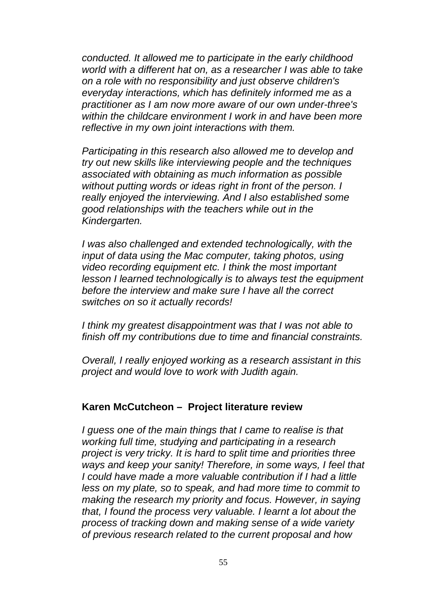*conducted. It allowed me to participate in the early childhood world with a different hat on, as a researcher I was able to take on a role with no responsibility and just observe children's everyday interactions, which has definitely informed me as a practitioner as I am now more aware of our own under-three's within the childcare environment I work in and have been more reflective in my own joint interactions with them.* 

*Participating in this research also allowed me to develop and try out new skills like interviewing people and the techniques associated with obtaining as much information as possible without putting words or ideas right in front of the person. I really enjoyed the interviewing. And I also established some good relationships with the teachers while out in the Kindergarten.* 

*I was also challenged and extended technologically, with the input of data using the Mac computer, taking photos, using video recording equipment etc. I think the most important lesson I learned technologically is to always test the equipment before the interview and make sure I have all the correct switches on so it actually records!* 

*I think my greatest disappointment was that I was not able to finish off my contributions due to time and financial constraints.* 

*Overall, I really enjoyed working as a research assistant in this project and would love to work with Judith again.*

## **Karen McCutcheon – Project literature review**

*I guess one of the main things that I came to realise is that working full time, studying and participating in a research project is very tricky. It is hard to split time and priorities three ways and keep your sanity! Therefore, in some ways, I feel that I could have made a more valuable contribution if I had a little less on my plate, so to speak, and had more time to commit to making the research my priority and focus. However, in saying that, I found the process very valuable. I learnt a lot about the process of tracking down and making sense of a wide variety of previous research related to the current proposal and how*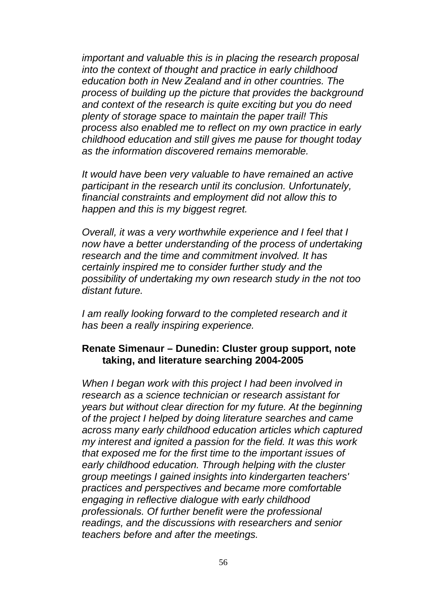*important and valuable this is in placing the research proposal into the context of thought and practice in early childhood education both in New Zealand and in other countries. The process of building up the picture that provides the background and context of the research is quite exciting but you do need plenty of storage space to maintain the paper trail! This process also enabled me to reflect on my own practice in early childhood education and still gives me pause for thought today as the information discovered remains memorable.* 

*It would have been very valuable to have remained an active participant in the research until its conclusion. Unfortunately, financial constraints and employment did not allow this to happen and this is my biggest regret.* 

*Overall, it was a very worthwhile experience and I feel that I now have a better understanding of the process of undertaking research and the time and commitment involved. It has certainly inspired me to consider further study and the possibility of undertaking my own research study in the not too distant future.* 

*I am really looking forward to the completed research and it has been a really inspiring experience.* 

## **Renate Simenaur – Dunedin: Cluster group support, note taking, and literature searching 2004-2005**

*When I began work with this project I had been involved in research as a science technician or research assistant for years but without clear direction for my future. At the beginning of the project I helped by doing literature searches and came across many early childhood education articles which captured my interest and ignited a passion for the field. It was this work that exposed me for the first time to the important issues of early childhood education. Through helping with the cluster group meetings I gained insights into kindergarten teachers' practices and perspectives and became more comfortable engaging in reflective dialogue with early childhood professionals. Of further benefit were the professional readings, and the discussions with researchers and senior teachers before and after the meetings.*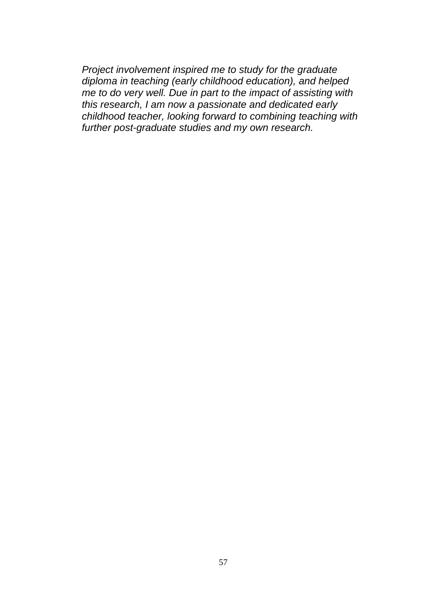*Project involvement inspired me to study for the graduate diploma in teaching (early childhood education), and helped me to do very well. Due in part to the impact of assisting with this research, I am now a passionate and dedicated early childhood teacher, looking forward to combining teaching with further post-graduate studies and my own research.*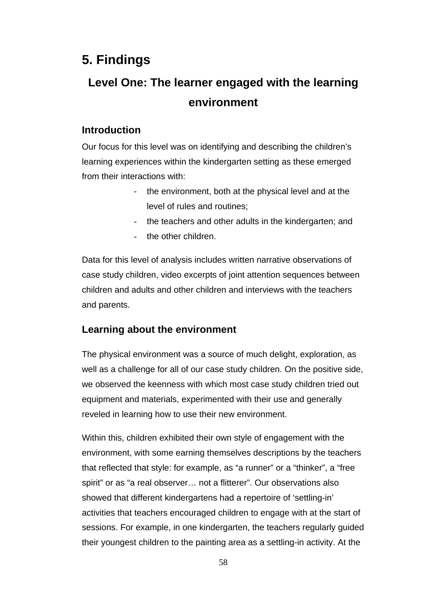# **5. Findings**

# **Level One: The learner engaged with the learning environment**

# **Introduction**

Our focus for this level was on identifying and describing the children's learning experiences within the kindergarten setting as these emerged from their interactions with:

- the environment, both at the physical level and at the level of rules and routines;
- the teachers and other adults in the kindergarten; and
- the other children.

Data for this level of analysis includes written narrative observations of case study children, video excerpts of joint attention sequences between children and adults and other children and interviews with the teachers and parents.

# **Learning about the environment**

The physical environment was a source of much delight, exploration, as well as a challenge for all of our case study children. On the positive side, we observed the keenness with which most case study children tried out equipment and materials, experimented with their use and generally reveled in learning how to use their new environment.

Within this, children exhibited their own style of engagement with the environment, with some earning themselves descriptions by the teachers that reflected that style: for example, as "a runner" or a "thinker", a "free spirit" or as "a real observer… not a flitterer". Our observations also showed that different kindergartens had a repertoire of 'settling-in' activities that teachers encouraged children to engage with at the start of sessions. For example, in one kindergarten, the teachers regularly guided their youngest children to the painting area as a settling-in activity. At the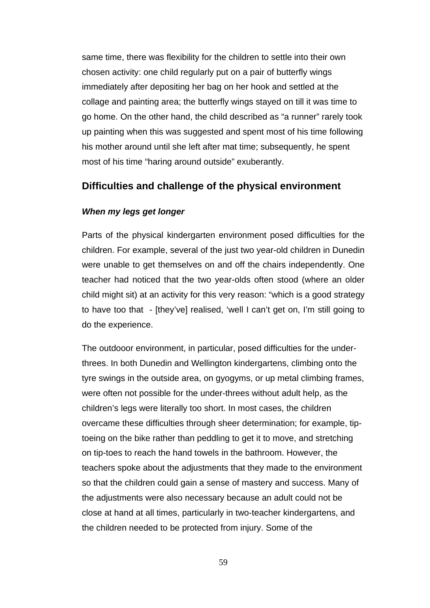same time, there was flexibility for the children to settle into their own chosen activity: one child regularly put on a pair of butterfly wings immediately after depositing her bag on her hook and settled at the collage and painting area; the butterfly wings stayed on till it was time to go home. On the other hand, the child described as "a runner" rarely took up painting when this was suggested and spent most of his time following his mother around until she left after mat time; subsequently, he spent most of his time "haring around outside" exuberantly.

## **Difficulties and challenge of the physical environment**

#### *When my legs get longer*

Parts of the physical kindergarten environment posed difficulties for the children. For example, several of the just two year-old children in Dunedin were unable to get themselves on and off the chairs independently. One teacher had noticed that the two year-olds often stood (where an older child might sit) at an activity for this very reason: "which is a good strategy to have too that - [they've] realised, 'well I can't get on, I'm still going to do the experience.

The outdooor environment, in particular, posed difficulties for the underthrees. In both Dunedin and Wellington kindergartens, climbing onto the tyre swings in the outside area, on gyogyms, or up metal climbing frames, were often not possible for the under-threes without adult help, as the children's legs were literally too short. In most cases, the children overcame these difficulties through sheer determination; for example, tiptoeing on the bike rather than peddling to get it to move, and stretching on tip-toes to reach the hand towels in the bathroom. However, the teachers spoke about the adjustments that they made to the environment so that the children could gain a sense of mastery and success. Many of the adjustments were also necessary because an adult could not be close at hand at all times, particularly in two-teacher kindergartens, and the children needed to be protected from injury. Some of the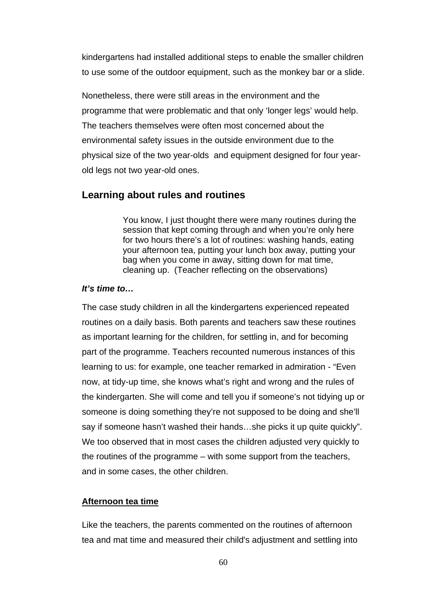kindergartens had installed additional steps to enable the smaller children to use some of the outdoor equipment, such as the monkey bar or a slide.

Nonetheless, there were still areas in the environment and the programme that were problematic and that only 'longer legs' would help. The teachers themselves were often most concerned about the environmental safety issues in the outside environment due to the physical size of the two year-olds and equipment designed for four yearold legs not two year-old ones.

## **Learning about rules and routines**

You know, I just thought there were many routines during the session that kept coming through and when you're only here for two hours there's a lot of routines: washing hands, eating your afternoon tea, putting your lunch box away, putting your bag when you come in away, sitting down for mat time, cleaning up. (Teacher reflecting on the observations)

## *It's time to…*

The case study children in all the kindergartens experienced repeated routines on a daily basis. Both parents and teachers saw these routines as important learning for the children, for settling in, and for becoming part of the programme. Teachers recounted numerous instances of this learning to us: for example, one teacher remarked in admiration - "Even now, at tidy-up time, she knows what's right and wrong and the rules of the kindergarten. She will come and tell you if someone's not tidying up or someone is doing something they're not supposed to be doing and she'll say if someone hasn't washed their hands…she picks it up quite quickly". We too observed that in most cases the children adjusted very quickly to the routines of the programme – with some support from the teachers, and in some cases, the other children.

#### **Afternoon tea time**

Like the teachers, the parents commented on the routines of afternoon tea and mat time and measured their child's adjustment and settling into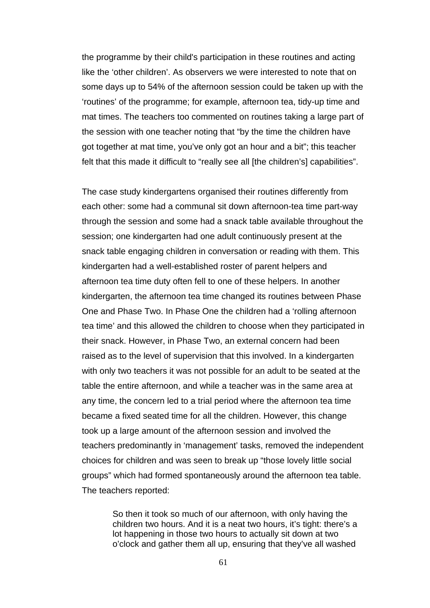the programme by their child's participation in these routines and acting like the 'other children'. As observers we were interested to note that on some days up to 54% of the afternoon session could be taken up with the 'routines' of the programme; for example, afternoon tea, tidy-up time and mat times. The teachers too commented on routines taking a large part of the session with one teacher noting that "by the time the children have got together at mat time, you've only got an hour and a bit"; this teacher felt that this made it difficult to "really see all [the children's] capabilities".

The case study kindergartens organised their routines differently from each other: some had a communal sit down afternoon-tea time part-way through the session and some had a snack table available throughout the session; one kindergarten had one adult continuously present at the snack table engaging children in conversation or reading with them. This kindergarten had a well-established roster of parent helpers and afternoon tea time duty often fell to one of these helpers. In another kindergarten, the afternoon tea time changed its routines between Phase One and Phase Two. In Phase One the children had a 'rolling afternoon tea time' and this allowed the children to choose when they participated in their snack. However, in Phase Two, an external concern had been raised as to the level of supervision that this involved. In a kindergarten with only two teachers it was not possible for an adult to be seated at the table the entire afternoon, and while a teacher was in the same area at any time, the concern led to a trial period where the afternoon tea time became a fixed seated time for all the children. However, this change took up a large amount of the afternoon session and involved the teachers predominantly in 'management' tasks, removed the independent choices for children and was seen to break up "those lovely little social groups" which had formed spontaneously around the afternoon tea table. The teachers reported:

> So then it took so much of our afternoon, with only having the children two hours. And it is a neat two hours, it's tight: there's a lot happening in those two hours to actually sit down at two o'clock and gather them all up, ensuring that they've all washed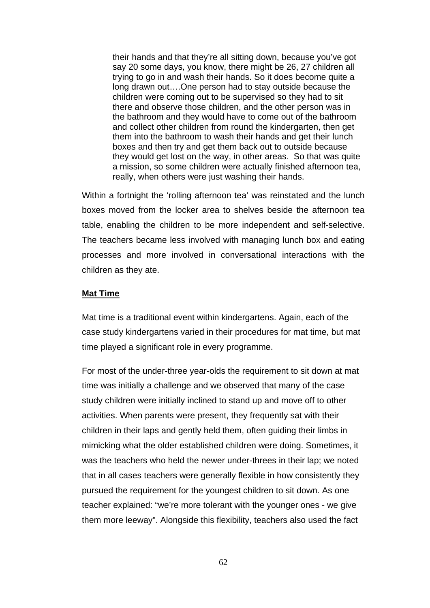their hands and that they're all sitting down, because you've got say 20 some days, you know, there might be 26, 27 children all trying to go in and wash their hands. So it does become quite a long drawn out….One person had to stay outside because the children were coming out to be supervised so they had to sit there and observe those children, and the other person was in the bathroom and they would have to come out of the bathroom and collect other children from round the kindergarten, then get them into the bathroom to wash their hands and get their lunch boxes and then try and get them back out to outside because they would get lost on the way, in other areas. So that was quite a mission, so some children were actually finished afternoon tea, really, when others were just washing their hands.

Within a fortnight the 'rolling afternoon tea' was reinstated and the lunch boxes moved from the locker area to shelves beside the afternoon tea table, enabling the children to be more independent and self-selective. The teachers became less involved with managing lunch box and eating processes and more involved in conversational interactions with the children as they ate.

#### **Mat Time**

Mat time is a traditional event within kindergartens. Again, each of the case study kindergartens varied in their procedures for mat time, but mat time played a significant role in every programme.

For most of the under-three year-olds the requirement to sit down at mat time was initially a challenge and we observed that many of the case study children were initially inclined to stand up and move off to other activities. When parents were present, they frequently sat with their children in their laps and gently held them, often guiding their limbs in mimicking what the older established children were doing. Sometimes, it was the teachers who held the newer under-threes in their lap; we noted that in all cases teachers were generally flexible in how consistently they pursued the requirement for the youngest children to sit down. As one teacher explained: "we're more tolerant with the younger ones - we give them more leeway". Alongside this flexibility, teachers also used the fact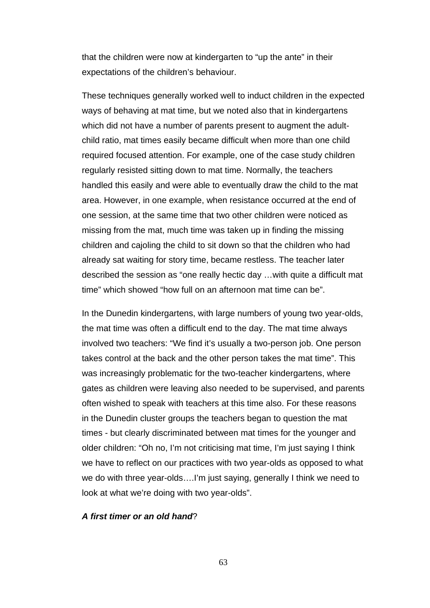that the children were now at kindergarten to "up the ante" in their expectations of the children's behaviour.

These techniques generally worked well to induct children in the expected ways of behaving at mat time, but we noted also that in kindergartens which did not have a number of parents present to augment the adultchild ratio, mat times easily became difficult when more than one child required focused attention. For example, one of the case study children regularly resisted sitting down to mat time. Normally, the teachers handled this easily and were able to eventually draw the child to the mat area. However, in one example, when resistance occurred at the end of one session, at the same time that two other children were noticed as missing from the mat, much time was taken up in finding the missing children and cajoling the child to sit down so that the children who had already sat waiting for story time, became restless. The teacher later described the session as "one really hectic day …with quite a difficult mat time" which showed "how full on an afternoon mat time can be".

In the Dunedin kindergartens, with large numbers of young two year-olds, the mat time was often a difficult end to the day. The mat time always involved two teachers: "We find it's usually a two-person job. One person takes control at the back and the other person takes the mat time". This was increasingly problematic for the two-teacher kindergartens, where gates as children were leaving also needed to be supervised, and parents often wished to speak with teachers at this time also. For these reasons in the Dunedin cluster groups the teachers began to question the mat times - but clearly discriminated between mat times for the younger and older children: "Oh no, I'm not criticising mat time, I'm just saying I think we have to reflect on our practices with two year-olds as opposed to what we do with three year-olds....I'm just saying, generally I think we need to look at what we're doing with two year-olds".

## *A first timer or an old hand*?

63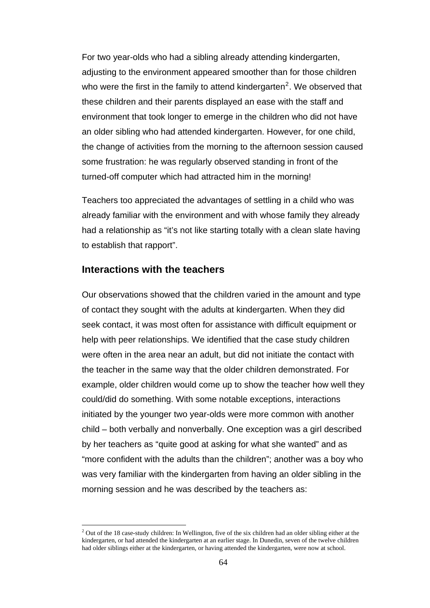<span id="page-73-0"></span>For two year-olds who had a sibling already attending kindergarten, adjusting to the environment appeared smoother than for those children who were the first in the family to attend kindergarten<sup>[2](#page-73-0)</sup>. We observed that these children and their parents displayed an ease with the staff and environment that took longer to emerge in the children who did not have an older sibling who had attended kindergarten. However, for one child, the change of activities from the morning to the afternoon session caused some frustration: he was regularly observed standing in front of the turned-off computer which had attracted him in the morning!

Teachers too appreciated the advantages of settling in a child who was already familiar with the environment and with whose family they already had a relationship as "it's not like starting totally with a clean slate having to establish that rapport".

# **Interactions with the teachers**

 $\overline{a}$ 

Our observations showed that the children varied in the amount and type of contact they sought with the adults at kindergarten. When they did seek contact, it was most often for assistance with difficult equipment or help with peer relationships. We identified that the case study children were often in the area near an adult, but did not initiate the contact with the teacher in the same way that the older children demonstrated. For example, older children would come up to show the teacher how well they could/did do something. With some notable exceptions, interactions initiated by the younger two year-olds were more common with another child – both verbally and nonverbally. One exception was a girl described by her teachers as "quite good at asking for what she wanted" and as "more confident with the adults than the children"; another was a boy who was very familiar with the kindergarten from having an older sibling in the morning session and he was described by the teachers as:

 $2$  Out of the 18 case-study children: In Wellington, five of the six children had an older sibling either at the kindergarten, or had attended the kindergarten at an earlier stage. In Dunedin, seven of the twelve children had older siblings either at the kindergarten, or having attended the kindergarten, were now at school.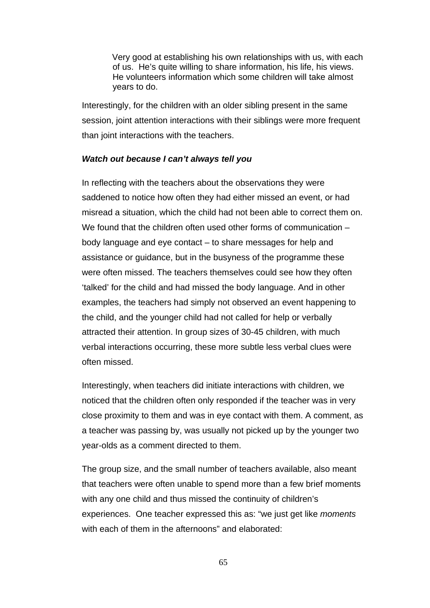Very good at establishing his own relationships with us, with each of us. He's quite willing to share information, his life, his views. He volunteers information which some children will take almost years to do.

Interestingly, for the children with an older sibling present in the same session, joint attention interactions with their siblings were more frequent than joint interactions with the teachers.

## *Watch out because I can't always tell you*

In reflecting with the teachers about the observations they were saddened to notice how often they had either missed an event, or had misread a situation, which the child had not been able to correct them on. We found that the children often used other forms of communication – body language and eye contact – to share messages for help and assistance or guidance, but in the busyness of the programme these were often missed. The teachers themselves could see how they often 'talked' for the child and had missed the body language. And in other examples, the teachers had simply not observed an event happening to the child, and the younger child had not called for help or verbally attracted their attention. In group sizes of 30-45 children, with much verbal interactions occurring, these more subtle less verbal clues were often missed.

Interestingly, when teachers did initiate interactions with children, we noticed that the children often only responded if the teacher was in very close proximity to them and was in eye contact with them. A comment, as a teacher was passing by, was usually not picked up by the younger two year-olds as a comment directed to them.

The group size, and the small number of teachers available, also meant that teachers were often unable to spend more than a few brief moments with any one child and thus missed the continuity of children's experiences. One teacher expressed this as: "we just get like *moments* with each of them in the afternoons" and elaborated: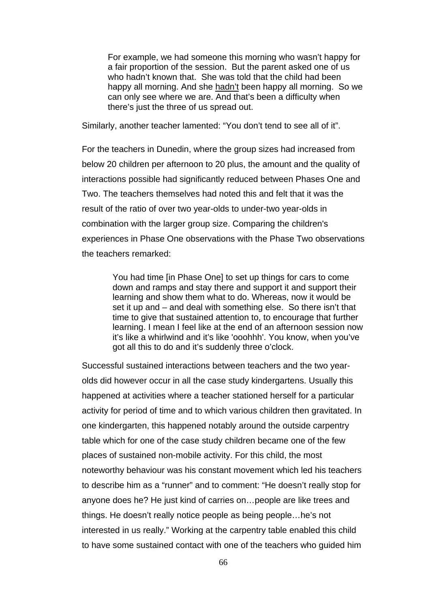For example, we had someone this morning who wasn't happy for a fair proportion of the session. But the parent asked one of us who hadn't known that. She was told that the child had been happy all morning. And she hadn't been happy all morning. So we can only see where we are. And that's been a difficulty when there's just the three of us spread out.

Similarly, another teacher lamented: "You don't tend to see all of it".

For the teachers in Dunedin, where the group sizes had increased from below 20 children per afternoon to 20 plus, the amount and the quality of interactions possible had significantly reduced between Phases One and Two. The teachers themselves had noted this and felt that it was the result of the ratio of over two year-olds to under-two year-olds in combination with the larger group size. Comparing the children's experiences in Phase One observations with the Phase Two observations the teachers remarked:

> You had time [in Phase One] to set up things for cars to come down and ramps and stay there and support it and support their learning and show them what to do. Whereas, now it would be set it up and – and deal with something else. So there isn't that time to give that sustained attention to, to encourage that further learning. I mean I feel like at the end of an afternoon session now it's like a whirlwind and it's like 'ooohhh'. You know, when you've got all this to do and it's suddenly three o'clock.

Successful sustained interactions between teachers and the two yearolds did however occur in all the case study kindergartens. Usually this happened at activities where a teacher stationed herself for a particular activity for period of time and to which various children then gravitated. In one kindergarten, this happened notably around the outside carpentry table which for one of the case study children became one of the few places of sustained non-mobile activity. For this child, the most noteworthy behaviour was his constant movement which led his teachers to describe him as a "runner" and to comment: "He doesn't really stop for anyone does he? He just kind of carries on…people are like trees and things. He doesn't really notice people as being people…he's not interested in us really." Working at the carpentry table enabled this child to have some sustained contact with one of the teachers who guided him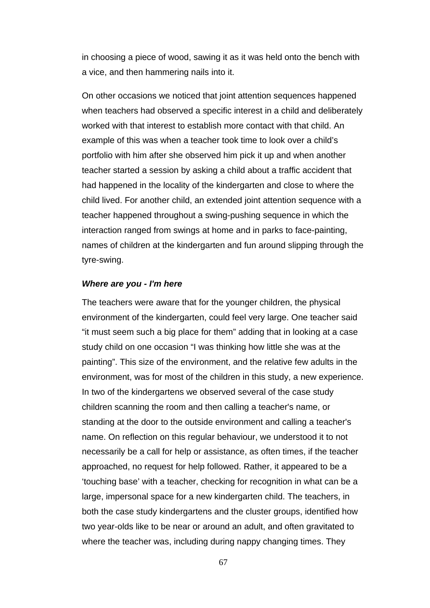in choosing a piece of wood, sawing it as it was held onto the bench with a vice, and then hammering nails into it.

On other occasions we noticed that joint attention sequences happened when teachers had observed a specific interest in a child and deliberately worked with that interest to establish more contact with that child. An example of this was when a teacher took time to look over a child's portfolio with him after she observed him pick it up and when another teacher started a session by asking a child about a traffic accident that had happened in the locality of the kindergarten and close to where the child lived. For another child, an extended joint attention sequence with a teacher happened throughout a swing-pushing sequence in which the interaction ranged from swings at home and in parks to face-painting, names of children at the kindergarten and fun around slipping through the tyre-swing.

#### *Where are you - I'm here*

The teachers were aware that for the younger children, the physical environment of the kindergarten, could feel very large. One teacher said "it must seem such a big place for them" adding that in looking at a case study child on one occasion "I was thinking how little she was at the painting". This size of the environment, and the relative few adults in the environment, was for most of the children in this study, a new experience. In two of the kindergartens we observed several of the case study children scanning the room and then calling a teacher's name, or standing at the door to the outside environment and calling a teacher's name. On reflection on this regular behaviour, we understood it to not necessarily be a call for help or assistance, as often times, if the teacher approached, no request for help followed. Rather, it appeared to be a 'touching base' with a teacher, checking for recognition in what can be a large, impersonal space for a new kindergarten child. The teachers, in both the case study kindergartens and the cluster groups, identified how two year-olds like to be near or around an adult, and often gravitated to where the teacher was, including during nappy changing times. They

67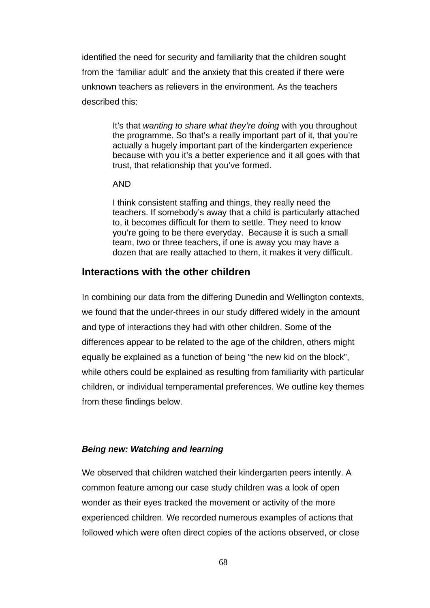identified the need for security and familiarity that the children sought from the 'familiar adult' and the anxiety that this created if there were unknown teachers as relievers in the environment. As the teachers described this:

> It's that *wanting to share what they're doing* with you throughout the programme. So that's a really important part of it, that you're actually a hugely important part of the kindergarten experience because with you it's a better experience and it all goes with that trust, that relationship that you've formed.

#### AND

I think consistent staffing and things, they really need the teachers. If somebody's away that a child is particularly attached to, it becomes difficult for them to settle. They need to know you're going to be there everyday. Because it is such a small team, two or three teachers, if one is away you may have a dozen that are really attached to them, it makes it very difficult.

# **Interactions with the other children**

In combining our data from the differing Dunedin and Wellington contexts, we found that the under-threes in our study differed widely in the amount and type of interactions they had with other children. Some of the differences appear to be related to the age of the children, others might equally be explained as a function of being "the new kid on the block", while others could be explained as resulting from familiarity with particular children, or individual temperamental preferences. We outline key themes from these findings below.

# *Being new: Watching and learning*

We observed that children watched their kindergarten peers intently. A common feature among our case study children was a look of open wonder as their eyes tracked the movement or activity of the more experienced children. We recorded numerous examples of actions that followed which were often direct copies of the actions observed, or close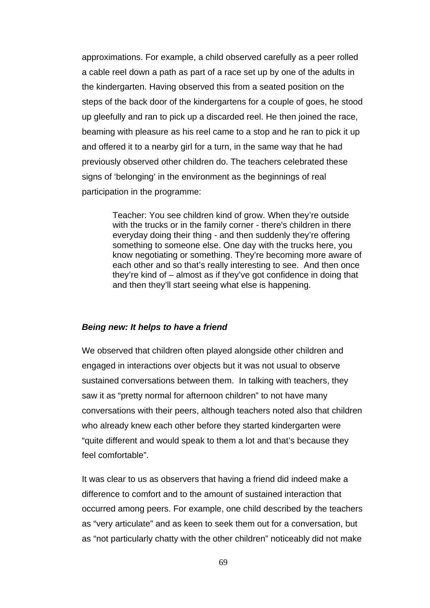approximations. For example, a child observed carefully as a peer rolled a cable reel down a path as part of a race set up by one of the adults in the kindergarten. Having observed this from a seated position on the steps of the back door of the kindergartens for a couple of goes, he stood up gleefully and ran to pick up a discarded reel. He then joined the race, beaming with pleasure as his reel came to a stop and he ran to pick it up and offered it to a nearby girl for a turn, in the same way that he had previously observed other children do. The teachers celebrated these signs of 'belonging' in the environment as the beginnings of real participation in the programme:

> Teacher: You see children kind of grow. When they're outside with the trucks or in the family corner - there's children in there everyday doing their thing - and then suddenly they're offering something to someone else. One day with the trucks here, you know negotiating or something. They're becoming more aware of each other and so that's really interesting to see. And then once they're kind of – almost as if they've got confidence in doing that and then they'll start seeing what else is happening.

## *Being new: It helps to have a friend*

We observed that children often played alongside other children and engaged in interactions over objects but it was not usual to observe sustained conversations between them. In talking with teachers, they saw it as "pretty normal for afternoon children" to not have many conversations with their peers, although teachers noted also that children who already knew each other before they started kindergarten were "quite different and would speak to them a lot and that's because they feel comfortable".

It was clear to us as observers that having a friend did indeed make a difference to comfort and to the amount of sustained interaction that occurred among peers. For example, one child described by the teachers as "very articulate" and as keen to seek them out for a conversation, but as "not particularly chatty with the other children" noticeably did not make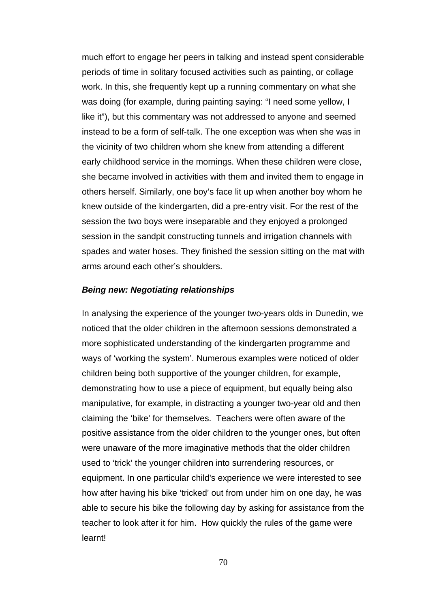much effort to engage her peers in talking and instead spent considerable periods of time in solitary focused activities such as painting, or collage work. In this, she frequently kept up a running commentary on what she was doing (for example, during painting saying: "I need some yellow, I like it"), but this commentary was not addressed to anyone and seemed instead to be a form of self-talk. The one exception was when she was in the vicinity of two children whom she knew from attending a different early childhood service in the mornings. When these children were close, she became involved in activities with them and invited them to engage in others herself. Similarly, one boy's face lit up when another boy whom he knew outside of the kindergarten, did a pre-entry visit. For the rest of the session the two boys were inseparable and they enjoyed a prolonged session in the sandpit constructing tunnels and irrigation channels with spades and water hoses. They finished the session sitting on the mat with arms around each other's shoulders.

#### *Being new: Negotiating relationships*

In analysing the experience of the younger two-years olds in Dunedin, we noticed that the older children in the afternoon sessions demonstrated a more sophisticated understanding of the kindergarten programme and ways of 'working the system'. Numerous examples were noticed of older children being both supportive of the younger children, for example, demonstrating how to use a piece of equipment, but equally being also manipulative, for example, in distracting a younger two-year old and then claiming the 'bike' for themselves. Teachers were often aware of the positive assistance from the older children to the younger ones, but often were unaware of the more imaginative methods that the older children used to 'trick' the younger children into surrendering resources, or equipment. In one particular child's experience we were interested to see how after having his bike 'tricked' out from under him on one day, he was able to secure his bike the following day by asking for assistance from the teacher to look after it for him. How quickly the rules of the game were learnt!

70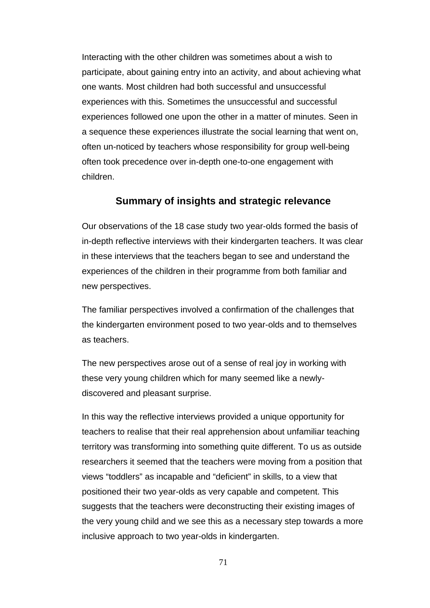Interacting with the other children was sometimes about a wish to participate, about gaining entry into an activity, and about achieving what one wants. Most children had both successful and unsuccessful experiences with this. Sometimes the unsuccessful and successful experiences followed one upon the other in a matter of minutes. Seen in a sequence these experiences illustrate the social learning that went on, often un-noticed by teachers whose responsibility for group well-being often took precedence over in-depth one-to-one engagement with children.

# **Summary of insights and strategic relevance**

Our observations of the 18 case study two year-olds formed the basis of in-depth reflective interviews with their kindergarten teachers. It was clear in these interviews that the teachers began to see and understand the experiences of the children in their programme from both familiar and new perspectives.

The familiar perspectives involved a confirmation of the challenges that the kindergarten environment posed to two year-olds and to themselves as teachers.

The new perspectives arose out of a sense of real joy in working with these very young children which for many seemed like a newlydiscovered and pleasant surprise.

In this way the reflective interviews provided a unique opportunity for teachers to realise that their real apprehension about unfamiliar teaching territory was transforming into something quite different. To us as outside researchers it seemed that the teachers were moving from a position that views "toddlers" as incapable and "deficient" in skills, to a view that positioned their two year-olds as very capable and competent. This suggests that the teachers were deconstructing their existing images of the very young child and we see this as a necessary step towards a more inclusive approach to two year-olds in kindergarten.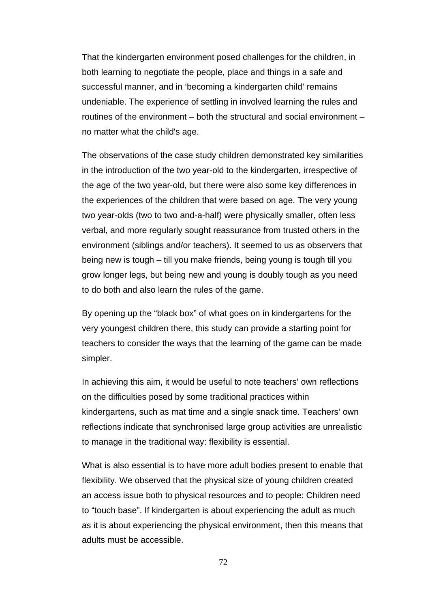That the kindergarten environment posed challenges for the children, in both learning to negotiate the people, place and things in a safe and successful manner, and in 'becoming a kindergarten child' remains undeniable. The experience of settling in involved learning the rules and routines of the environment – both the structural and social environment – no matter what the child's age.

The observations of the case study children demonstrated key similarities in the introduction of the two year-old to the kindergarten, irrespective of the age of the two year-old, but there were also some key differences in the experiences of the children that were based on age. The very young two year-olds (two to two and-a-half) were physically smaller, often less verbal, and more regularly sought reassurance from trusted others in the environment (siblings and/or teachers). It seemed to us as observers that being new is tough – till you make friends, being young is tough till you grow longer legs, but being new and young is doubly tough as you need to do both and also learn the rules of the game.

By opening up the "black box" of what goes on in kindergartens for the very youngest children there, this study can provide a starting point for teachers to consider the ways that the learning of the game can be made simpler.

In achieving this aim, it would be useful to note teachers' own reflections on the difficulties posed by some traditional practices within kindergartens, such as mat time and a single snack time. Teachers' own reflections indicate that synchronised large group activities are unrealistic to manage in the traditional way: flexibility is essential.

What is also essential is to have more adult bodies present to enable that flexibility. We observed that the physical size of young children created an access issue both to physical resources and to people: Children need to "touch base". If kindergarten is about experiencing the adult as much as it is about experiencing the physical environment, then this means that adults must be accessible.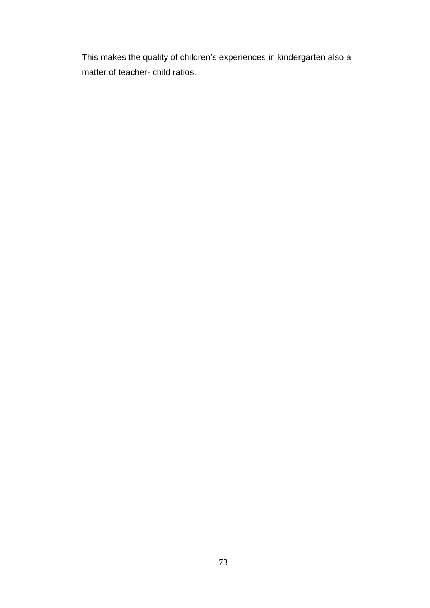This makes the quality of children's experiences in kindergarten also a matter of teacher- child ratios.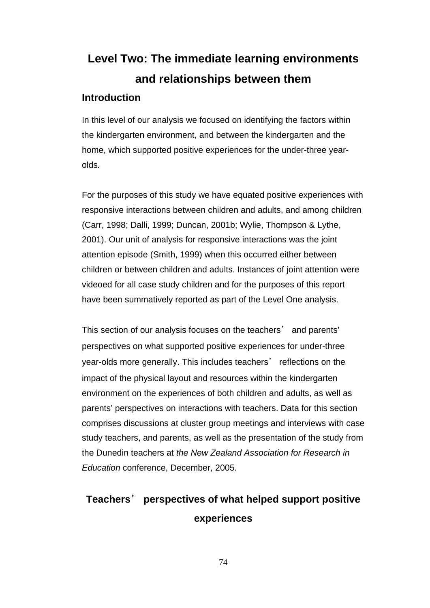# **Level Two: The immediate learning environments and relationships between them**

# **Introduction**

In this level of our analysis we focused on identifying the factors within the kindergarten environment, and between the kindergarten and the home, which supported positive experiences for the under-three yearolds*.*

For the purposes of this study we have equated positive experiences with responsive interactions between children and adults, and among children (Carr, 1998; Dalli, 1999; Duncan, 2001b; Wylie, Thompson & Lythe, 2001). Our unit of analysis for responsive interactions was the joint attention episode (Smith, 1999) when this occurred either between children or between children and adults. Instances of joint attention were videoed for all case study children and for the purposes of this report have been summatively reported as part of the Level One analysis.

This section of our analysis focuses on the teachers' and parents' perspectives on what supported positive experiences for under-three year-olds more generally. This includes teachers' reflections on the impact of the physical layout and resources within the kindergarten environment on the experiences of both children and adults, as well as parents' perspectives on interactions with teachers. Data for this section comprises discussions at cluster group meetings and interviews with case study teachers, and parents, as well as the presentation of the study from the Dunedin teachers at *the New Zealand Association for Research in Education* conference, December, 2005.

# **Teachers**' **perspectives of what helped support positive experiences**

74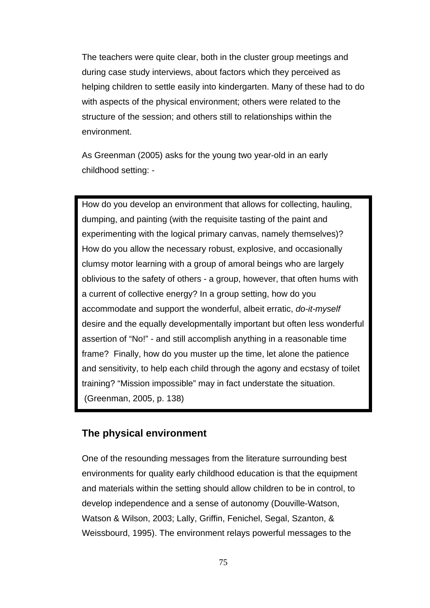The teachers were quite clear, both in the cluster group meetings and during case study interviews, about factors which they perceived as helping children to settle easily into kindergarten. Many of these had to do with aspects of the physical environment; others were related to the structure of the session; and others still to relationships within the environment.

As Greenman (2005) asks for the young two year-old in an early childhood setting: -

How do you develop an environment that allows for collecting, hauling, dumping, and painting (with the requisite tasting of the paint and experimenting with the logical primary canvas, namely themselves)? How do you allow the necessary robust, explosive, and occasionally clumsy motor learning with a group of amoral beings who are largely oblivious to the safety of others - a group, however, that often hums with a current of collective energy? In a group setting, how do you accommodate and support the wonderful, albeit erratic, *do-it-myself* desire and the equally developmentally important but often less wonderful assertion of "No!" - and still accomplish anything in a reasonable time frame? Finally, how do you muster up the time, let alone the patience and sensitivity, to help each child through the agony and ecstasy of toilet training? "Mission impossible" may in fact understate the situation. (Greenman, 2005, p. 138)

# **The physical environment**

One of the resounding messages from the literature surrounding best environments for quality early childhood education is that the equipment and materials within the setting should allow children to be in control, to develop independence and a sense of autonomy (Douville-Watson, Watson & Wilson, 2003; Lally, Griffin, Fenichel, Segal, Szanton, & Weissbourd, 1995). The environment relays powerful messages to the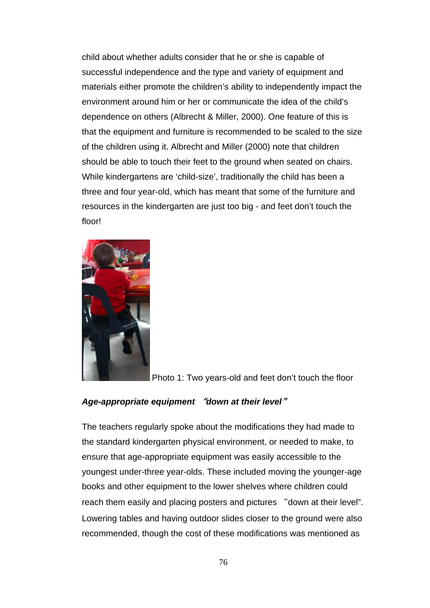child about whether adults consider that he or she is capable of successful independence and the type and variety of equipment and materials either promote the children's ability to independently impact the environment around him or her or communicate the idea of the child's dependence on others (Albrecht & Miller, 2000). One feature of this is that the equipment and furniture is recommended to be scaled to the size of the children using it. Albrecht and Miller (2000) note that children should be able to touch their feet to the ground when seated on chairs. While kindergartens are 'child-size', traditionally the child has been a three and four year-old, which has meant that some of the furniture and resources in the kindergarten are just too big - and feet don't touch the floor!



Photo 1: Two years-old and feet don't touch the floor

# *Age-appropriate equipment* "*down at their level*"

The teachers regularly spoke about the modifications they had made to the standard kindergarten physical environment, or needed to make, to ensure that age-appropriate equipment was easily accessible to the youngest under-three year-olds. These included moving the younger-age books and other equipment to the lower shelves where children could reach them easily and placing posters and pictures "down at their level". Lowering tables and having outdoor slides closer to the ground were also recommended, though the cost of these modifications was mentioned as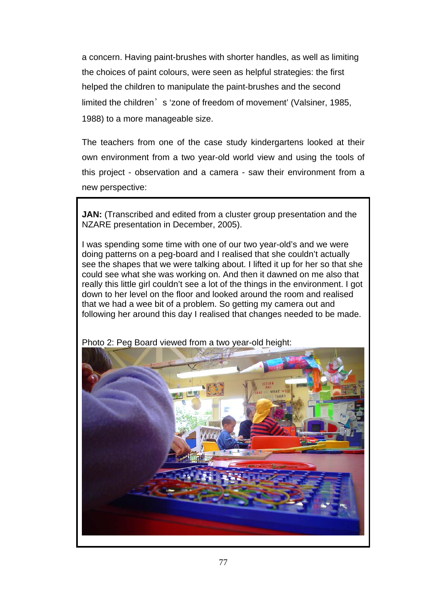a concern. Having paint-brushes with shorter handles, as well as limiting the choices of paint colours, were seen as helpful strategies: the first helped the children to manipulate the paint-brushes and the second limited the children's 'zone of freedom of movement' (Valsiner, 1985, 1988) to a more manageable size.

The teachers from one of the case study kindergartens looked at their own environment from a two year-old world view and using the tools of this project - observation and a camera - saw their environment from a new perspective:

**JAN:** (Transcribed and edited from a cluster group presentation and the NZARE presentation in December, 2005).

I was spending some time with one of our two year-old's and we were doing patterns on a peg-board and I realised that she couldn't actually see the shapes that we were talking about. I lifted it up for her so that she could see what she was working on. And then it dawned on me also that really this little girl couldn't see a lot of the things in the environment. I got down to her level on the floor and looked around the room and realised that we had a wee bit of a problem. So getting my camera out and following her around this day I realised that changes needed to be made.



Photo 2: Peg Board viewed from a two year-old height: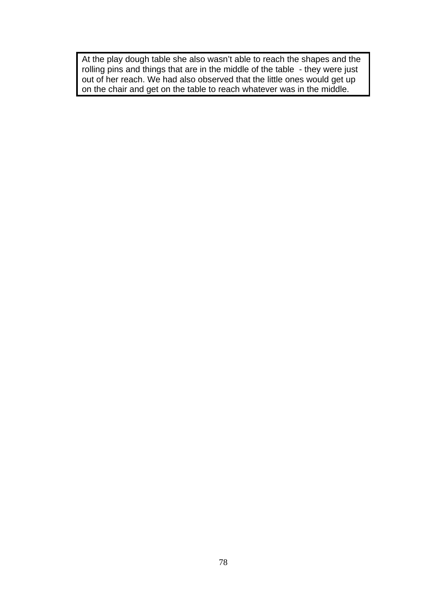At the play dough table she also wasn't able to reach the shapes and the rolling pins and things that are in the middle of the table - they were just out of her reach. We had also observed that the little ones would get up on the chair and get on the table to reach whatever was in the middle.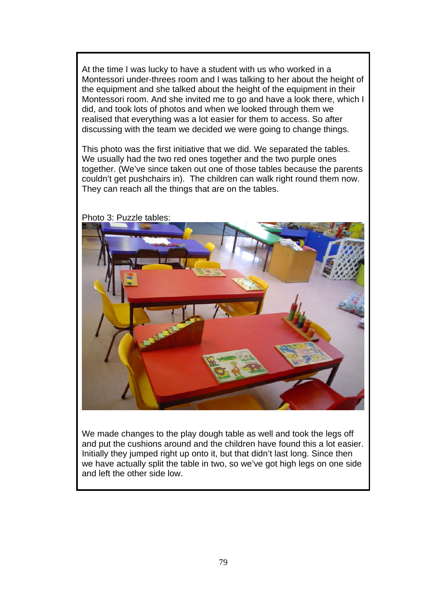At the time I was lucky to have a student with us who worked in a Montessori under-threes room and I was talking to her about the height of the equipment and she talked about the height of the equipment in their Montessori room. And she invited me to go and have a look there, which I did, and took lots of photos and when we looked through them we realised that everything was a lot easier for them to access. So after discussing with the team we decided we were going to change things.

This photo was the first initiative that we did. We separated the tables. We usually had the two red ones together and the two purple ones together. (We've since taken out one of those tables because the parents couldn't get pushchairs in). The children can walk right round them now. They can reach all the things that are on the tables.



Photo 3: Puzzle tables:

We made changes to the play dough table as well and took the legs off and put the cushions around and the children have found this a lot easier. Initially they jumped right up onto it, but that didn't last long. Since then we have actually split the table in two, so we've got high legs on one side and left the other side low.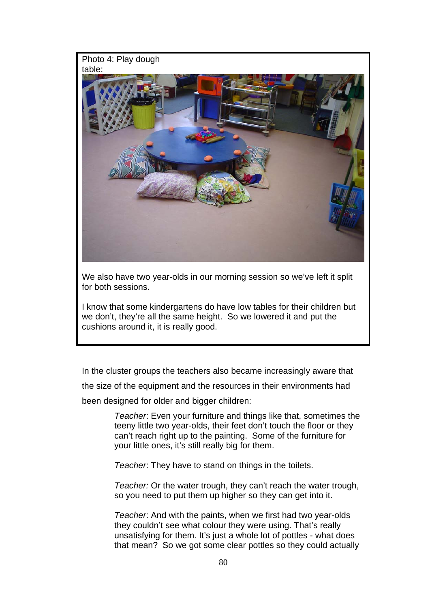#### Photo 4: Play dough table:



We also have two year-olds in our morning session so we've left it split for both sessions.

I know that some kindergartens do have low tables for their children but we don't, they're all the same height. So we lowered it and put the cushions around it, it is really good.

In the cluster groups the teachers also became increasingly aware that

the size of the equipment and the resources in their environments had

been designed for older and bigger children:

*Teacher*: Even your furniture and things like that, sometimes the teeny little two year-olds, their feet don't touch the floor or they can't reach right up to the painting. Some of the furniture for your little ones, it's still really big for them.

*Teacher*: They have to stand on things in the toilets.

*Teacher:* Or the water trough, they can't reach the water trough, so you need to put them up higher so they can get into it.

*Teacher*: And with the paints, when we first had two year-olds they couldn't see what colour they were using. That's really unsatisfying for them. It's just a whole lot of pottles - what does that mean? So we got some clear pottles so they could actually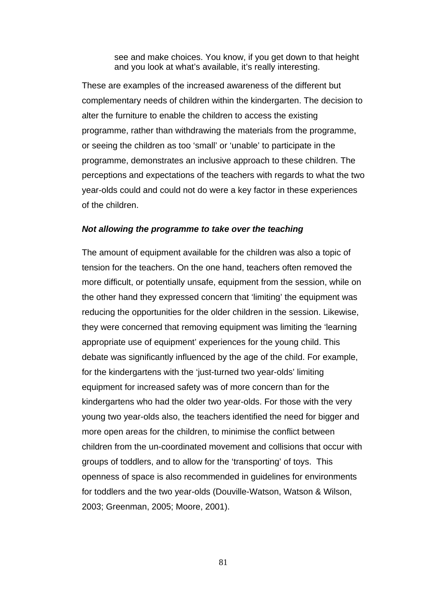see and make choices. You know, if you get down to that height and you look at what's available, it's really interesting.

These are examples of the increased awareness of the different but complementary needs of children within the kindergarten. The decision to alter the furniture to enable the children to access the existing programme, rather than withdrawing the materials from the programme, or seeing the children as too 'small' or 'unable' to participate in the programme, demonstrates an inclusive approach to these children. The perceptions and expectations of the teachers with regards to what the two year-olds could and could not do were a key factor in these experiences of the children.

#### *Not allowing the programme to take over the teaching*

The amount of equipment available for the children was also a topic of tension for the teachers. On the one hand, teachers often removed the more difficult, or potentially unsafe, equipment from the session, while on the other hand they expressed concern that 'limiting' the equipment was reducing the opportunities for the older children in the session. Likewise, they were concerned that removing equipment was limiting the 'learning appropriate use of equipment' experiences for the young child. This debate was significantly influenced by the age of the child. For example, for the kindergartens with the 'just-turned two year-olds' limiting equipment for increased safety was of more concern than for the kindergartens who had the older two year-olds. For those with the very young two year-olds also, the teachers identified the need for bigger and more open areas for the children, to minimise the conflict between children from the un-coordinated movement and collisions that occur with groups of toddlers, and to allow for the 'transporting' of toys. This openness of space is also recommended in guidelines for environments for toddlers and the two year-olds (Douville-Watson, Watson & Wilson, 2003; Greenman, 2005; Moore, 2001).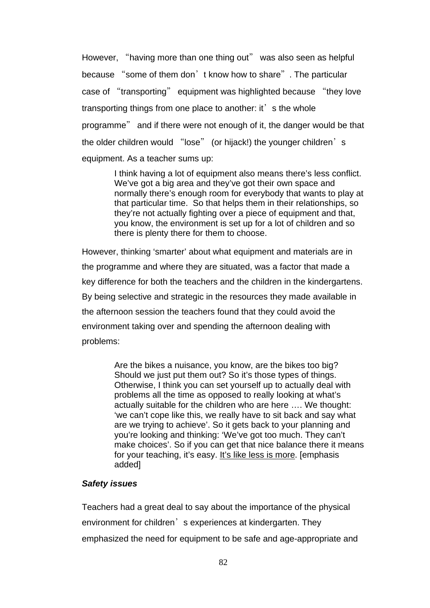However, "having more than one thing out" was also seen as helpful because "some of them don't know how to share". The particular case of "transporting" equipment was highlighted because "they love transporting things from one place to another: it' s the whole programme" and if there were not enough of it, the danger would be that the older children would "lose" (or hijack!) the younger children's equipment. As a teacher sums up:

> I think having a lot of equipment also means there's less conflict. We've got a big area and they've got their own space and normally there's enough room for everybody that wants to play at that particular time. So that helps them in their relationships, so they're not actually fighting over a piece of equipment and that, you know, the environment is set up for a lot of children and so there is plenty there for them to choose.

However, thinking 'smarter' about what equipment and materials are in the programme and where they are situated, was a factor that made a key difference for both the teachers and the children in the kindergartens. By being selective and strategic in the resources they made available in the afternoon session the teachers found that they could avoid the environment taking over and spending the afternoon dealing with problems:

> Are the bikes a nuisance, you know, are the bikes too big? Should we just put them out? So it's those types of things. Otherwise, I think you can set yourself up to actually deal with problems all the time as opposed to really looking at what's actually suitable for the children who are here …. We thought: 'we can't cope like this, we really have to sit back and say what are we trying to achieve'. So it gets back to your planning and you're looking and thinking: 'We've got too much. They can't make choices'. So if you can get that nice balance there it means for your teaching, it's easy. It's like less is more. [emphasis added]

#### *Safety issues*

Teachers had a great deal to say about the importance of the physical environment for children<sup>2</sup> s experiences at kindergarten. They emphasized the need for equipment to be safe and age-appropriate and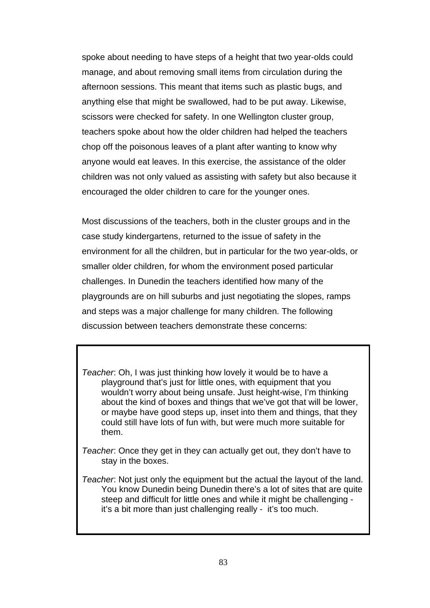spoke about needing to have steps of a height that two year-olds could manage, and about removing small items from circulation during the afternoon sessions. This meant that items such as plastic bugs, and anything else that might be swallowed, had to be put away. Likewise, scissors were checked for safety. In one Wellington cluster group, teachers spoke about how the older children had helped the teachers chop off the poisonous leaves of a plant after wanting to know why anyone would eat leaves. In this exercise, the assistance of the older children was not only valued as assisting with safety but also because it encouraged the older children to care for the younger ones.

Most discussions of the teachers, both in the cluster groups and in the case study kindergartens, returned to the issue of safety in the environment for all the children, but in particular for the two year-olds, or smaller older children, for whom the environment posed particular challenges. In Dunedin the teachers identified how many of the playgrounds are on hill suburbs and just negotiating the slopes, ramps and steps was a major challenge for many children. The following discussion between teachers demonstrate these concerns:

*Teacher*: Oh, I was just thinking how lovely it would be to have a playground that's just for little ones, with equipment that you wouldn't worry about being unsafe. Just height-wise, I'm thinking about the kind of boxes and things that we've got that will be lower, or maybe have good steps up, inset into them and things, that they could still have lots of fun with, but were much more suitable for them.

*Teacher*: Once they get in they can actually get out, they don't have to stay in the boxes.

*Teacher*: Not just only the equipment but the actual the layout of the land. You know Dunedin being Dunedin there's a lot of sites that are quite steep and difficult for little ones and while it might be challenging it's a bit more than just challenging really - it's too much.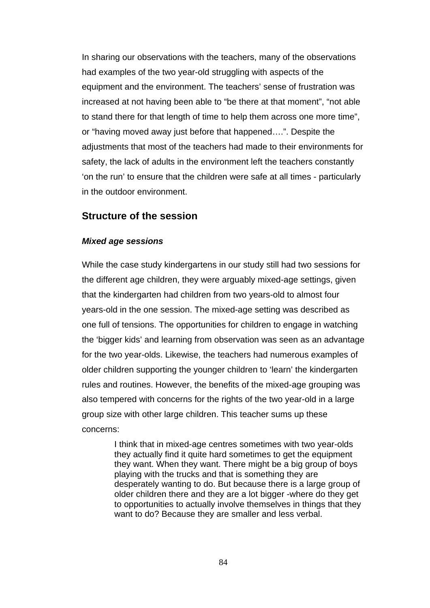In sharing our observations with the teachers, many of the observations had examples of the two year-old struggling with aspects of the equipment and the environment. The teachers' sense of frustration was increased at not having been able to "be there at that moment", "not able to stand there for that length of time to help them across one more time", or "having moved away just before that happened….". Despite the adjustments that most of the teachers had made to their environments for safety, the lack of adults in the environment left the teachers constantly 'on the run' to ensure that the children were safe at all times - particularly in the outdoor environment.

# **Structure of the session**

#### *Mixed age sessions*

While the case study kindergartens in our study still had two sessions for the different age children, they were arguably mixed-age settings, given that the kindergarten had children from two years-old to almost four years-old in the one session. The mixed-age setting was described as one full of tensions. The opportunities for children to engage in watching the 'bigger kids' and learning from observation was seen as an advantage for the two year-olds. Likewise, the teachers had numerous examples of older children supporting the younger children to 'learn' the kindergarten rules and routines. However, the benefits of the mixed-age grouping was also tempered with concerns for the rights of the two year-old in a large group size with other large children. This teacher sums up these concerns:

> I think that in mixed-age centres sometimes with two year-olds they actually find it quite hard sometimes to get the equipment they want. When they want. There might be a big group of boys playing with the trucks and that is something they are desperately wanting to do. But because there is a large group of older children there and they are a lot bigger -where do they get to opportunities to actually involve themselves in things that they want to do? Because they are smaller and less verbal.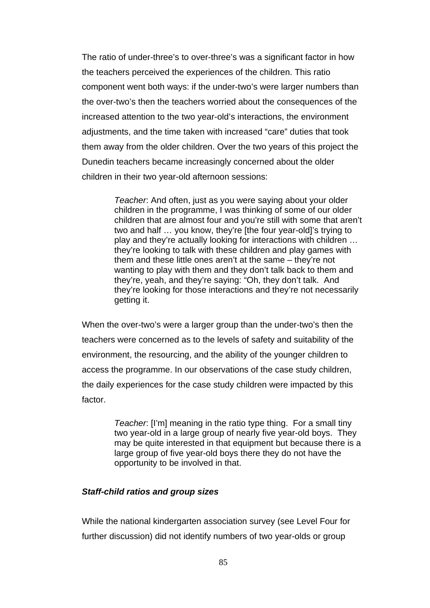The ratio of under-three's to over-three's was a significant factor in how the teachers perceived the experiences of the children. This ratio component went both ways: if the under-two's were larger numbers than the over-two's then the teachers worried about the consequences of the increased attention to the two year-old's interactions, the environment adjustments, and the time taken with increased "care" duties that took them away from the older children. Over the two years of this project the Dunedin teachers became increasingly concerned about the older children in their two year-old afternoon sessions:

> *Teacher*: And often, just as you were saying about your older children in the programme, I was thinking of some of our older children that are almost four and you're still with some that aren't two and half … you know, they're [the four year-old]'s trying to play and they're actually looking for interactions with children … they're looking to talk with these children and play games with them and these little ones aren't at the same – they're not wanting to play with them and they don't talk back to them and they're, yeah, and they're saying: "Oh, they don't talk. And they're looking for those interactions and they're not necessarily getting it.

When the over-two's were a larger group than the under-two's then the teachers were concerned as to the levels of safety and suitability of the environment, the resourcing, and the ability of the younger children to access the programme. In our observations of the case study children, the daily experiences for the case study children were impacted by this factor.

> *Teacher*: [I'm] meaning in the ratio type thing. For a small tiny two year-old in a large group of nearly five year-old boys. They may be quite interested in that equipment but because there is a large group of five year-old boys there they do not have the opportunity to be involved in that.

#### *Staff-child ratios and group sizes*

While the national kindergarten association survey (see Level Four for further discussion) did not identify numbers of two year-olds or group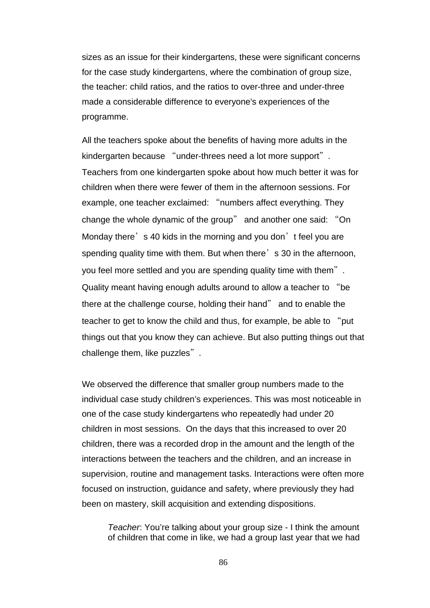sizes as an issue for their kindergartens, these were significant concerns for the case study kindergartens, where the combination of group size, the teacher: child ratios, and the ratios to over-three and under-three made a considerable difference to everyone's experiences of the programme.

All the teachers spoke about the benefits of having more adults in the kindergarten because "under-threes need a lot more support". Teachers from one kindergarten spoke about how much better it was for children when there were fewer of them in the afternoon sessions. For example, one teacher exclaimed: "numbers affect everything. They change the whole dynamic of the group" and another one said: "On Monday there's 40 kids in the morning and you don't feel you are spending quality time with them. But when there's 30 in the afternoon, you feel more settled and you are spending quality time with them". Quality meant having enough adults around to allow a teacher to "be there at the challenge course, holding their hand" and to enable the teacher to get to know the child and thus, for example, be able to "put things out that you know they can achieve. But also putting things out that challenge them, like puzzles".

We observed the difference that smaller group numbers made to the individual case study children's experiences. This was most noticeable in one of the case study kindergartens who repeatedly had under 20 children in most sessions. On the days that this increased to over 20 children, there was a recorded drop in the amount and the length of the interactions between the teachers and the children, and an increase in supervision, routine and management tasks. Interactions were often more focused on instruction, guidance and safety, where previously they had been on mastery, skill acquisition and extending dispositions.

*Teacher*: You're talking about your group size - I think the amount of children that come in like, we had a group last year that we had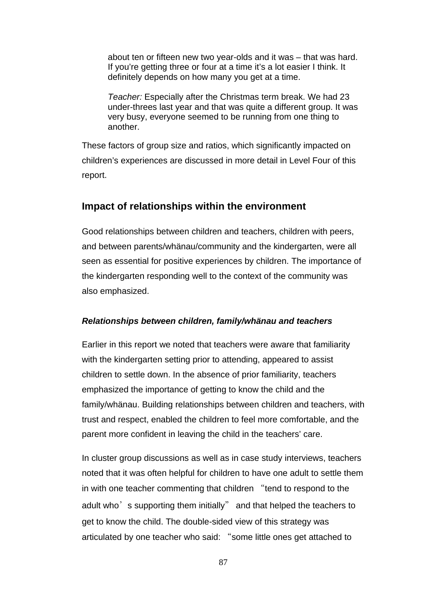about ten or fifteen new two year-olds and it was – that was hard. If you're getting three or four at a time it's a lot easier I think. It definitely depends on how many you get at a time.

*Teacher:* Especially after the Christmas term break. We had 23 under-threes last year and that was quite a different group. It was very busy, everyone seemed to be running from one thing to another.

These factors of group size and ratios, which significantly impacted on children's experiences are discussed in more detail in Level Four of this report.

# **Impact of relationships within the environment**

Good relationships between children and teachers, children with peers, and between parents/whänau/community and the kindergarten, were all seen as essential for positive experiences by children. The importance of the kindergarten responding well to the context of the community was also emphasized.

# *Relationships between children, family/whänau and teachers*

Earlier in this report we noted that teachers were aware that familiarity with the kindergarten setting prior to attending, appeared to assist children to settle down. In the absence of prior familiarity, teachers emphasized the importance of getting to know the child and the family/whänau. Building relationships between children and teachers, with trust and respect, enabled the children to feel more comfortable, and the parent more confident in leaving the child in the teachers' care.

In cluster group discussions as well as in case study interviews, teachers noted that it was often helpful for children to have one adult to settle them in with one teacher commenting that children "tend to respond to the adult who's supporting them initially" and that helped the teachers to get to know the child. The double-sided view of this strategy was articulated by one teacher who said: "some little ones get attached to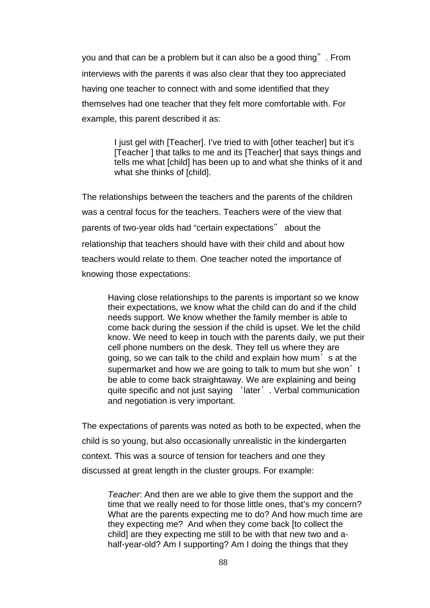you and that can be a problem but it can also be a good thing". From interviews with the parents it was also clear that they too appreciated having one teacher to connect with and some identified that they themselves had one teacher that they felt more comfortable with. For example, this parent described it as:

> I just gel with [Teacher]. I've tried to with [other teacher] but it's [Teacher ] that talks to me and its [Teacher] that says things and tells me what [child] has been up to and what she thinks of it and what she thinks of [child].

The relationships between the teachers and the parents of the children was a central focus for the teachers. Teachers were of the view that parents of two-year olds had "certain expectations" about the relationship that teachers should have with their child and about how teachers would relate to them. One teacher noted the importance of knowing those expectations:

Having close relationships to the parents is important so we know their expectations, we know what the child can do and if the child needs support. We know whether the family member is able to come back during the session if the child is upset. We let the child know. We need to keep in touch with the parents daily, we put their cell phone numbers on the desk. They tell us where they are going, so we can talk to the child and explain how mum's at the supermarket and how we are going to talk to mum but she won't be able to come back straightaway. We are explaining and being quite specific and not just saying 'later'. Verbal communication and negotiation is very important.

The expectations of parents was noted as both to be expected, when the child is so young, but also occasionally unrealistic in the kindergarten context. This was a source of tension for teachers and one they discussed at great length in the cluster groups. For example:

*Teacher*: And then are we able to give them the support and the time that we really need to for those little ones, that's my concern? What are the parents expecting me to do? And how much time are they expecting me? And when they come back [to collect the child] are they expecting me still to be with that new two and ahalf-year-old? Am I supporting? Am I doing the things that they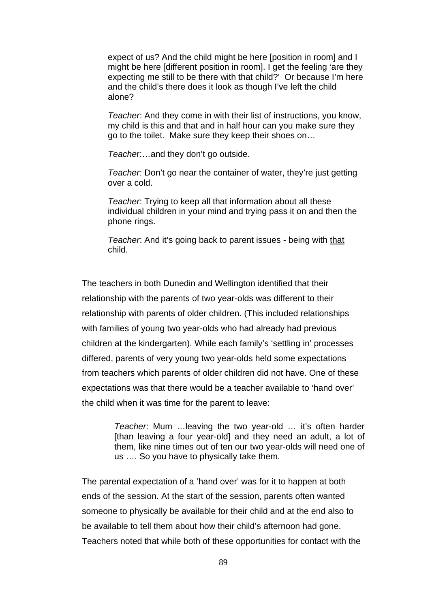expect of us? And the child might be here [position in room] and I might be here [different position in room]. I get the feeling 'are they expecting me still to be there with that child?' Or because I'm here and the child's there does it look as though I've left the child alone?

*Teacher*: And they come in with their list of instructions, you know, my child is this and that and in half hour can you make sure they go to the toilet. Make sure they keep their shoes on…

*Teache*r:…and they don't go outside.

*Teacher*: Don't go near the container of water, they're just getting over a cold.

*Teacher*: Trying to keep all that information about all these individual children in your mind and trying pass it on and then the phone rings.

*Teacher*: And it's going back to parent issues - being with that child.

The teachers in both Dunedin and Wellington identified that their relationship with the parents of two year-olds was different to their relationship with parents of older children. (This included relationships with families of young two year-olds who had already had previous children at the kindergarten). While each family's 'settling in' processes differed, parents of very young two year-olds held some expectations from teachers which parents of older children did not have. One of these expectations was that there would be a teacher available to 'hand over' the child when it was time for the parent to leave:

> *Teacher*: Mum …leaving the two year-old … it's often harder [than leaving a four year-old] and they need an adult, a lot of them, like nine times out of ten our two year-olds will need one of us …. So you have to physically take them.

The parental expectation of a 'hand over' was for it to happen at both ends of the session. At the start of the session, parents often wanted someone to physically be available for their child and at the end also to be available to tell them about how their child's afternoon had gone. Teachers noted that while both of these opportunities for contact with the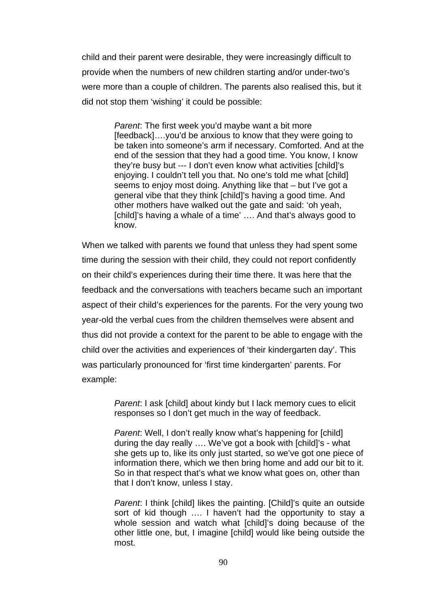child and their parent were desirable, they were increasingly difficult to provide when the numbers of new children starting and/or under-two's were more than a couple of children. The parents also realised this, but it did not stop them 'wishing' it could be possible:

> *Parent*: The first week you'd maybe want a bit more [feedback]….you'd be anxious to know that they were going to be taken into someone's arm if necessary. Comforted. And at the end of the session that they had a good time. You know, I know they're busy but --- I don't even know what activities [child]'s enjoying. I couldn't tell you that. No one's told me what [child] seems to enjoy most doing. Anything like that – but I've got a general vibe that they think [child]'s having a good time. And other mothers have walked out the gate and said: 'oh yeah, [child]'s having a whale of a time' .... And that's always good to know.

When we talked with parents we found that unless they had spent some time during the session with their child, they could not report confidently on their child's experiences during their time there. It was here that the feedback and the conversations with teachers became such an important aspect of their child's experiences for the parents. For the very young two year-old the verbal cues from the children themselves were absent and thus did not provide a context for the parent to be able to engage with the child over the activities and experiences of 'their kindergarten day'. This was particularly pronounced for 'first time kindergarten' parents. For example:

> *Parent*: I ask [child] about kindy but I lack memory cues to elicit responses so I don't get much in the way of feedback.

*Parent*: Well, I don't really know what's happening for [child] during the day really …. We've got a book with [child]'s - what she gets up to, like its only just started, so we've got one piece of information there, which we then bring home and add our bit to it. So in that respect that's what we know what goes on, other than that I don't know, unless I stay.

*Parent*: I think [child] likes the painting. [Child]'s quite an outside sort of kid though …. I haven't had the opportunity to stay a whole session and watch what [child]'s doing because of the other little one, but, I imagine [child] would like being outside the most.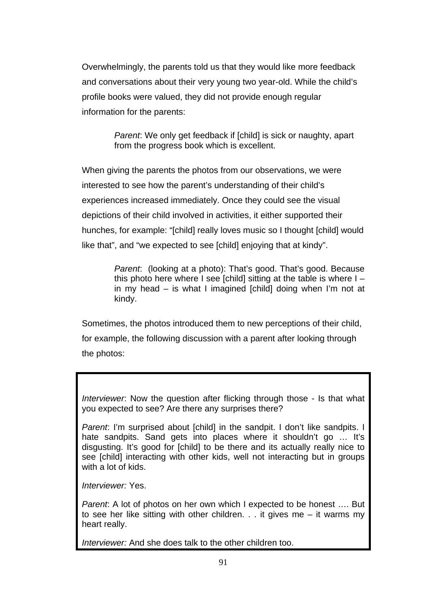Overwhelmingly, the parents told us that they would like more feedback and conversations about their very young two year-old. While the child's profile books were valued, they did not provide enough regular information for the parents:

> *Parent*: We only get feedback if [child] is sick or naughty, apart from the progress book which is excellent.

When giving the parents the photos from our observations, we were interested to see how the parent's understanding of their child's experiences increased immediately. Once they could see the visual depictions of their child involved in activities, it either supported their hunches, for example: "[child] really loves music so I thought [child] would like that", and "we expected to see [child] enjoying that at kindy".

> *Parent*: (looking at a photo): That's good. That's good. Because this photo here where I see [child] sitting at the table is where  $I$ in my head – is what I imagined [child] doing when I'm not at kindy.

Sometimes, the photos introduced them to new perceptions of their child, for example, the following discussion with a parent after looking through the photos:

*Interviewer*: Now the question after flicking through those - Is that what you expected to see? Are there any surprises there?

*Parent*: I'm surprised about [child] in the sandpit. I don't like sandpits. I hate sandpits. Sand gets into places where it shouldn't go ... It's disgusting. It's good for [child] to be there and its actually really nice to see [child] interacting with other kids, well not interacting but in groups with a lot of kids.

*Interviewer:* Yes.

*Parent*: A lot of photos on her own which I expected to be honest …. But to see her like sitting with other children. . . it gives me  $-$  it warms my heart really.

*Interviewer:* And she does talk to the other children too.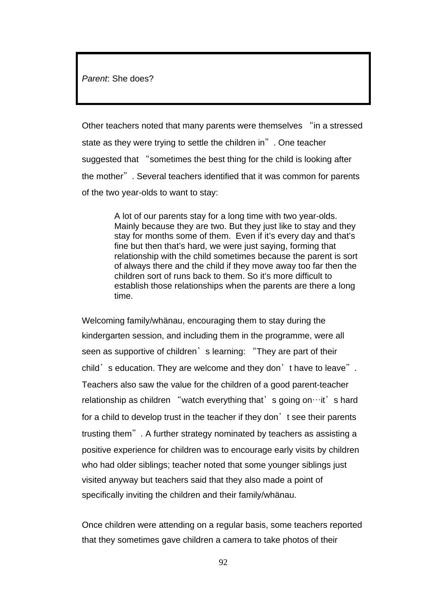*Parent*: She does?

Other teachers noted that many parents were themselves "in a stressed state as they were trying to settle the children in". One teacher suggested that "sometimes the best thing for the child is looking after the mother". Several teachers identified that it was common for parents of the two year-olds to want to stay:

> A lot of our parents stay for a long time with two year-olds. Mainly because they are two. But they just like to stay and they stay for months some of them. Even if it's every day and that's fine but then that's hard, we were just saying, forming that relationship with the child sometimes because the parent is sort of always there and the child if they move away too far then the children sort of runs back to them. So it's more difficult to establish those relationships when the parents are there a long time.

Welcoming family/whänau, encouraging them to stay during the kindergarten session, and including them in the programme, were all seen as supportive of children's learning: "They are part of their child's education. They are welcome and they don't have to leave". Teachers also saw the value for the children of a good parent-teacher relationship as children "watch everything that's going on…it's hard for a child to develop trust in the teacher if they don't see their parents trusting them". A further strategy nominated by teachers as assisting a positive experience for children was to encourage early visits by children who had older siblings; teacher noted that some younger siblings just visited anyway but teachers said that they also made a point of specifically inviting the children and their family/whänau.

Once children were attending on a regular basis, some teachers reported that they sometimes gave children a camera to take photos of their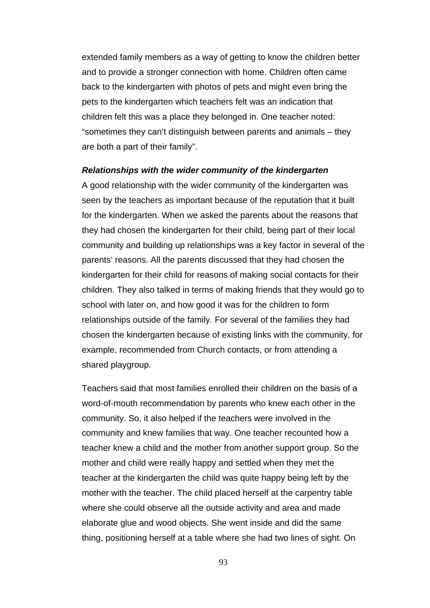extended family members as a way of getting to know the children better and to provide a stronger connection with home. Children often came back to the kindergarten with photos of pets and might even bring the pets to the kindergarten which teachers felt was an indication that children felt this was a place they belonged in. One teacher noted: "sometimes they can't distinguish between parents and animals – they are both a part of their family".

#### *Relationships with the wider community of the kindergarten*

A good relationship with the wider community of the kindergarten was seen by the teachers as important because of the reputation that it built for the kindergarten. When we asked the parents about the reasons that they had chosen the kindergarten for their child, being part of their local community and building up relationships was a key factor in several of the parents' reasons. All the parents discussed that they had chosen the kindergarten for their child for reasons of making social contacts for their children. They also talked in terms of making friends that they would go to school with later on, and how good it was for the children to form relationships outside of the family. For several of the families they had chosen the kindergarten because of existing links with the community, for example, recommended from Church contacts, or from attending a shared playgroup.

Teachers said that most families enrolled their children on the basis of a word-of-mouth recommendation by parents who knew each other in the community. So, it also helped if the teachers were involved in the community and knew families that way. One teacher recounted how a teacher knew a child and the mother from another support group. So the mother and child were really happy and settled when they met the teacher at the kindergarten the child was quite happy being left by the mother with the teacher. The child placed herself at the carpentry table where she could observe all the outside activity and area and made elaborate glue and wood objects. She went inside and did the same thing, positioning herself at a table where she had two lines of sight. On

93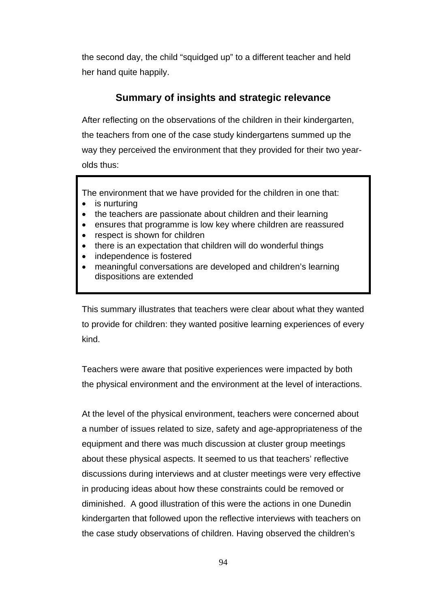the second day, the child "squidged up" to a different teacher and held her hand quite happily.

# **Summary of insights and strategic relevance**

After reflecting on the observations of the children in their kindergarten, the teachers from one of the case study kindergartens summed up the way they perceived the environment that they provided for their two yearolds thus:

The environment that we have provided for the children in one that:

- is nurturing
- the teachers are passionate about children and their learning
- ensures that programme is low key where children are reassured
- respect is shown for children
- there is an expectation that children will do wonderful things
- independence is fostered
- meaningful conversations are developed and children's learning dispositions are extended

This summary illustrates that teachers were clear about what they wanted to provide for children: they wanted positive learning experiences of every kind.

Teachers were aware that positive experiences were impacted by both the physical environment and the environment at the level of interactions.

At the level of the physical environment, teachers were concerned about a number of issues related to size, safety and age-appropriateness of the equipment and there was much discussion at cluster group meetings about these physical aspects. It seemed to us that teachers' reflective discussions during interviews and at cluster meetings were very effective in producing ideas about how these constraints could be removed or diminished. A good illustration of this were the actions in one Dunedin kindergarten that followed upon the reflective interviews with teachers on the case study observations of children. Having observed the children's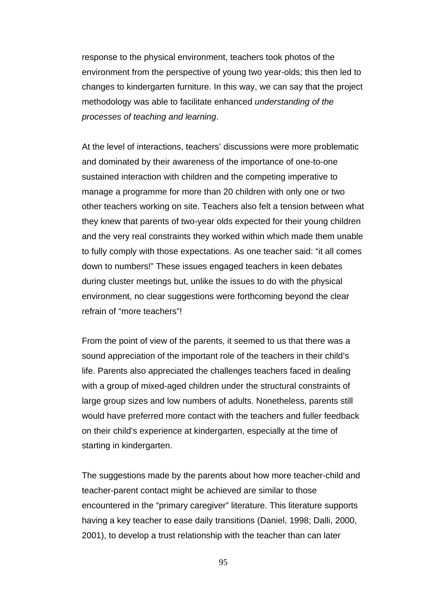response to the physical environment, teachers took photos of the environment from the perspective of young two year-olds; this then led to changes to kindergarten furniture. In this way, we can say that the project methodology was able to facilitate enhanced *understanding of the processes of teaching and learning*.

At the level of interactions, teachers' discussions were more problematic and dominated by their awareness of the importance of one-to-one sustained interaction with children and the competing imperative to manage a programme for more than 20 children with only one or two other teachers working on site. Teachers also felt a tension between what they knew that parents of two-year olds expected for their young children and the very real constraints they worked within which made them unable to fully comply with those expectations. As one teacher said: "it all comes down to numbers!" These issues engaged teachers in keen debates during cluster meetings but, unlike the issues to do with the physical environment, no clear suggestions were forthcoming beyond the clear refrain of "more teachers"!

From the point of view of the parents, it seemed to us that there was a sound appreciation of the important role of the teachers in their child's life. Parents also appreciated the challenges teachers faced in dealing with a group of mixed-aged children under the structural constraints of large group sizes and low numbers of adults. Nonetheless, parents still would have preferred more contact with the teachers and fuller feedback on their child's experience at kindergarten, especially at the time of starting in kindergarten.

The suggestions made by the parents about how more teacher-child and teacher-parent contact might be achieved are similar to those encountered in the "primary caregiver" literature. This literature supports having a key teacher to ease daily transitions (Daniel, 1998; Dalli, 2000, 2001), to develop a trust relationship with the teacher than can later